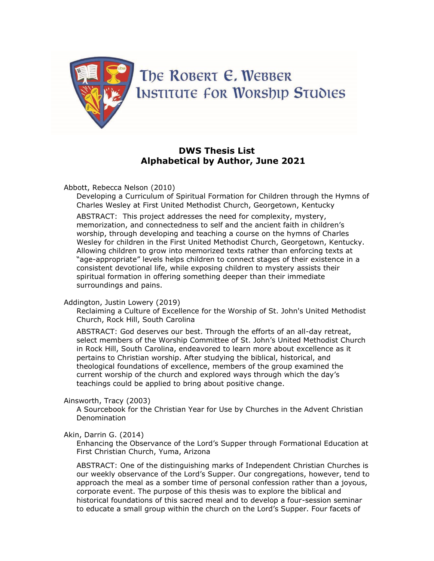

# **DWS Thesis List Alphabetical by Author, June 2021**

Abbott, Rebecca Nelson (2010)

Developing a Curriculum of Spiritual Formation for Children through the Hymns of Charles Wesley at First United Methodist Church, Georgetown, Kentucky

ABSTRACT: This project addresses the need for complexity, mystery, memorization, and connectedness to self and the ancient faith in children's worship, through developing and teaching a course on the hymns of Charles Wesley for children in the First United Methodist Church, Georgetown, Kentucky. Allowing children to grow into memorized texts rather than enforcing texts at "age-appropriate" levels helps children to connect stages of their existence in a consistent devotional life, while exposing children to mystery assists their spiritual formation in offering something deeper than their immediate surroundings and pains.

### Addington, Justin Lowery (2019)

Reclaiming a Culture of Excellence for the Worship of St. John's United Methodist Church, Rock Hill, South Carolina

ABSTRACT: God deserves our best. Through the efforts of an all-day retreat, select members of the Worship Committee of St. John's United Methodist Church in Rock Hill, South Carolina, endeavored to learn more about excellence as it pertains to Christian worship. After studying the biblical, historical, and theological foundations of excellence, members of the group examined the current worship of the church and explored ways through which the day's teachings could be applied to bring about positive change.

### Ainsworth, Tracy (2003)

A Sourcebook for the Christian Year for Use by Churches in the Advent Christian Denomination

### Akin, Darrin G. (2014)

Enhancing the Observance of the Lord's Supper through Formational Education at First Christian Church, Yuma, Arizona

ABSTRACT: One of the distinguishing marks of Independent Christian Churches is our weekly observance of the Lord's Supper. Our congregations, however, tend to approach the meal as a somber time of personal confession rather than a joyous, corporate event. The purpose of this thesis was to explore the biblical and historical foundations of this sacred meal and to develop a four-session seminar to educate a small group within the church on the Lord's Supper. Four facets of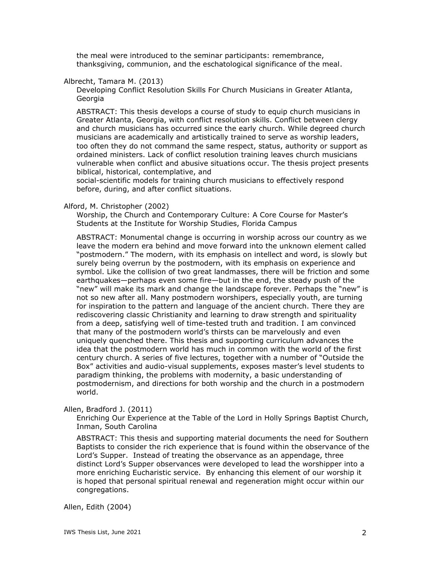the meal were introduced to the seminar participants: remembrance, thanksgiving, communion, and the eschatological significance of the meal.

## Albrecht, Tamara M. (2013)

Developing Conflict Resolution Skills For Church Musicians in Greater Atlanta, **Georgia** 

ABSTRACT: This thesis develops a course of study to equip church musicians in Greater Atlanta, Georgia, with conflict resolution skills. Conflict between clergy and church musicians has occurred since the early church. While degreed church musicians are academically and artistically trained to serve as worship leaders, too often they do not command the same respect, status, authority or support as ordained ministers. Lack of conflict resolution training leaves church musicians vulnerable when conflict and abusive situations occur. The thesis project presents biblical, historical, contemplative, and

social-scientific models for training church musicians to effectively respond before, during, and after conflict situations.

### Alford, M. Christopher (2002)

Worship, the Church and Contemporary Culture: A Core Course for Master's Students at the Institute for Worship Studies, Florida Campus

ABSTRACT: Monumental change is occurring in worship across our country as we leave the modern era behind and move forward into the unknown element called "postmodern." The modern, with its emphasis on intellect and word, is slowly but surely being overrun by the postmodern, with its emphasis on experience and symbol. Like the collision of two great landmasses, there will be friction and some earthquakes—perhaps even some fire—but in the end, the steady push of the "new" will make its mark and change the landscape forever. Perhaps the "new" is not so new after all. Many postmodern worshipers, especially youth, are turning for inspiration to the pattern and language of the ancient church. There they are rediscovering classic Christianity and learning to draw strength and spirituality from a deep, satisfying well of time-tested truth and tradition. I am convinced that many of the postmodern world's thirsts can be marvelously and even uniquely quenched there. This thesis and supporting curriculum advances the idea that the postmodern world has much in common with the world of the first century church. A series of five lectures, together with a number of "Outside the Box" activities and audio-visual supplements, exposes master's level students to paradigm thinking, the problems with modernity, a basic understanding of postmodernism, and directions for both worship and the church in a postmodern world.

Allen, Bradford J. (2011)

Enriching Our Experience at the Table of the Lord in Holly Springs Baptist Church, Inman, South Carolina

ABSTRACT: This thesis and supporting material documents the need for Southern Baptists to consider the rich experience that is found within the observance of the Lord's Supper. Instead of treating the observance as an appendage, three distinct Lord's Supper observances were developed to lead the worshipper into a more enriching Eucharistic service. By enhancing this element of our worship it is hoped that personal spiritual renewal and regeneration might occur within our congregations.

Allen, Edith (2004)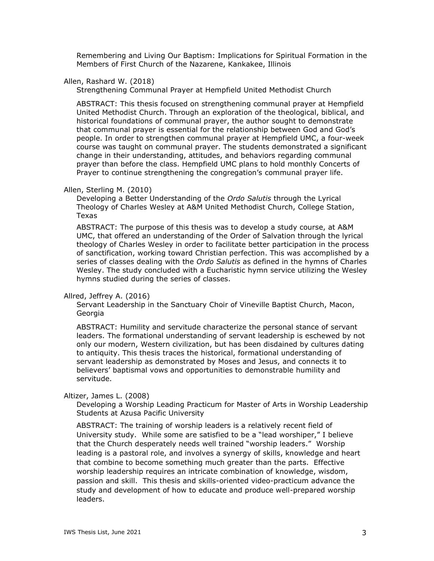Remembering and Living Our Baptism: Implications for Spiritual Formation in the Members of First Church of the Nazarene, Kankakee, Illinois

## Allen, Rashard W. (2018)

Strengthening Communal Prayer at Hempfield United Methodist Church

ABSTRACT: This thesis focused on strengthening communal prayer at Hempfield United Methodist Church. Through an exploration of the theological, biblical, and historical foundations of communal prayer, the author sought to demonstrate that communal prayer is essential for the relationship between God and God's people. In order to strengthen communal prayer at Hempfield UMC, a four-week course was taught on communal prayer. The students demonstrated a significant change in their understanding, attitudes, and behaviors regarding communal prayer than before the class. Hempfield UMC plans to hold monthly Concerts of Prayer to continue strengthening the congregation's communal prayer life.

#### Allen, Sterling M. (2010)

Developing a Better Understanding of the *Ordo Salutis* through the Lyrical Theology of Charles Wesley at A&M United Methodist Church, College Station, Texas

ABSTRACT: The purpose of this thesis was to develop a study course, at A&M UMC, that offered an understanding of the Order of Salvation through the lyrical theology of Charles Wesley in order to facilitate better participation in the process of sanctification, working toward Christian perfection. This was accomplished by a series of classes dealing with the *Ordo Salutis* as defined in the hymns of Charles Wesley. The study concluded with a Eucharistic hymn service utilizing the Wesley hymns studied during the series of classes.

### Allred, Jeffrey A. (2016)

Servant Leadership in the Sanctuary Choir of Vineville Baptist Church, Macon, Georgia

ABSTRACT: Humility and servitude characterize the personal stance of servant leaders. The formational understanding of servant leadership is eschewed by not only our modern, Western civilization, but has been disdained by cultures dating to antiquity. This thesis traces the historical, formational understanding of servant leadership as demonstrated by Moses and Jesus, and connects it to believers' baptismal vows and opportunities to demonstrable humility and servitude.

#### Altizer, James L. (2008)

Developing a Worship Leading Practicum for Master of Arts in Worship Leadership Students at Azusa Pacific University

ABSTRACT: The training of worship leaders is a relatively recent field of University study. While some are satisfied to be a "lead worshiper," I believe that the Church desperately needs well trained "worship leaders." Worship leading is a pastoral role, and involves a synergy of skills, knowledge and heart that combine to become something much greater than the parts. Effective worship leadership requires an intricate combination of knowledge, wisdom, passion and skill. This thesis and skills-oriented video-practicum advance the study and development of how to educate and produce well-prepared worship leaders.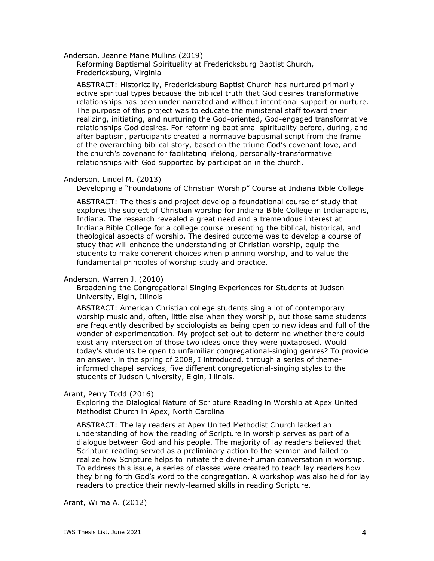Anderson, Jeanne Marie Mullins (2019)

Reforming Baptismal Spirituality at Fredericksburg Baptist Church, Fredericksburg, Virginia

ABSTRACT: Historically, Fredericksburg Baptist Church has nurtured primarily active spiritual types because the biblical truth that God desires transformative relationships has been under-narrated and without intentional support or nurture. The purpose of this project was to educate the ministerial staff toward their realizing, initiating, and nurturing the God-oriented, God-engaged transformative relationships God desires. For reforming baptismal spirituality before, during, and after baptism, participants created a normative baptismal script from the frame of the overarching biblical story, based on the triune God's covenant love, and the church's covenant for facilitating lifelong, personally-transformative relationships with God supported by participation in the church.

### Anderson, Lindel M. (2013)

Developing a "Foundations of Christian Worship" Course at Indiana Bible College

ABSTRACT: The thesis and project develop a foundational course of study that explores the subject of Christian worship for Indiana Bible College in Indianapolis, Indiana. The research revealed a great need and a tremendous interest at Indiana Bible College for a college course presenting the biblical, historical, and theological aspects of worship. The desired outcome was to develop a course of study that will enhance the understanding of Christian worship, equip the students to make coherent choices when planning worship, and to value the fundamental principles of worship study and practice.

## Anderson, Warren J. (2010)

Broadening the Congregational Singing Experiences for Students at Judson University, Elgin, Illinois

ABSTRACT: American Christian college students sing a lot of contemporary worship music and, often, little else when they worship, but those same students are frequently described by sociologists as being open to new ideas and full of the wonder of experimentation. My project set out to determine whether there could exist any intersection of those two ideas once they were juxtaposed. Would today's students be open to unfamiliar congregational-singing genres? To provide an answer, in the spring of 2008, I introduced, through a series of themeinformed chapel services, five different congregational-singing styles to the students of Judson University, Elgin, Illinois.

### Arant, Perry Todd (2016)

Exploring the Dialogical Nature of Scripture Reading in Worship at Apex United Methodist Church in Apex, North Carolina

ABSTRACT: The lay readers at Apex United Methodist Church lacked an understanding of how the reading of Scripture in worship serves as part of a dialogue between God and his people. The majority of lay readers believed that Scripture reading served as a preliminary action to the sermon and failed to realize how Scripture helps to initiate the divine-human conversation in worship. To address this issue, a series of classes were created to teach lay readers how they bring forth God's word to the congregation. A workshop was also held for lay readers to practice their newly-learned skills in reading Scripture.

Arant, Wilma A. (2012)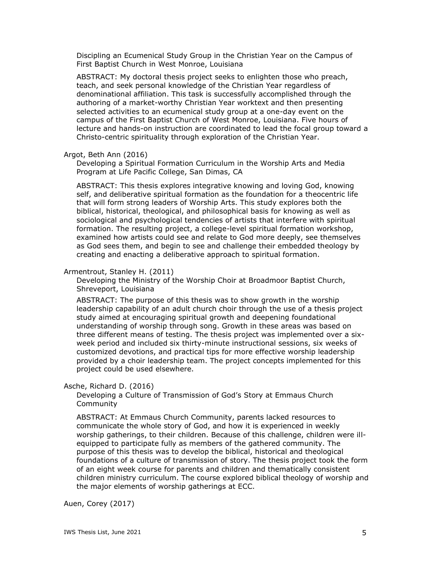Discipling an Ecumenical Study Group in the Christian Year on the Campus of First Baptist Church in West Monroe, Louisiana

ABSTRACT: My doctoral thesis project seeks to enlighten those who preach, teach, and seek personal knowledge of the Christian Year regardless of denominational affiliation. This task is successfully accomplished through the authoring of a market-worthy Christian Year worktext and then presenting selected activities to an ecumenical study group at a one-day event on the campus of the First Baptist Church of West Monroe, Louisiana. Five hours of lecture and hands-on instruction are coordinated to lead the focal group toward a Christo-centric spirituality through exploration of the Christian Year.

#### Argot, Beth Ann (2016)

Developing a Spiritual Formation Curriculum in the Worship Arts and Media Program at Life Pacific College, San Dimas, CA

ABSTRACT: This thesis explores integrative knowing and loving God, knowing self, and deliberative spiritual formation as the foundation for a theocentric life that will form strong leaders of Worship Arts. This study explores both the biblical, historical, theological, and philosophical basis for knowing as well as sociological and psychological tendencies of artists that interfere with spiritual formation. The resulting project, a college-level spiritual formation workshop, examined how artists could see and relate to God more deeply, see themselves as God sees them, and begin to see and challenge their embedded theology by creating and enacting a deliberative approach to spiritual formation.

### Armentrout, Stanley H. (2011)

Developing the Ministry of the Worship Choir at Broadmoor Baptist Church, Shreveport, Louisiana

ABSTRACT: The purpose of this thesis was to show growth in the worship leadership capability of an adult church choir through the use of a thesis project study aimed at encouraging spiritual growth and deepening foundational understanding of worship through song. Growth in these areas was based on three different means of testing. The thesis project was implemented over a sixweek period and included six thirty-minute instructional sessions, six weeks of customized devotions, and practical tips for more effective worship leadership provided by a choir leadership team. The project concepts implemented for this project could be used elsewhere.

#### Asche, Richard D. (2016)

Developing a Culture of Transmission of God's Story at Emmaus Church Community

ABSTRACT: At Emmaus Church Community, parents lacked resources to communicate the whole story of God, and how it is experienced in weekly worship gatherings, to their children. Because of this challenge, children were illequipped to participate fully as members of the gathered community. The purpose of this thesis was to develop the biblical, historical and theological foundations of a culture of transmission of story. The thesis project took the form of an eight week course for parents and children and thematically consistent children ministry curriculum. The course explored biblical theology of worship and the major elements of worship gatherings at ECC.

Auen, Corey (2017)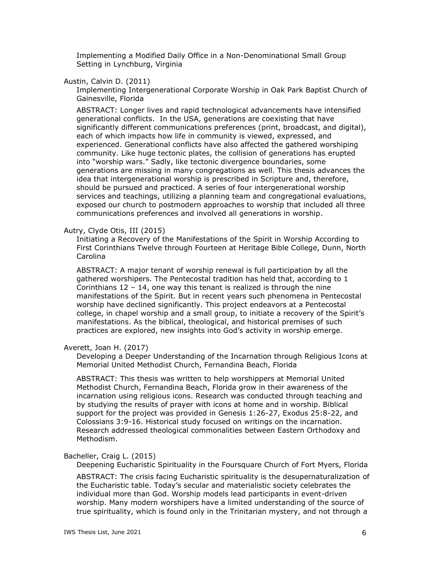Implementing a Modified Daily Office in a Non-Denominational Small Group Setting in Lynchburg, Virginia

## Austin, Calvin D. (2011)

Implementing Intergenerational Corporate Worship in Oak Park Baptist Church of Gainesville, Florida

ABSTRACT: Longer lives and rapid technological advancements have intensified generational conflicts. In the USA, generations are coexisting that have significantly different communications preferences (print, broadcast, and digital), each of which impacts how life in community is viewed, expressed, and experienced. Generational conflicts have also affected the gathered worshiping community. Like huge tectonic plates, the collision of generations has erupted into "worship wars." Sadly, like tectonic divergence boundaries, some generations are missing in many congregations as well. This thesis advances the idea that intergenerational worship is prescribed in Scripture and, therefore, should be pursued and practiced. A series of four intergenerational worship services and teachings, utilizing a planning team and congregational evaluations, exposed our church to postmodern approaches to worship that included all three communications preferences and involved all generations in worship.

### Autry, Clyde Otis, III (2015)

Initiating a Recovery of the Manifestations of the Spirit in Worship According to First Corinthians Twelve through Fourteen at Heritage Bible College, Dunn, North Carolina

ABSTRACT: A major tenant of worship renewal is full participation by all the gathered worshipers. The Pentecostal tradition has held that, according to 1 Corinthians  $12 - 14$ , one way this tenant is realized is through the nine manifestations of the Spirit. But in recent years such phenomena in Pentecostal worship have declined significantly. This project endeavors at a Pentecostal college, in chapel worship and a small group, to initiate a recovery of the Spirit's manifestations. As the biblical, theological, and historical premises of such practices are explored, new insights into God's activity in worship emerge.

## Averett, Joan H. (2017)

Developing a Deeper Understanding of the Incarnation through Religious Icons at Memorial United Methodist Church, Fernandina Beach, Florida

ABSTRACT: This thesis was written to help worshippers at Memorial United Methodist Church, Fernandina Beach, Florida grow in their awareness of the incarnation using religious icons. Research was conducted through teaching and by studying the results of prayer with icons at home and in worship. Biblical support for the project was provided in Genesis 1:26-27, Exodus 25:8-22, and Colossians 3:9-16. Historical study focused on writings on the incarnation. Research addressed theological commonalities between Eastern Orthodoxy and Methodism.

## Bacheller, Craig L. (2015)

Deepening Eucharistic Spirituality in the Foursquare Church of Fort Myers, Florida

ABSTRACT: The crisis facing Eucharistic spirituality is the desupernaturalization of the Eucharistic table. Today's secular and materialistic society celebrates the individual more than God. Worship models lead participants in event-driven worship. Many modern worshipers have a limited understanding of the source of true spirituality, which is found only in the Trinitarian mystery, and not through a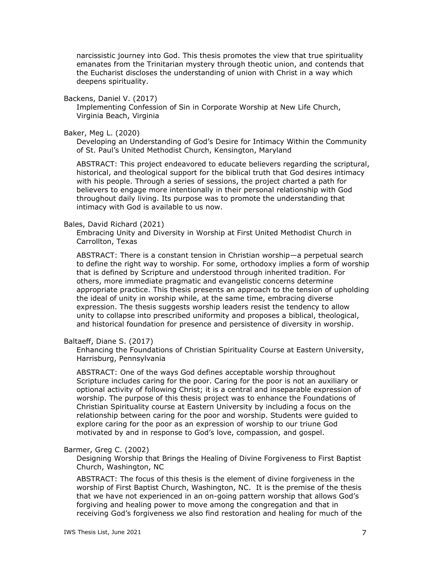narcissistic journey into God. This thesis promotes the view that true spirituality emanates from the Trinitarian mystery through theotic union, and contends that the Eucharist discloses the understanding of union with Christ in a way which deepens spirituality.

Backens, Daniel V. (2017)

Implementing Confession of Sin in Corporate Worship at New Life Church, Virginia Beach, Virginia

Baker, Meg L. (2020)

Developing an Understanding of God's Desire for Intimacy Within the Community of St. Paul's United Methodist Church, Kensington, Maryland

ABSTRACT: This project endeavored to educate believers regarding the scriptural, historical, and theological support for the biblical truth that God desires intimacy with his people. Through a series of sessions, the project charted a path for believers to engage more intentionally in their personal relationship with God throughout daily living. Its purpose was to promote the understanding that intimacy with God is available to us now.

#### Bales, David Richard (2021)

Embracing Unity and Diversity in Worship at First United Methodist Church in Carrollton, Texas

ABSTRACT: There is a constant tension in Christian worship—a perpetual search to define the right way to worship. For some, orthodoxy implies a form of worship that is defined by Scripture and understood through inherited tradition. For others, more immediate pragmatic and evangelistic concerns determine appropriate practice. This thesis presents an approach to the tension of upholding the ideal of unity in worship while, at the same time, embracing diverse expression. The thesis suggests worship leaders resist the tendency to allow unity to collapse into prescribed uniformity and proposes a biblical, theological, and historical foundation for presence and persistence of diversity in worship.

## Baltaeff, Diane S. (2017)

Enhancing the Foundations of Christian Spirituality Course at Eastern University, Harrisburg, Pennsylvania

ABSTRACT: One of the ways God defines acceptable worship throughout Scripture includes caring for the poor. Caring for the poor is not an auxiliary or optional activity of following Christ; it is a central and inseparable expression of worship. The purpose of this thesis project was to enhance the Foundations of Christian Spirituality course at Eastern University by including a focus on the relationship between caring for the poor and worship. Students were guided to explore caring for the poor as an expression of worship to our triune God motivated by and in response to God's love, compassion, and gospel.

#### Barmer, Greg C. (2002)

Designing Worship that Brings the Healing of Divine Forgiveness to First Baptist Church, Washington, NC

ABSTRACT: The focus of this thesis is the element of divine forgiveness in the worship of First Baptist Church, Washington, NC. It is the premise of the thesis that we have not experienced in an on-going pattern worship that allows God's forgiving and healing power to move among the congregation and that in receiving God's forgiveness we also find restoration and healing for much of the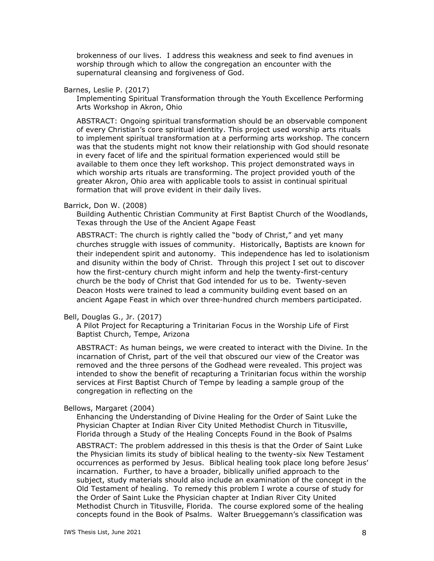brokenness of our lives. I address this weakness and seek to find avenues in worship through which to allow the congregation an encounter with the supernatural cleansing and forgiveness of God.

### Barnes, Leslie P. (2017)

Implementing Spiritual Transformation through the Youth Excellence Performing Arts Workshop in Akron, Ohio

ABSTRACT: Ongoing spiritual transformation should be an observable component of every Christian's core spiritual identity. This project used worship arts rituals to implement spiritual transformation at a performing arts workshop. The concern was that the students might not know their relationship with God should resonate in every facet of life and the spiritual formation experienced would still be available to them once they left workshop. This project demonstrated ways in which worship arts rituals are transforming. The project provided youth of the greater Akron, Ohio area with applicable tools to assist in continual spiritual formation that will prove evident in their daily lives.

### Barrick, Don W. (2008)

Building Authentic Christian Community at First Baptist Church of the Woodlands, Texas through the Use of the Ancient Agape Feast

ABSTRACT: The church is rightly called the "body of Christ," and yet many churches struggle with issues of community. Historically, Baptists are known for their independent spirit and autonomy. This independence has led to isolationism and disunity within the body of Christ. Through this project I set out to discover how the first-century church might inform and help the twenty-first-century church be the body of Christ that God intended for us to be. Twenty-seven Deacon Hosts were trained to lead a community building event based on an ancient Agape Feast in which over three-hundred church members participated.

### Bell, Douglas G., Jr. (2017)

A Pilot Project for Recapturing a Trinitarian Focus in the Worship Life of First Baptist Church, Tempe, Arizona

ABSTRACT: As human beings, we were created to interact with the Divine. In the incarnation of Christ, part of the veil that obscured our view of the Creator was removed and the three persons of the Godhead were revealed. This project was intended to show the benefit of recapturing a Trinitarian focus within the worship services at First Baptist Church of Tempe by leading a sample group of the congregation in reflecting on the

#### Bellows, Margaret (2004)

Enhancing the Understanding of Divine Healing for the Order of Saint Luke the Physician Chapter at Indian River City United Methodist Church in Titusville, Florida through a Study of the Healing Concepts Found in the Book of Psalms

ABSTRACT: The problem addressed in this thesis is that the Order of Saint Luke the Physician limits its study of biblical healing to the twenty-six New Testament occurrences as performed by Jesus. Biblical healing took place long before Jesus' incarnation. Further, to have a broader, biblically unified approach to the subject, study materials should also include an examination of the concept in the Old Testament of healing. To remedy this problem I wrote a course of study for the Order of Saint Luke the Physician chapter at Indian River City United Methodist Church in Titusville, Florida. The course explored some of the healing concepts found in the Book of Psalms. Walter Brueggemann's classification was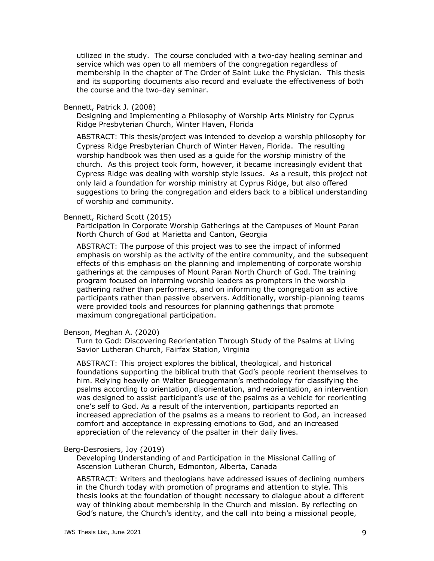utilized in the study. The course concluded with a two-day healing seminar and service which was open to all members of the congregation regardless of membership in the chapter of The Order of Saint Luke the Physician. This thesis and its supporting documents also record and evaluate the effectiveness of both the course and the two-day seminar.

### Bennett, Patrick J. (2008)

Designing and Implementing a Philosophy of Worship Arts Ministry for Cyprus Ridge Presbyterian Church, Winter Haven, Florida

ABSTRACT: This thesis/project was intended to develop a worship philosophy for Cypress Ridge Presbyterian Church of Winter Haven, Florida. The resulting worship handbook was then used as a guide for the worship ministry of the church. As this project took form, however, it became increasingly evident that Cypress Ridge was dealing with worship style issues. As a result, this project not only laid a foundation for worship ministry at Cyprus Ridge, but also offered suggestions to bring the congregation and elders back to a biblical understanding of worship and community.

### Bennett, Richard Scott (2015)

Participation in Corporate Worship Gatherings at the Campuses of Mount Paran North Church of God at Marietta and Canton, Georgia

ABSTRACT: The purpose of this project was to see the impact of informed emphasis on worship as the activity of the entire community, and the subsequent effects of this emphasis on the planning and implementing of corporate worship gatherings at the campuses of Mount Paran North Church of God. The training program focused on informing worship leaders as prompters in the worship gathering rather than performers, and on informing the congregation as active participants rather than passive observers. Additionally, worship-planning teams were provided tools and resources for planning gatherings that promote maximum congregational participation.

#### Benson, Meghan A. (2020)

Turn to God: Discovering Reorientation Through Study of the Psalms at Living Savior Lutheran Church, Fairfax Station, Virginia

ABSTRACT: This project explores the biblical, theological, and historical foundations supporting the biblical truth that God's people reorient themselves to him. Relying heavily on Walter Brueggemann's methodology for classifying the psalms according to orientation, disorientation, and reorientation, an intervention was designed to assist participant's use of the psalms as a vehicle for reorienting one's self to God. As a result of the intervention, participants reported an increased appreciation of the psalms as a means to reorient to God, an increased comfort and acceptance in expressing emotions to God, and an increased appreciation of the relevancy of the psalter in their daily lives.

### Berg-Desrosiers, Joy (2019)

Developing Understanding of and Participation in the Missional Calling of Ascension Lutheran Church, Edmonton, Alberta, Canada

ABSTRACT: Writers and theologians have addressed issues of declining numbers in the Church today with promotion of programs and attention to style. This thesis looks at the foundation of thought necessary to dialogue about a different way of thinking about membership in the Church and mission. By reflecting on God's nature, the Church's identity, and the call into being a missional people,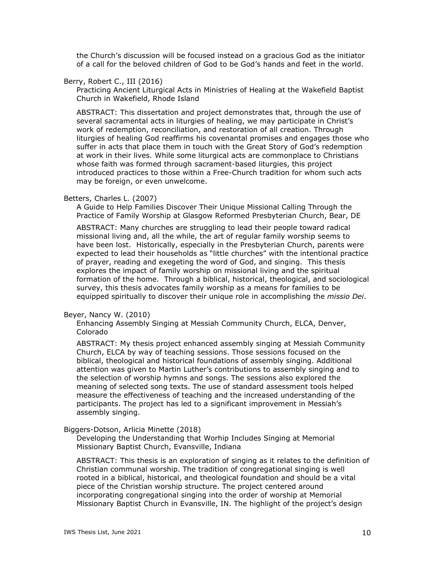the Church's discussion will be focused instead on a gracious God as the initiator of a call for the beloved children of God to be God's hands and feet in the world.

## Berry, Robert C., III (2016)

Practicing Ancient Liturgical Acts in Ministries of Healing at the Wakefield Baptist Church in Wakefield, Rhode Island

ABSTRACT: This dissertation and project demonstrates that, through the use of several sacramental acts in liturgies of healing, we may participate in Christ's work of redemption, reconciliation, and restoration of all creation. Through liturgies of healing God reaffirms his covenantal promises and engages those who suffer in acts that place them in touch with the Great Story of God's redemption at work in their lives. While some liturgical acts are commonplace to Christians whose faith was formed through sacrament-based liturgies, this project introduced practices to those within a Free-Church tradition for whom such acts may be foreign, or even unwelcome.

#### Betters, Charles L. (2007)

A Guide to Help Families Discover Their Unique Missional Calling Through the Practice of Family Worship at Glasgow Reformed Presbyterian Church, Bear, DE

ABSTRACT: Many churches are struggling to lead their people toward radical missional living and, all the while, the art of regular family worship seems to have been lost. Historically, especially in the Presbyterian Church, parents were expected to lead their households as "little churches" with the intentional practice of prayer, reading and exegeting the word of God, and singing. This thesis explores the impact of family worship on missional living and the spiritual formation of the home. Through a biblical, historical, theological, and sociological survey, this thesis advocates family worship as a means for families to be equipped spiritually to discover their unique role in accomplishing the *missio Dei*.

#### Beyer, Nancy W. (2010)

Enhancing Assembly Singing at Messiah Community Church, ELCA, Denver, Colorado

ABSTRACT: My thesis project enhanced assembly singing at Messiah Community Church, ELCA by way of teaching sessions. Those sessions focused on the biblical, theological and historical foundations of assembly singing. Additional attention was given to Martin Luther's contributions to assembly singing and to the selection of worship hymns and songs. The sessions also explored the meaning of selected song texts. The use of standard assessment tools helped measure the effectiveness of teaching and the increased understanding of the participants. The project has led to a significant improvement in Messiah's assembly singing.

### Biggers-Dotson, Arlicia Minette (2018)

Developing the Understanding that Worhip Includes Singing at Memorial Missionary Baptist Church, Evansville, Indiana

ABSTRACT: This thesis is an exploration of singing as it relates to the definition of Christian communal worship. The tradition of congregational singing is well rooted in a biblical, historical, and theological foundation and should be a vital piece of the Christian worship structure. The project centered around incorporating congregational singing into the order of worship at Memorial Missionary Baptist Church in Evansville, IN. The highlight of the project's design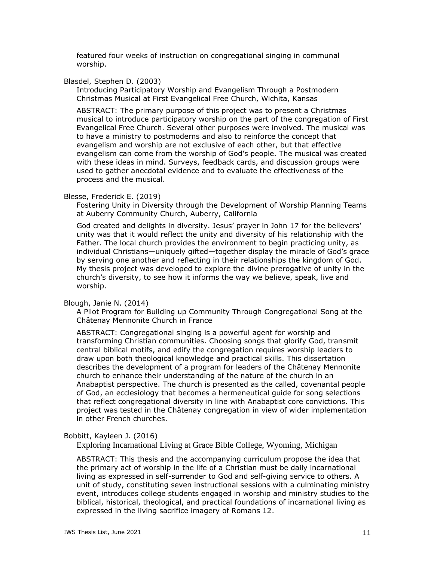featured four weeks of instruction on congregational singing in communal worship.

## Blasdel, Stephen D. (2003)

Introducing Participatory Worship and Evangelism Through a Postmodern Christmas Musical at First Evangelical Free Church, Wichita, Kansas

ABSTRACT: The primary purpose of this project was to present a Christmas musical to introduce participatory worship on the part of the congregation of First Evangelical Free Church. Several other purposes were involved. The musical was to have a ministry to postmoderns and also to reinforce the concept that evangelism and worship are not exclusive of each other, but that effective evangelism can come from the worship of God's people. The musical was created with these ideas in mind. Surveys, feedback cards, and discussion groups were used to gather anecdotal evidence and to evaluate the effectiveness of the process and the musical.

## Blesse, Frederick E. (2019)

Fostering Unity in Diversity through the Development of Worship Planning Teams at Auberry Community Church, Auberry, California

God created and delights in diversity. Jesus' prayer in John 17 for the believers' unity was that it would reflect the unity and diversity of his relationship with the Father. The local church provides the environment to begin practicing unity, as individual Christians—uniquely gifted—together display the miracle of God's grace by serving one another and reflecting in their relationships the kingdom of God. My thesis project was developed to explore the divine prerogative of unity in the church's diversity, to see how it informs the way we believe, speak, live and worship.

## Blough, Janie N. (2014)

A Pilot Program for Building up Community Through Congregational Song at the Châtenay Mennonite Church in France

ABSTRACT: Congregational singing is a powerful agent for worship and transforming Christian communities. Choosing songs that glorify God, transmit central biblical motifs, and edify the congregation requires worship leaders to draw upon both theological knowledge and practical skills. This dissertation describes the development of a program for leaders of the Châtenay Mennonite church to enhance their understanding of the nature of the church in an Anabaptist perspective. The church is presented as the called, covenantal people of God, an ecclesiology that becomes a hermeneutical guide for song selections that reflect congregational diversity in line with Anabaptist core convictions. This project was tested in the Châtenay congregation in view of wider implementation in other French churches.

## Bobbitt, Kayleen J. (2016)

Exploring Incarnational Living at Grace Bible College, Wyoming, Michigan

ABSTRACT: This thesis and the accompanying curriculum propose the idea that the primary act of worship in the life of a Christian must be daily incarnational living as expressed in self-surrender to God and self-giving service to others. A unit of study, constituting seven instructional sessions with a culminating ministry event, introduces college students engaged in worship and ministry studies to the biblical, historical, theological, and practical foundations of incarnational living as expressed in the living sacrifice imagery of Romans 12.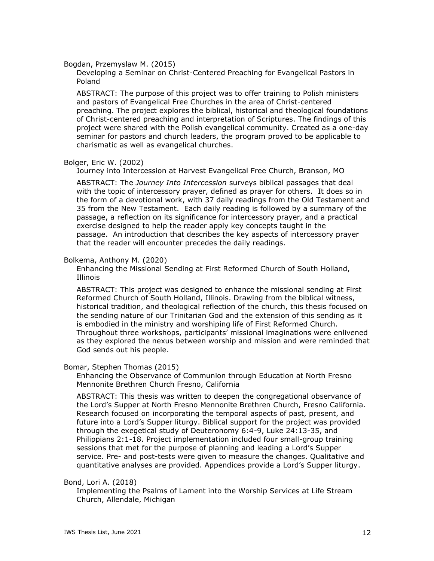### Bogdan, Przemyslaw M. (2015)

Developing a Seminar on Christ-Centered Preaching for Evangelical Pastors in Poland

ABSTRACT: The purpose of this project was to offer training to Polish ministers and pastors of Evangelical Free Churches in the area of Christ-centered preaching. The project explores the biblical, historical and theological foundations of Christ-centered preaching and interpretation of Scriptures. The findings of this project were shared with the Polish evangelical community. Created as a one-day seminar for pastors and church leaders, the program proved to be applicable to charismatic as well as evangelical churches.

### Bolger, Eric W. (2002)

Journey into Intercession at Harvest Evangelical Free Church, Branson, MO

ABSTRACT: The *Journey Into Intercession* surveys biblical passages that deal with the topic of intercessory prayer, defined as prayer for others. It does so in the form of a devotional work, with 37 daily readings from the Old Testament and 35 from the New Testament. Each daily reading is followed by a summary of the passage, a reflection on its significance for intercessory prayer, and a practical exercise designed to help the reader apply key concepts taught in the passage. An introduction that describes the key aspects of intercessory prayer that the reader will encounter precedes the daily readings.

#### Bolkema, Anthony M. (2020)

Enhancing the Missional Sending at First Reformed Church of South Holland, Illinois

ABSTRACT: This project was designed to enhance the missional sending at First Reformed Church of South Holland, Illinois. Drawing from the biblical witness, historical tradition, and theological reflection of the church, this thesis focused on the sending nature of our Trinitarian God and the extension of this sending as it is embodied in the ministry and worshiping life of First Reformed Church. Throughout three workshops, participants' missional imaginations were enlivened as they explored the nexus between worship and mission and were reminded that God sends out his people.

#### Bomar, Stephen Thomas (2015)

Enhancing the Observance of Communion through Education at North Fresno Mennonite Brethren Church Fresno, California

ABSTRACT: This thesis was written to deepen the congregational observance of the Lord's Supper at North Fresno Mennonite Brethren Church, Fresno California. Research focused on incorporating the temporal aspects of past, present, and future into a Lord's Supper liturgy. Biblical support for the project was provided through the exegetical study of Deuteronomy 6:4-9, Luke 24:13-35, and Philippians 2:1-18. Project implementation included four small-group training sessions that met for the purpose of planning and leading a Lord's Supper service. Pre- and post-tests were given to measure the changes. Qualitative and quantitative analyses are provided. Appendices provide a Lord's Supper liturgy.

### Bond, Lori A. (2018)

Implementing the Psalms of Lament into the Worship Services at Life Stream Church, Allendale, Michigan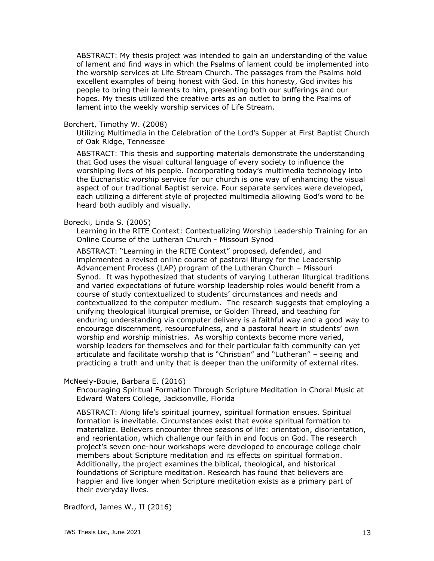ABSTRACT: My thesis project was intended to gain an understanding of the value of lament and find ways in which the Psalms of lament could be implemented into the worship services at Life Stream Church. The passages from the Psalms hold excellent examples of being honest with God. In this honesty, God invites his people to bring their laments to him, presenting both our sufferings and our hopes. My thesis utilized the creative arts as an outlet to bring the Psalms of lament into the weekly worship services of Life Stream.

## Borchert, Timothy W. (2008)

Utilizing Multimedia in the Celebration of the Lord's Supper at First Baptist Church of Oak Ridge, Tennessee

ABSTRACT: This thesis and supporting materials demonstrate the understanding that God uses the visual cultural language of every society to influence the worshiping lives of his people. Incorporating today's multimedia technology into the Eucharistic worship service for our church is one way of enhancing the visual aspect of our traditional Baptist service. Four separate services were developed, each utilizing a different style of projected multimedia allowing God's word to be heard both audibly and visually.

### Borecki, Linda S. (2005)

Learning in the RITE Context: Contextualizing Worship Leadership Training for an Online Course of the Lutheran Church - Missouri Synod

ABSTRACT: "Learning in the RITE Context" proposed, defended, and implemented a revised online course of pastoral liturgy for the Leadership Advancement Process (LAP) program of the Lutheran Church – Missouri Synod. It was hypothesized that students of varying Lutheran liturgical traditions and varied expectations of future worship leadership roles would benefit from a course of study contextualized to students' circumstances and needs and contextualized to the computer medium. The research suggests that employing a unifying theological liturgical premise, or Golden Thread, and teaching for enduring understanding via computer delivery is a faithful way and a good way to encourage discernment, resourcefulness, and a pastoral heart in students' own worship and worship ministries. As worship contexts become more varied, worship leaders for themselves and for their particular faith community can yet articulate and facilitate worship that is "Christian" and "Lutheran" – seeing and practicing a truth and unity that is deeper than the uniformity of external rites.

### McNeely-Bouie, Barbara E. (2016)

Encouraging Spiritual Formation Through Scripture Meditation in Choral Music at Edward Waters College, Jacksonville, Florida

ABSTRACT: Along life's spiritual journey, spiritual formation ensues. Spiritual formation is inevitable. Circumstances exist that evoke spiritual formation to materialize. Believers encounter three seasons of life: orientation, disorientation, and reorientation, which challenge our faith in and focus on God. The research project's seven one-hour workshops were developed to encourage college choir members about Scripture meditation and its effects on spiritual formation. Additionally, the project examines the biblical, theological, and historical foundations of Scripture meditation. Research has found that believers are happier and live longer when Scripture meditation exists as a primary part of their everyday lives.

Bradford, James W., II (2016)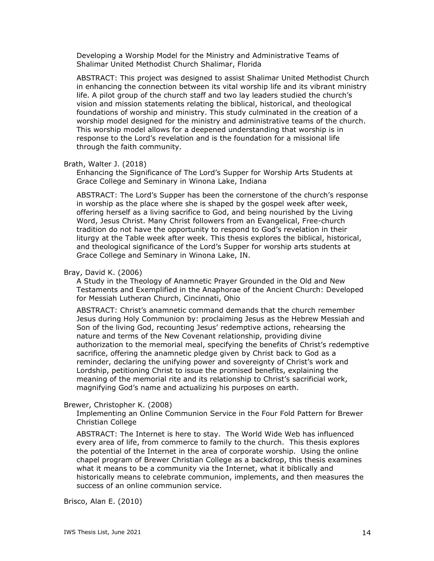Developing a Worship Model for the Ministry and Administrative Teams of Shalimar United Methodist Church Shalimar, Florida

ABSTRACT: This project was designed to assist Shalimar United Methodist Church in enhancing the connection between its vital worship life and its vibrant ministry life. A pilot group of the church staff and two lay leaders studied the church's vision and mission statements relating the biblical, historical, and theological foundations of worship and ministry. This study culminated in the creation of a worship model designed for the ministry and administrative teams of the church. This worship model allows for a deepened understanding that worship is in response to the Lord's revelation and is the foundation for a missional life through the faith community.

#### Brath, Walter J. (2018)

Enhancing the Significance of The Lord's Supper for Worship Arts Students at Grace College and Seminary in Winona Lake, Indiana

ABSTRACT: The Lord's Supper has been the cornerstone of the church's response in worship as the place where she is shaped by the gospel week after week, offering herself as a living sacrifice to God, and being nourished by the Living Word, Jesus Christ. Many Christ followers from an Evangelical, Free-church tradition do not have the opportunity to respond to God's revelation in their liturgy at the Table week after week. This thesis explores the biblical, historical, and theological significance of the Lord's Supper for worship arts students at Grace College and Seminary in Winona Lake, IN.

### Bray, David K. (2006)

A Study in the Theology of Anamnetic Prayer Grounded in the Old and New Testaments and Exemplified in the Anaphorae of the Ancient Church: Developed for Messiah Lutheran Church, Cincinnati, Ohio

ABSTRACT: Christ's anamnetic command demands that the church remember Jesus during Holy Communion by: proclaiming Jesus as the Hebrew Messiah and Son of the living God, recounting Jesus' redemptive actions, rehearsing the nature and terms of the New Covenant relationship, providing divine authorization to the memorial meal, specifying the benefits of Christ's redemptive sacrifice, offering the anamnetic pledge given by Christ back to God as a reminder, declaring the unifying power and sovereignty of Christ's work and Lordship, petitioning Christ to issue the promised benefits, explaining the meaning of the memorial rite and its relationship to Christ's sacrificial work, magnifying God's name and actualizing his purposes on earth.

### Brewer, Christopher K. (2008)

Implementing an Online Communion Service in the Four Fold Pattern for Brewer Christian College

ABSTRACT: The Internet is here to stay. The World Wide Web has influenced every area of life, from commerce to family to the church. This thesis explores the potential of the Internet in the area of corporate worship. Using the online chapel program of Brewer Christian College as a backdrop, this thesis examines what it means to be a community via the Internet, what it biblically and historically means to celebrate communion, implements, and then measures the success of an online communion service.

Brisco, Alan E. (2010)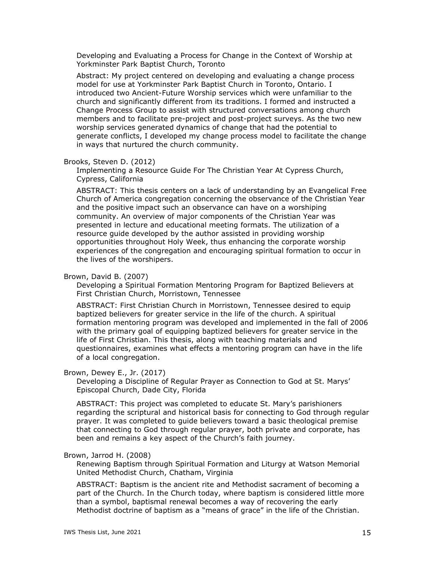Developing and Evaluating a Process for Change in the Context of Worship at Yorkminster Park Baptist Church, Toronto

Abstract: My project centered on developing and evaluating a change process model for use at Yorkminster Park Baptist Church in Toronto, Ontario. I introduced two Ancient-Future Worship services which were unfamiliar to the church and significantly different from its traditions. I formed and instructed a Change Process Group to assist with structured conversations among church members and to facilitate pre-project and post-project surveys. As the two new worship services generated dynamics of change that had the potential to generate conflicts, I developed my change process model to facilitate the change in ways that nurtured the church community.

#### Brooks, Steven D. (2012)

Implementing a Resource Guide For The Christian Year At Cypress Church, Cypress, California

ABSTRACT: This thesis centers on a lack of understanding by an Evangelical Free Church of America congregation concerning the observance of the Christian Year and the positive impact such an observance can have on a worshiping community. An overview of major components of the Christian Year was presented in lecture and educational meeting formats. The utilization of a resource guide developed by the author assisted in providing worship opportunities throughout Holy Week, thus enhancing the corporate worship experiences of the congregation and encouraging spiritual formation to occur in the lives of the worshipers.

#### Brown, David B. (2007)

Developing a Spiritual Formation Mentoring Program for Baptized Believers at First Christian Church, Morristown, Tennessee

ABSTRACT: First Christian Church in Morristown, Tennessee desired to equip baptized believers for greater service in the life of the church. A spiritual formation mentoring program was developed and implemented in the fall of 2006 with the primary goal of equipping baptized believers for greater service in the life of First Christian. This thesis, along with teaching materials and questionnaires, examines what effects a mentoring program can have in the life of a local congregation.

#### Brown, Dewey E., Jr. (2017)

Developing a Discipline of Regular Prayer as Connection to God at St. Marys' Episcopal Church, Dade City, Florida

ABSTRACT: This project was completed to educate St. Mary's parishioners regarding the scriptural and historical basis for connecting to God through regular prayer. It was completed to guide believers toward a basic theological premise that connecting to God through regular prayer, both private and corporate, has been and remains a key aspect of the Church's faith journey.

### Brown, Jarrod H. (2008)

Renewing Baptism through Spiritual Formation and Liturgy at Watson Memorial United Methodist Church, Chatham, Virginia

ABSTRACT: Baptism is the ancient rite and Methodist sacrament of becoming a part of the Church. In the Church today, where baptism is considered little more than a symbol, baptismal renewal becomes a way of recovering the early Methodist doctrine of baptism as a "means of grace" in the life of the Christian.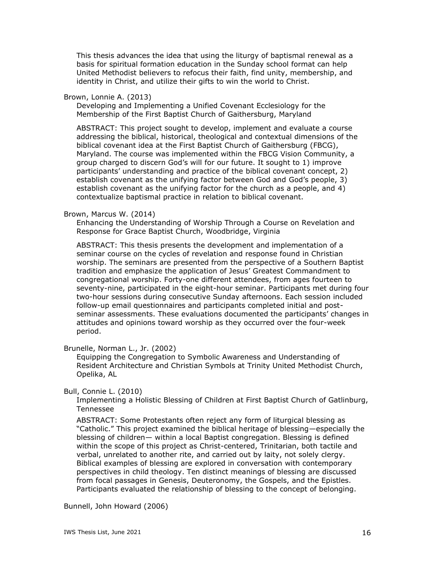This thesis advances the idea that using the liturgy of baptismal renewal as a basis for spiritual formation education in the Sunday school format can help United Methodist believers to refocus their faith, find unity, membership, and identity in Christ, and utilize their gifts to win the world to Christ.

## Brown, Lonnie A. (2013)

Developing and Implementing a Unified Covenant Ecclesiology for the Membership of the First Baptist Church of Gaithersburg, Maryland

ABSTRACT: This project sought to develop, implement and evaluate a course addressing the biblical, historical, theological and contextual dimensions of the biblical covenant idea at the First Baptist Church of Gaithersburg (FBCG), Maryland. The course was implemented within the FBCG Vision Community, a group charged to discern God's will for our future. It sought to 1) improve participants' understanding and practice of the biblical covenant concept, 2) establish covenant as the unifying factor between God and God's people, 3) establish covenant as the unifying factor for the church as a people, and 4) contextualize baptismal practice in relation to biblical covenant.

## Brown, Marcus W. (2014)

Enhancing the Understanding of Worship Through a Course on Revelation and Response for Grace Baptist Church, Woodbridge, Virginia

ABSTRACT: This thesis presents the development and implementation of a seminar course on the cycles of revelation and response found in Christian worship. The seminars are presented from the perspective of a Southern Baptist tradition and emphasize the application of Jesus' Greatest Commandment to congregational worship. Forty-one different attendees, from ages fourteen to seventy-nine, participated in the eight-hour seminar. Participants met during four two-hour sessions during consecutive Sunday afternoons. Each session included follow-up email questionnaires and participants completed initial and postseminar assessments. These evaluations documented the participants' changes in attitudes and opinions toward worship as they occurred over the four-week period.

Brunelle, Norman L., Jr. (2002)

Equipping the Congregation to Symbolic Awareness and Understanding of Resident Architecture and Christian Symbols at Trinity United Methodist Church, Opelika, AL

## Bull, Connie L. (2010)

Implementing a Holistic Blessing of Children at First Baptist Church of Gatlinburg, Tennessee

ABSTRACT: Some Protestants often reject any form of liturgical blessing as "Catholic." This project examined the biblical heritage of blessing—especially the blessing of children— within a local Baptist congregation. Blessing is defined within the scope of this project as Christ-centered, Trinitarian, both tactile and verbal, unrelated to another rite, and carried out by laity, not solely clergy. Biblical examples of blessing are explored in conversation with contemporary perspectives in child theology. Ten distinct meanings of blessing are discussed from focal passages in Genesis, Deuteronomy, the Gospels, and the Epistles. Participants evaluated the relationship of blessing to the concept of belonging.

Bunnell, John Howard (2006)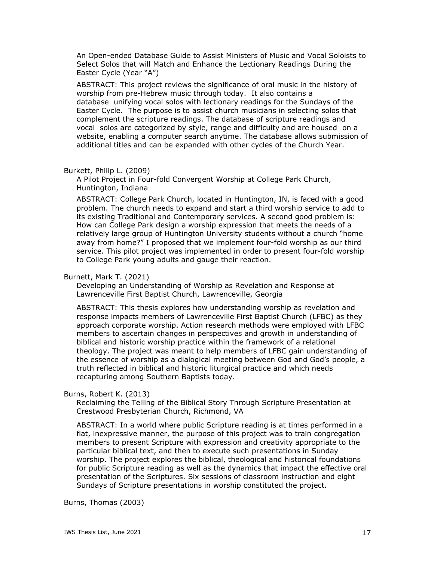An Open-ended Database Guide to Assist Ministers of Music and Vocal Soloists to Select Solos that will Match and Enhance the Lectionary Readings During the Easter Cycle (Year "A")

ABSTRACT: This project reviews the significance of oral music in the history of worship from pre-Hebrew music through today. It also contains a database unifying vocal solos with lectionary readings for the Sundays of the Easter Cycle. The purpose is to assist church musicians in selecting solos that complement the scripture readings. The database of scripture readings and vocal solos are categorized by style, range and difficulty and are housed on a website, enabling a computer search anytime. The database allows submission of additional titles and can be expanded with other cycles of the Church Year.

## Burkett, Philip L. (2009)

A Pilot Project in Four-fold Convergent Worship at College Park Church, Huntington, Indiana

ABSTRACT: College Park Church, located in Huntington, IN, is faced with a good problem. The church needs to expand and start a third worship service to add to its existing Traditional and Contemporary services. A second good problem is: How can College Park design a worship expression that meets the needs of a relatively large group of Huntington University students without a church "home away from home?" I proposed that we implement four-fold worship as our third service. This pilot project was implemented in order to present four-fold worship to College Park young adults and gauge their reaction.

## Burnett, Mark T. (2021)

Developing an Understanding of Worship as Revelation and Response at Lawrenceville First Baptist Church, Lawrenceville, Georgia

ABSTRACT: This thesis explores how understanding worship as revelation and response impacts members of Lawrenceville First Baptist Church (LFBC) as they approach corporate worship. Action research methods were employed with LFBC members to ascertain changes in perspectives and growth in understanding of biblical and historic worship practice within the framework of a relational theology. The project was meant to help members of LFBC gain understanding of the essence of worship as a dialogical meeting between God and God's people, a truth reflected in biblical and historic liturgical practice and which needs recapturing among Southern Baptists today.

## Burns, Robert K. (2013)

Reclaiming the Telling of the Biblical Story Through Scripture Presentation at Crestwood Presbyterian Church, Richmond, VA

ABSTRACT: In a world where public Scripture reading is at times performed in a flat, inexpressive manner, the purpose of this project was to train congregation members to present Scripture with expression and creativity appropriate to the particular biblical text, and then to execute such presentations in Sunday worship. The project explores the biblical, theological and historical foundations for public Scripture reading as well as the dynamics that impact the effective oral presentation of the Scriptures. Six sessions of classroom instruction and eight Sundays of Scripture presentations in worship constituted the project.

Burns, Thomas (2003)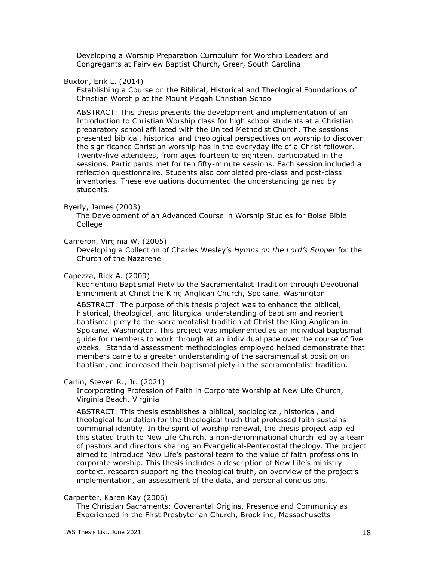Developing a Worship Preparation Curriculum for Worship Leaders and Congregants at Fairview Baptist Church, Greer, South Carolina

## Buxton, Erik L. (2014)

Establishing a Course on the Biblical, Historical and Theological Foundations of Christian Worship at the Mount Pisgah Christian School

ABSTRACT: This thesis presents the development and implementation of an Introduction to Christian Worship class for high school students at a Christian preparatory school affiliated with the United Methodist Church. The sessions presented biblical, historical and theological perspectives on worship to discover the significance Christian worship has in the everyday life of a Christ follower. Twenty-five attendees, from ages fourteen to eighteen, participated in the sessions. Participants met for ten fifty-minute sessions. Each session included a reflection questionnaire. Students also completed pre-class and post-class inventories. These evaluations documented the understanding gained by students.

### Byerly, James (2003)

The Development of an Advanced Course in Worship Studies for Boise Bible College

## Cameron, Virginia W. (2005)

Developing a Collection of Charles Wesley's *Hymns on the Lord's Supper* for the Church of the Nazarene

#### Capezza, Rick A. (2009)

Reorienting Baptismal Piety to the Sacramentalist Tradition through Devotional Enrichment at Christ the King Anglican Church, Spokane, Washington

ABSTRACT: The purpose of this thesis project was to enhance the biblical, historical, theological, and liturgical understanding of baptism and reorient baptismal piety to the sacramentalist tradition at Christ the King Anglican in Spokane, Washington. This project was implemented as an individual baptismal guide for members to work through at an individual pace over the course of five weeks. Standard assessment methodologies employed helped demonstrate that members came to a greater understanding of the sacramentalist position on baptism, and increased their baptismal piety in the sacramentalist tradition.

## Carlin, Steven R., Jr. (2021)

Incorporating Profession of Faith in Corporate Worship at New Life Church, Virginia Beach, Virginia

ABSTRACT: This thesis establishes a biblical, sociological, historical, and theological foundation for the theological truth that professed faith sustains communal identity. In the spirit of worship renewal, the thesis project applied this stated truth to New Life Church, a non-denominational church led by a team of pastors and directors sharing an Evangelical-Pentecostal theology. The project aimed to introduce New Life's pastoral team to the value of faith professions in corporate worship. This thesis includes a description of New Life's ministry context, research supporting the theological truth, an overview of the project's implementation, an assessment of the data, and personal conclusions.

## Carpenter, Karen Kay (2006)

The Christian Sacraments: Covenantal Origins, Presence and Community as Experienced in the First Presbyterian Church, Brookline, Massachusetts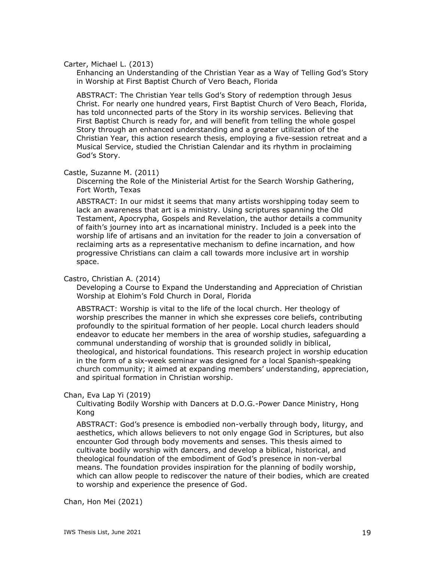Carter, Michael L. (2013)

Enhancing an Understanding of the Christian Year as a Way of Telling God's Story in Worship at First Baptist Church of Vero Beach, Florida

ABSTRACT: The Christian Year tells God's Story of redemption through Jesus Christ. For nearly one hundred years, First Baptist Church of Vero Beach, Florida, has told unconnected parts of the Story in its worship services. Believing that First Baptist Church is ready for, and will benefit from telling the whole gospel Story through an enhanced understanding and a greater utilization of the Christian Year, this action research thesis, employing a five-session retreat and a Musical Service, studied the Christian Calendar and its rhythm in proclaiming God's Story.

Castle, Suzanne M. (2011)

Discerning the Role of the Ministerial Artist for the Search Worship Gathering, Fort Worth, Texas

ABSTRACT: In our midst it seems that many artists worshipping today seem to lack an awareness that art is a ministry. Using scriptures spanning the Old Testament, Apocrypha, Gospels and Revelation, the author details a community of faith's journey into art as incarnational ministry. Included is a peek into the worship life of artisans and an invitation for the reader to join a conversation of reclaiming arts as a representative mechanism to define incarnation, and how progressive Christians can claim a call towards more inclusive art in worship space.

## Castro, Christian A. (2014)

Developing a Course to Expand the Understanding and Appreciation of Christian Worship at Elohim's Fold Church in Doral, Florida

ABSTRACT: Worship is vital to the life of the local church. Her theology of worship prescribes the manner in which she expresses core beliefs, contributing profoundly to the spiritual formation of her people. Local church leaders should endeavor to educate her members in the area of worship studies, safeguarding a communal understanding of worship that is grounded solidly in biblical, theological, and historical foundations. This research project in worship education in the form of a six-week seminar was designed for a local Spanish-speaking church community; it aimed at expanding members' understanding, appreciation, and spiritual formation in Christian worship.

Chan, Eva Lap Yi (2019)

Cultivating Bodily Worship with Dancers at D.O.G.-Power Dance Ministry, Hong Kong

ABSTRACT: God's presence is embodied non-verbally through body, liturgy, and aesthetics, which allows believers to not only engage God in Scriptures, but also encounter God through body movements and senses. This thesis aimed to cultivate bodily worship with dancers, and develop a biblical, historical, and theological foundation of the embodiment of God's presence in non-verbal means. The foundation provides inspiration for the planning of bodily worship, which can allow people to rediscover the nature of their bodies, which are created to worship and experience the presence of God.

Chan, Hon Mei (2021)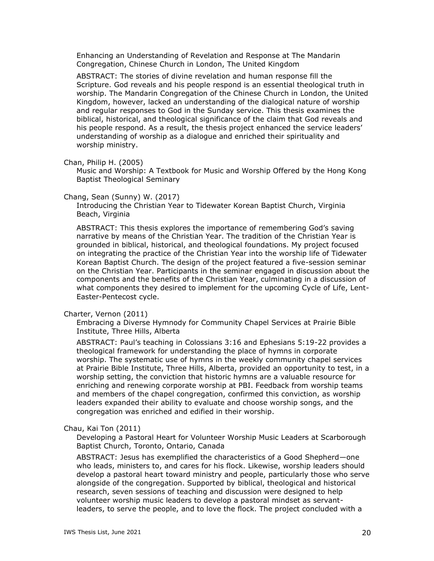Enhancing an Understanding of Revelation and Response at The Mandarin Congregation, Chinese Church in London, The United Kingdom

ABSTRACT: The stories of divine revelation and human response fill the Scripture. God reveals and his people respond is an essential theological truth in worship. The Mandarin Congregation of the Chinese Church in London, the United Kingdom, however, lacked an understanding of the dialogical nature of worship and regular responses to God in the Sunday service. This thesis examines the biblical, historical, and theological significance of the claim that God reveals and his people respond. As a result, the thesis project enhanced the service leaders' understanding of worship as a dialogue and enriched their spirituality and worship ministry.

Chan, Philip H. (2005)

Music and Worship: A Textbook for Music and Worship Offered by the Hong Kong Baptist Theological Seminary

### Chang, Sean (Sunny) W. (2017)

Introducing the Christian Year to Tidewater Korean Baptist Church, Virginia Beach, Virginia

ABSTRACT: This thesis explores the importance of remembering God's saving narrative by means of the Christian Year. The tradition of the Christian Year is grounded in biblical, historical, and theological foundations. My project focused on integrating the practice of the Christian Year into the worship life of Tidewater Korean Baptist Church. The design of the project featured a five-session seminar on the Christian Year. Participants in the seminar engaged in discussion about the components and the benefits of the Christian Year, culminating in a discussion of what components they desired to implement for the upcoming Cycle of Life, Lent-Easter-Pentecost cycle.

### Charter, Vernon (2011)

Embracing a Diverse Hymnody for Community Chapel Services at Prairie Bible Institute, Three Hills, Alberta

ABSTRACT: Paul's teaching in Colossians 3:16 and Ephesians 5:19-22 provides a theological framework for understanding the place of hymns in corporate worship. The systematic use of hymns in the weekly community chapel services at Prairie Bible Institute, Three Hills, Alberta, provided an opportunity to test, in a worship setting, the conviction that historic hymns are a valuable resource for enriching and renewing corporate worship at PBI. Feedback from worship teams and members of the chapel congregation, confirmed this conviction, as worship leaders expanded their ability to evaluate and choose worship songs, and the congregation was enriched and edified in their worship.

### Chau, Kai Ton (2011)

Developing a Pastoral Heart for Volunteer Worship Music Leaders at Scarborough Baptist Church, Toronto, Ontario, Canada

ABSTRACT: Jesus has exemplified the characteristics of a Good Shepherd—one who leads, ministers to, and cares for his flock. Likewise, worship leaders should develop a pastoral heart toward ministry and people, particularly those who serve alongside of the congregation. Supported by biblical, theological and historical research, seven sessions of teaching and discussion were designed to help volunteer worship music leaders to develop a pastoral mindset as servantleaders, to serve the people, and to love the flock. The project concluded with a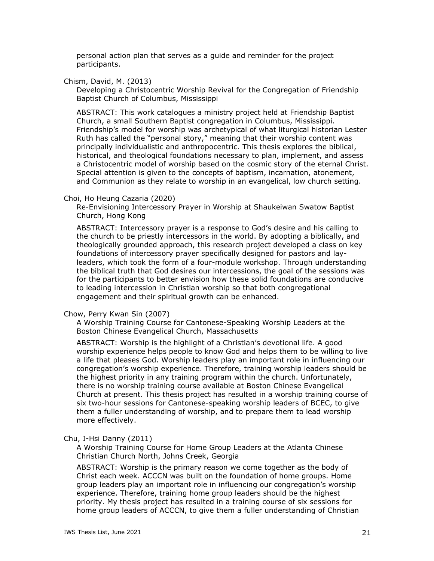personal action plan that serves as a guide and reminder for the project participants.

Chism, David, M. (2013)

Developing a Christocentric Worship Revival for the Congregation of Friendship Baptist Church of Columbus, Mississippi

ABSTRACT: This work catalogues a ministry project held at Friendship Baptist Church, a small Southern Baptist congregation in Columbus, Mississippi. Friendship's model for worship was archetypical of what liturgical historian Lester Ruth has called the "personal story," meaning that their worship content was principally individualistic and anthropocentric. This thesis explores the biblical, historical, and theological foundations necessary to plan, implement, and assess a Christocentric model of worship based on the cosmic story of the eternal Christ. Special attention is given to the concepts of baptism, incarnation, atonement, and Communion as they relate to worship in an evangelical, low church setting.

#### Choi, Ho Heung Cazaria (2020)

Re-Envisioning Intercessory Prayer in Worship at Shaukeiwan Swatow Baptist Church, Hong Kong

ABSTRACT: Intercessory prayer is a response to God's desire and his calling to the church to be priestly intercessors in the world. By adopting a biblically, and theologically grounded approach, this research project developed a class on key foundations of intercessory prayer specifically designed for pastors and layleaders, which took the form of a four-module workshop. Through understanding the biblical truth that God desires our intercessions, the goal of the sessions was for the participants to better envision how these solid foundations are conducive to leading intercession in Christian worship so that both congregational engagement and their spiritual growth can be enhanced.

## Chow, Perry Kwan Sin (2007)

A Worship Training Course for Cantonese-Speaking Worship Leaders at the Boston Chinese Evangelical Church, Massachusetts

ABSTRACT: Worship is the highlight of a Christian's devotional life. A good worship experience helps people to know God and helps them to be willing to live a life that pleases God. Worship leaders play an important role in influencing our congregation's worship experience. Therefore, training worship leaders should be the highest priority in any training program within the church. Unfortunately, there is no worship training course available at Boston Chinese Evangelical Church at present. This thesis project has resulted in a worship training course of six two-hour sessions for Cantonese-speaking worship leaders of BCEC, to give them a fuller understanding of worship, and to prepare them to lead worship more effectively.

#### Chu, I-Hsi Danny (2011)

A Worship Training Course for Home Group Leaders at the Atlanta Chinese Christian Church North, Johns Creek, Georgia

ABSTRACT: Worship is the primary reason we come together as the body of Christ each week. ACCCN was built on the foundation of home groups. Home group leaders play an important role in influencing our congregation's worship experience. Therefore, training home group leaders should be the highest priority. My thesis project has resulted in a training course of six sessions for home group leaders of ACCCN, to give them a fuller understanding of Christian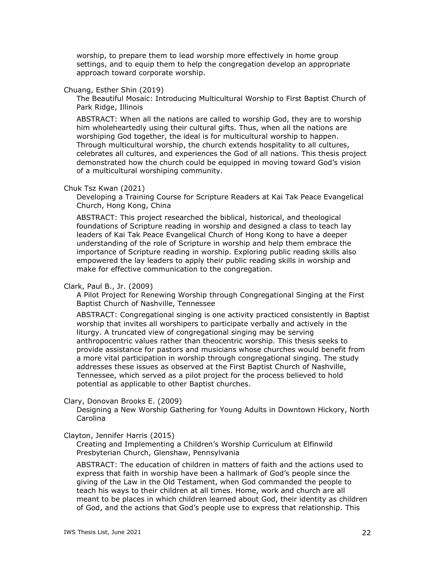worship, to prepare them to lead worship more effectively in home group settings, and to equip them to help the congregation develop an appropriate approach toward corporate worship.

### Chuang, Esther Shin (2019)

The Beautiful Mosaic: Introducing Multicultural Worship to First Baptist Church of Park Ridge, Illinois

ABSTRACT: When all the nations are called to worship God, they are to worship him wholeheartedly using their cultural gifts. Thus, when all the nations are worshiping God together, the ideal is for multicultural worship to happen. Through multicultural worship, the church extends hospitality to all cultures, celebrates all cultures, and experiences the God of all nations. This thesis project demonstrated how the church could be equipped in moving toward God's vision of a multicultural worshiping community.

#### Chuk Tsz Kwan (2021)

Developing a Training Course for Scripture Readers at Kai Tak Peace Evangelical Church, Hong Kong, China

ABSTRACT: This project researched the biblical, historical, and theological foundations of Scripture reading in worship and designed a class to teach lay leaders of Kai Tak Peace Evangelical Church of Hong Kong to have a deeper understanding of the role of Scripture in worship and help them embrace the importance of Scripture reading in worship. Exploring public reading skills also empowered the lay leaders to apply their public reading skills in worship and make for effective communication to the congregation.

### Clark, Paul B., Jr. (2009)

A Pilot Project for Renewing Worship through Congregational Singing at the First Baptist Church of Nashville, Tennessee

ABSTRACT: Congregational singing is one activity practiced consistently in Baptist worship that invites all worshipers to participate verbally and actively in the liturgy. A truncated view of congregational singing may be serving anthropocentric values rather than theocentric worship. This thesis seeks to provide assistance for pastors and musicians whose churches would benefit from a more vital participation in worship through congregational singing. The study addresses these issues as observed at the First Baptist Church of Nashville, Tennessee, which served as a pilot project for the process believed to hold potential as applicable to other Baptist churches.

## Clary, Donovan Brooks E. (2009)

Designing a New Worship Gathering for Young Adults in Downtown Hickory, North Carolina

### Clayton, Jennifer Harris (2015)

Creating and Implementing a Children's Worship Curriculum at Elfinwild Presbyterian Church, Glenshaw, Pennsylvania

ABSTRACT: The education of children in matters of faith and the actions used to express that faith in worship have been a hallmark of God's people since the giving of the Law in the Old Testament, when God commanded the people to teach his ways to their children at all times. Home, work and church are all meant to be places in which children learned about God, their identity as children of God, and the actions that God's people use to express that relationship. This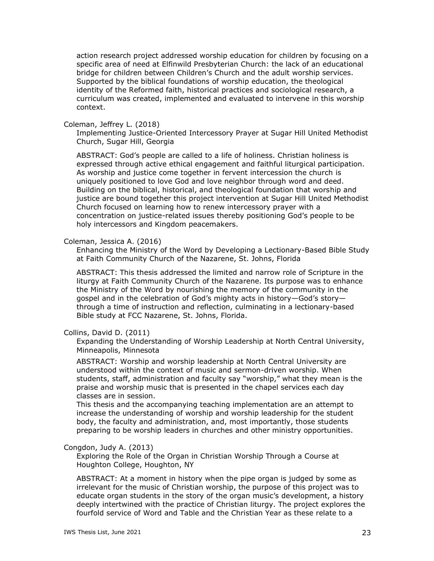action research project addressed worship education for children by focusing on a specific area of need at Elfinwild Presbyterian Church: the lack of an educational bridge for children between Children's Church and the adult worship services. Supported by the biblical foundations of worship education, the theological identity of the Reformed faith, historical practices and sociological research, a curriculum was created, implemented and evaluated to intervene in this worship context.

## Coleman, Jeffrey L. (2018)

Implementing Justice-Oriented Intercessory Prayer at Sugar Hill United Methodist Church, Sugar Hill, Georgia

ABSTRACT: God's people are called to a life of holiness. Christian holiness is expressed through active ethical engagement and faithful liturgical participation. As worship and justice come together in fervent intercession the church is uniquely positioned to love God and love neighbor through word and deed. Building on the biblical, historical, and theological foundation that worship and justice are bound together this project intervention at Sugar Hill United Methodist Church focused on learning how to renew intercessory prayer with a concentration on justice-related issues thereby positioning God's people to be holy intercessors and Kingdom peacemakers.

## Coleman, Jessica A. (2016)

Enhancing the Ministry of the Word by Developing a Lectionary-Based Bible Study at Faith Community Church of the Nazarene, St. Johns, Florida

ABSTRACT: This thesis addressed the limited and narrow role of Scripture in the liturgy at Faith Community Church of the Nazarene. Its purpose was to enhance the Ministry of the Word by nourishing the memory of the community in the gospel and in the celebration of God's mighty acts in history—God's story through a time of instruction and reflection, culminating in a lectionary-based Bible study at FCC Nazarene, St. Johns, Florida.

## Collins, David D. (2011)

Expanding the Understanding of Worship Leadership at North Central University, Minneapolis, Minnesota

ABSTRACT: Worship and worship leadership at North Central University are understood within the context of music and sermon-driven worship. When students, staff, administration and faculty say "worship," what they mean is the praise and worship music that is presented in the chapel services each day classes are in session.

This thesis and the accompanying teaching implementation are an attempt to increase the understanding of worship and worship leadership for the student body, the faculty and administration, and, most importantly, those students preparing to be worship leaders in churches and other ministry opportunities.

## Congdon, Judy A. (2013)

Exploring the Role of the Organ in Christian Worship Through a Course at Houghton College, Houghton, NY

ABSTRACT: At a moment in history when the pipe organ is judged by some as irrelevant for the music of Christian worship, the purpose of this project was to educate organ students in the story of the organ music's development, a history deeply intertwined with the practice of Christian liturgy. The project explores the fourfold service of Word and Table and the Christian Year as these relate to a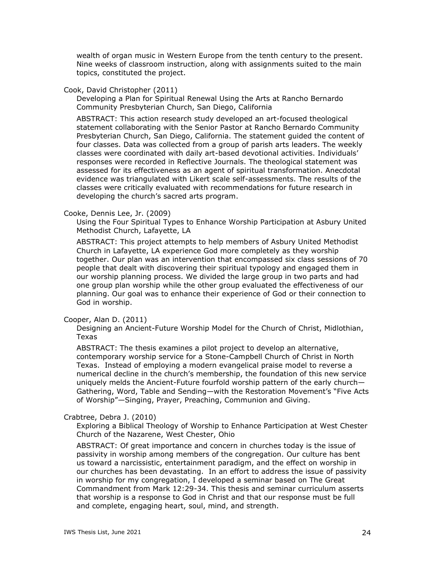wealth of organ music in Western Europe from the tenth century to the present. Nine weeks of classroom instruction, along with assignments suited to the main topics, constituted the project.

## Cook, David Christopher (2011)

Developing a Plan for Spiritual Renewal Using the Arts at Rancho Bernardo Community Presbyterian Church, San Diego, California

ABSTRACT: This action research study developed an art-focused theological statement collaborating with the Senior Pastor at Rancho Bernardo Community Presbyterian Church, San Diego, California. The statement guided the content of four classes. Data was collected from a group of parish arts leaders. The weekly classes were coordinated with daily art-based devotional activities. Individuals' responses were recorded in Reflective Journals. The theological statement was assessed for its effectiveness as an agent of spiritual transformation. Anecdotal evidence was triangulated with Likert scale self-assessments. The results of the classes were critically evaluated with recommendations for future research in developing the church's sacred arts program.

## Cooke, Dennis Lee, Jr. (2009)

Using the Four Spiritual Types to Enhance Worship Participation at Asbury United Methodist Church, Lafayette, LA

ABSTRACT: This project attempts to help members of Asbury United Methodist Church in Lafayette, LA experience God more completely as they worship together. Our plan was an intervention that encompassed six class sessions of 70 people that dealt with discovering their spiritual typology and engaged them in our worship planning process. We divided the large group in two parts and had one group plan worship while the other group evaluated the effectiveness of our planning. Our goal was to enhance their experience of God or their connection to God in worship.

### Cooper, Alan D. (2011)

Designing an Ancient-Future Worship Model for the Church of Christ, Midlothian, Texas

ABSTRACT: The thesis examines a pilot project to develop an alternative, contemporary worship service for a Stone-Campbell Church of Christ in North Texas. Instead of employing a modern evangelical praise model to reverse a numerical decline in the church's membership, the foundation of this new service uniquely melds the Ancient-Future fourfold worship pattern of the early church— Gathering, Word, Table and Sending—with the Restoration Movement's "Five Acts of Worship"—Singing, Prayer, Preaching, Communion and Giving.

### Crabtree, Debra J. (2010)

Exploring a Biblical Theology of Worship to Enhance Participation at West Chester Church of the Nazarene, West Chester, Ohio

ABSTRACT: Of great importance and concern in churches today is the issue of passivity in worship among members of the congregation. Our culture has bent us toward a narcissistic, entertainment paradigm, and the effect on worship in our churches has been devastating. In an effort to address the issue of passivity in worship for my congregation, I developed a seminar based on The Great Commandment from Mark 12:29-34. This thesis and seminar curriculum asserts that worship is a response to God in Christ and that our response must be full and complete, engaging heart, soul, mind, and strength.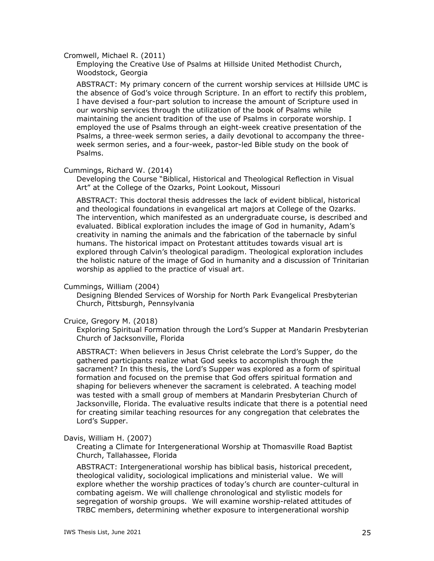### Cromwell, Michael R. (2011)

Employing the Creative Use of Psalms at Hillside United Methodist Church, Woodstock, Georgia

ABSTRACT: My primary concern of the current worship services at Hillside UMC is the absence of God's voice through Scripture. In an effort to rectify this problem, I have devised a four-part solution to increase the amount of Scripture used in our worship services through the utilization of the book of Psalms while maintaining the ancient tradition of the use of Psalms in corporate worship. I employed the use of Psalms through an eight-week creative presentation of the Psalms, a three-week sermon series, a daily devotional to accompany the threeweek sermon series, and a four-week, pastor-led Bible study on the book of Psalms.

#### Cummings, Richard W. (2014)

Developing the Course "Biblical, Historical and Theological Reflection in Visual Art" at the College of the Ozarks, Point Lookout, Missouri

ABSTRACT: This doctoral thesis addresses the lack of evident biblical, historical and theological foundations in evangelical art majors at College of the Ozarks. The intervention, which manifested as an undergraduate course, is described and evaluated. Biblical exploration includes the image of God in humanity, Adam's creativity in naming the animals and the fabrication of the tabernacle by sinful humans. The historical impact on Protestant attitudes towards visual art is explored through Calvin's theological paradigm. Theological exploration includes the holistic nature of the image of God in humanity and a discussion of Trinitarian worship as applied to the practice of visual art.

#### Cummings, William (2004)

Designing Blended Services of Worship for North Park Evangelical Presbyterian Church, Pittsburgh, Pennsylvania

#### Cruice, Gregory M. (2018)

Exploring Spiritual Formation through the Lord's Supper at Mandarin Presbyterian Church of Jacksonville, Florida

ABSTRACT: When believers in Jesus Christ celebrate the Lord's Supper, do the gathered participants realize what God seeks to accomplish through the sacrament? In this thesis, the Lord's Supper was explored as a form of spiritual formation and focused on the premise that God offers spiritual formation and shaping for believers whenever the sacrament is celebrated. A teaching model was tested with a small group of members at Mandarin Presbyterian Church of Jacksonville, Florida. The evaluative results indicate that there is a potential need for creating similar teaching resources for any congregation that celebrates the Lord's Supper.

### Davis, William H. (2007)

Creating a Climate for Intergenerational Worship at Thomasville Road Baptist Church, Tallahassee, Florida

ABSTRACT: Intergenerational worship has biblical basis, historical precedent, theological validity, sociological implications and ministerial value. We will explore whether the worship practices of today's church are counter-cultural in combating ageism. We will challenge chronological and stylistic models for segregation of worship groups. We will examine worship-related attitudes of TRBC members, determining whether exposure to intergenerational worship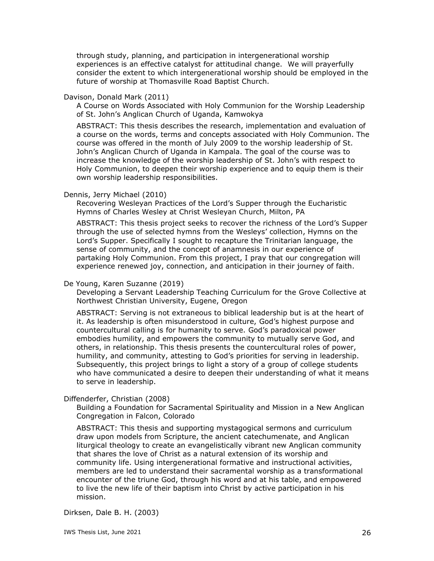through study, planning, and participation in intergenerational worship experiences is an effective catalyst for attitudinal change. We will prayerfully consider the extent to which intergenerational worship should be employed in the future of worship at Thomasville Road Baptist Church.

## Davison, Donald Mark (2011)

A Course on Words Associated with Holy Communion for the Worship Leadership of St. John's Anglican Church of Uganda, Kamwokya

ABSTRACT: This thesis describes the research, implementation and evaluation of a course on the words, terms and concepts associated with Holy Communion. The course was offered in the month of July 2009 to the worship leadership of St. John's Anglican Church of Uganda in Kampala. The goal of the course was to increase the knowledge of the worship leadership of St. John's with respect to Holy Communion, to deepen their worship experience and to equip them is their own worship leadership responsibilities.

## Dennis, Jerry Michael (2010)

Recovering Wesleyan Practices of the Lord's Supper through the Eucharistic Hymns of Charles Wesley at Christ Wesleyan Church, Milton, PA

ABSTRACT: This thesis project seeks to recover the richness of the Lord's Supper through the use of selected hymns from the Wesleys' collection, Hymns on the Lord's Supper. Specifically I sought to recapture the Trinitarian language, the sense of community, and the concept of anamnesis in our experience of partaking Holy Communion. From this project, I pray that our congregation will experience renewed joy, connection, and anticipation in their journey of faith.

### De Young, Karen Suzanne (2019)

Developing a Servant Leadership Teaching Curriculum for the Grove Collective at Northwest Christian University, Eugene, Oregon

ABSTRACT: Serving is not extraneous to biblical leadership but is at the heart of it. As leadership is often misunderstood in culture, God's highest purpose and countercultural calling is for humanity to serve. God's paradoxical power embodies humility, and empowers the community to mutually serve God, and others, in relationship. This thesis presents the countercultural roles of power, humility, and community, attesting to God's priorities for serving in leadership. Subsequently, this project brings to light a story of a group of college students who have communicated a desire to deepen their understanding of what it means to serve in leadership.

## Diffenderfer, Christian (2008)

Building a Foundation for Sacramental Spirituality and Mission in a New Anglican Congregation in Falcon, Colorado

ABSTRACT: This thesis and supporting mystagogical sermons and curriculum draw upon models from Scripture, the ancient catechumenate, and Anglican liturgical theology to create an evangelistically vibrant new Anglican community that shares the love of Christ as a natural extension of its worship and community life. Using intergenerational formative and instructional activities, members are led to understand their sacramental worship as a transformational encounter of the triune God, through his word and at his table, and empowered to live the new life of their baptism into Christ by active participation in his mission.

## Dirksen, Dale B. H. (2003)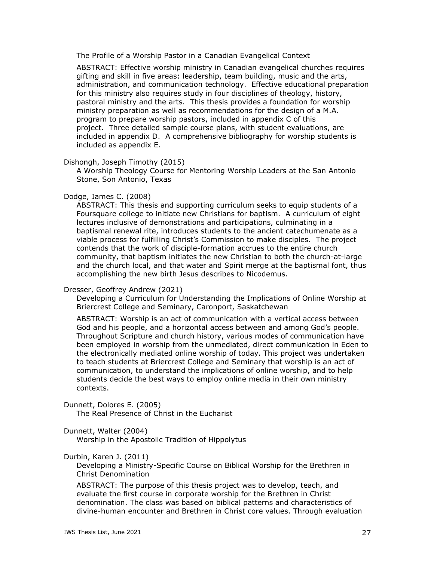The Profile of a Worship Pastor in a Canadian Evangelical Context

ABSTRACT: Effective worship ministry in Canadian evangelical churches requires gifting and skill in five areas: leadership, team building, music and the arts, administration, and communication technology. Effective educational preparation for this ministry also requires study in four disciplines of theology, history, pastoral ministry and the arts. This thesis provides a foundation for worship ministry preparation as well as recommendations for the design of a M.A. program to prepare worship pastors, included in appendix C of this project. Three detailed sample course plans, with student evaluations, are included in appendix D. A comprehensive bibliography for worship students is included as appendix E.

Dishongh, Joseph Timothy (2015)

A Worship Theology Course for Mentoring Worship Leaders at the San Antonio Stone, Son Antonio, Texas

## Dodge, James C. (2008)

ABSTRACT: This thesis and supporting curriculum seeks to equip students of a Foursquare college to initiate new Christians for baptism. A curriculum of eight lectures inclusive of demonstrations and participations, culminating in a baptismal renewal rite, introduces students to the ancient catechumenate as a viable process for fulfilling Christ's Commission to make disciples. The project contends that the work of disciple-formation accrues to the entire church community, that baptism initiates the new Christian to both the church-at-large and the church local, and that water and Spirit merge at the baptismal font, thus accomplishing the new birth Jesus describes to Nicodemus.

### Dresser, Geoffrey Andrew (2021)

Developing a Curriculum for Understanding the Implications of Online Worship at Briercrest College and Seminary, Caronport, Saskatchewan

ABSTRACT: Worship is an act of communication with a vertical access between God and his people, and a horizontal access between and among God's people. Throughout Scripture and church history, various modes of communication have been employed in worship from the unmediated, direct communication in Eden to the electronically mediated online worship of today. This project was undertaken to teach students at Briercrest College and Seminary that worship is an act of communication, to understand the implications of online worship, and to help students decide the best ways to employ online media in their own ministry contexts.

Dunnett, Dolores E. (2005)

The Real Presence of Christ in the Eucharist

## Dunnett, Walter (2004)

Worship in the Apostolic Tradition of Hippolytus

### Durbin, Karen J. (2011)

Developing a Ministry-Specific Course on Biblical Worship for the Brethren in Christ Denomination

ABSTRACT: The purpose of this thesis project was to develop, teach, and evaluate the first course in corporate worship for the Brethren in Christ denomination. The class was based on biblical patterns and characteristics of divine-human encounter and Brethren in Christ core values. Through evaluation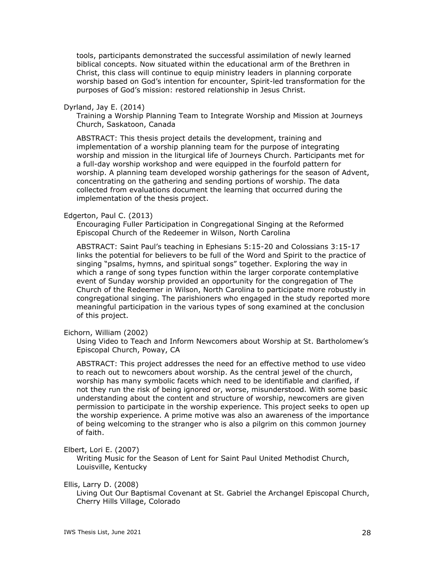tools, participants demonstrated the successful assimilation of newly learned biblical concepts. Now situated within the educational arm of the Brethren in Christ, this class will continue to equip ministry leaders in planning corporate worship based on God's intention for encounter, Spirit-led transformation for the purposes of God's mission: restored relationship in Jesus Christ.

### Dyrland, Jay E. (2014)

Training a Worship Planning Team to Integrate Worship and Mission at Journeys Church, Saskatoon, Canada

ABSTRACT: This thesis project details the development, training and implementation of a worship planning team for the purpose of integrating worship and mission in the liturgical life of Journeys Church. Participants met for a full-day worship workshop and were equipped in the fourfold pattern for worship. A planning team developed worship gatherings for the season of Advent, concentrating on the gathering and sending portions of worship. The data collected from evaluations document the learning that occurred during the implementation of the thesis project.

#### Edgerton, Paul C. (2013)

Encouraging Fuller Participation in Congregational Singing at the Reformed Episcopal Church of the Redeemer in Wilson, North Carolina

ABSTRACT: Saint Paul's teaching in Ephesians 5:15-20 and Colossians 3:15-17 links the potential for believers to be full of the Word and Spirit to the practice of singing "psalms, hymns, and spiritual songs" together. Exploring the way in which a range of song types function within the larger corporate contemplative event of Sunday worship provided an opportunity for the congregation of The Church of the Redeemer in Wilson, North Carolina to participate more robustly in congregational singing. The parishioners who engaged in the study reported more meaningful participation in the various types of song examined at the conclusion of this project.

### Eichorn, William (2002)

Using Video to Teach and Inform Newcomers about Worship at St. Bartholomew's Episcopal Church, Poway, CA

ABSTRACT: This project addresses the need for an effective method to use video to reach out to newcomers about worship. As the central jewel of the church, worship has many symbolic facets which need to be identifiable and clarified, if not they run the risk of being ignored or, worse, misunderstood. With some basic understanding about the content and structure of worship, newcomers are given permission to participate in the worship experience. This project seeks to open up the worship experience. A prime motive was also an awareness of the importance of being welcoming to the stranger who is also a pilgrim on this common journey of faith.

Elbert, Lori E. (2007)

Writing Music for the Season of Lent for Saint Paul United Methodist Church, Louisville, Kentucky

Ellis, Larry D. (2008)

Living Out Our Baptismal Covenant at St. Gabriel the Archangel Episcopal Church, Cherry Hills Village, Colorado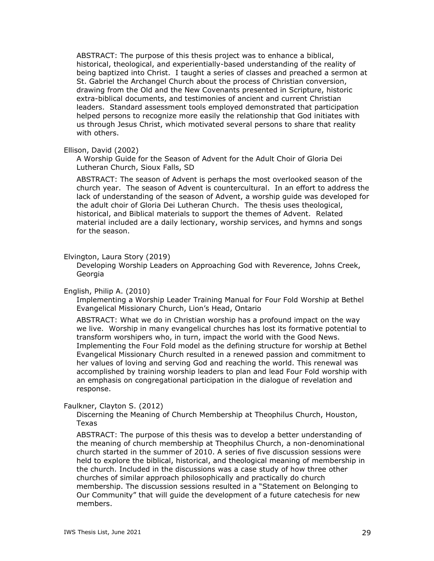ABSTRACT: The purpose of this thesis project was to enhance a biblical, historical, theological, and experientially-based understanding of the reality of being baptized into Christ. I taught a series of classes and preached a sermon at St. Gabriel the Archangel Church about the process of Christian conversion, drawing from the Old and the New Covenants presented in Scripture, historic extra-biblical documents, and testimonies of ancient and current Christian leaders. Standard assessment tools employed demonstrated that participation helped persons to recognize more easily the relationship that God initiates with us through Jesus Christ, which motivated several persons to share that reality with others.

### Ellison, David (2002)

A Worship Guide for the Season of Advent for the Adult Choir of Gloria Dei Lutheran Church, Sioux Falls, SD

ABSTRACT: The season of Advent is perhaps the most overlooked season of the church year. The season of Advent is countercultural. In an effort to address the lack of understanding of the season of Advent, a worship guide was developed for the adult choir of Gloria Dei Lutheran Church. The thesis uses theological, historical, and Biblical materials to support the themes of Advent. Related material included are a daily lectionary, worship services, and hymns and songs for the season.

Elvington, Laura Story (2019)

Developing Worship Leaders on Approaching God with Reverence, Johns Creek, Georgia

English, Philip A. (2010)

Implementing a Worship Leader Training Manual for Four Fold Worship at Bethel Evangelical Missionary Church, Lion's Head, Ontario

ABSTRACT: What we do in Christian worship has a profound impact on the way we live. Worship in many evangelical churches has lost its formative potential to transform worshipers who, in turn, impact the world with the Good News. Implementing the Four Fold model as the defining structure for worship at Bethel Evangelical Missionary Church resulted in a renewed passion and commitment to her values of loving and serving God and reaching the world. This renewal was accomplished by training worship leaders to plan and lead Four Fold worship with an emphasis on congregational participation in the dialogue of revelation and response.

Faulkner, Clayton S. (2012)

Discerning the Meaning of Church Membership at Theophilus Church, Houston, Texas

ABSTRACT: The purpose of this thesis was to develop a better understanding of the meaning of church membership at Theophilus Church, a non-denominational church started in the summer of 2010. A series of five discussion sessions were held to explore the biblical, historical, and theological meaning of membership in the church. Included in the discussions was a case study of how three other churches of similar approach philosophically and practically do church membership. The discussion sessions resulted in a "Statement on Belonging to Our Community" that will guide the development of a future catechesis for new members.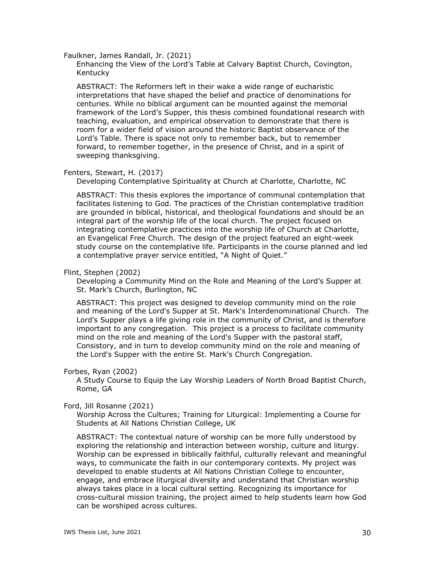Faulkner, James Randall, Jr. (2021)

Enhancing the View of the Lord's Table at Calvary Baptist Church, Covington, Kentucky

ABSTRACT: The Reformers left in their wake a wide range of eucharistic interpretations that have shaped the belief and practice of denominations for centuries. While no biblical argument can be mounted against the memorial framework of the Lord's Supper, this thesis combined foundational research with teaching, evaluation, and empirical observation to demonstrate that there is room for a wider field of vision around the historic Baptist observance of the Lord's Table. There is space not only to remember back, but to remember forward, to remember together, in the presence of Christ, and in a spirit of sweeping thanksgiving.

## Fenters, Stewart, H. (2017)

Developing Contemplative Spirituality at Church at Charlotte, Charlotte, NC

ABSTRACT: This thesis explores the importance of communal contemplation that facilitates listening to God. The practices of the Christian contemplative tradition are grounded in biblical, historical, and theological foundations and should be an integral part of the worship life of the local church. The project focused on integrating contemplative practices into the worship life of Church at Charlotte, an Evangelical Free Church. The design of the project featured an eight-week study course on the contemplative life. Participants in the course planned and led a contemplative prayer service entitled, "A Night of Quiet."

## Flint, Stephen (2002)

Developing a Community Mind on the Role and Meaning of the Lord's Supper at St. Mark's Church, Burlington, NC

ABSTRACT: This project was designed to develop community mind on the role and meaning of the Lord's Supper at St. Mark's Interdenominational Church. The Lord's Supper plays a life giving role in the community of Christ, and is therefore important to any congregation. This project is a process to facilitate community mind on the role and meaning of the Lord's Supper with the pastoral staff, Consistory, and in turn to develop community mind on the role and meaning of the Lord's Supper with the entire St. Mark's Church Congregation.

### Forbes, Ryan (2002)

A Study Course to Equip the Lay Worship Leaders of North Broad Baptist Church, Rome, GA

### Ford, Jill Rosanne (2021)

Worship Across the Cultures; Training for Liturgical: Implementing a Course for Students at All Nations Christian College, UK

ABSTRACT: The contextual nature of worship can be more fully understood by exploring the relationship and interaction between worship, culture and liturgy. Worship can be expressed in biblically faithful, culturally relevant and meaningful ways, to communicate the faith in our contemporary contexts. My project was developed to enable students at All Nations Christian College to encounter, engage, and embrace liturgical diversity and understand that Christian worship always takes place in a local cultural setting. Recognizing its importance for cross-cultural mission training, the project aimed to help students learn how God can be worshiped across cultures.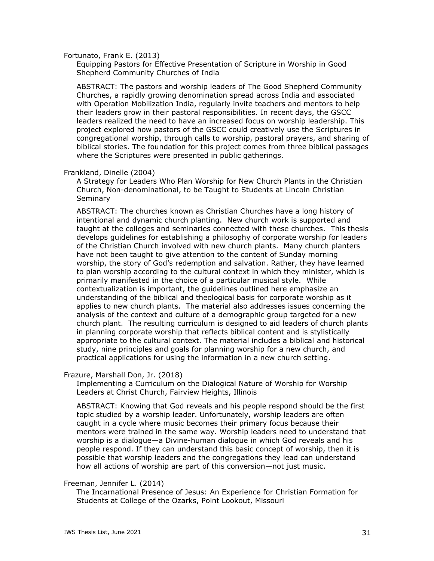### Fortunato, Frank E. (2013)

Equipping Pastors for Effective Presentation of Scripture in Worship in Good Shepherd Community Churches of India

ABSTRACT: The pastors and worship leaders of The Good Shepherd Community Churches, a rapidly growing denomination spread across India and associated with Operation Mobilization India, regularly invite teachers and mentors to help their leaders grow in their pastoral responsibilities. In recent days, the GSCC leaders realized the need to have an increased focus on worship leadership. This project explored how pastors of the GSCC could creatively use the Scriptures in congregational worship, through calls to worship, pastoral prayers, and sharing of biblical stories. The foundation for this project comes from three biblical passages where the Scriptures were presented in public gatherings.

### Frankland, Dinelle (2004)

A Strategy for Leaders Who Plan Worship for New Church Plants in the Christian Church, Non-denominational, to be Taught to Students at Lincoln Christian Seminary

ABSTRACT: The churches known as Christian Churches have a long history of intentional and dynamic church planting. New church work is supported and taught at the colleges and seminaries connected with these churches. This thesis develops guidelines for establishing a philosophy of corporate worship for leaders of the Christian Church involved with new church plants. Many church planters have not been taught to give attention to the content of Sunday morning worship, the story of God's redemption and salvation. Rather, they have learned to plan worship according to the cultural context in which they minister, which is primarily manifested in the choice of a particular musical style. While contextualization is important, the guidelines outlined here emphasize an understanding of the biblical and theological basis for corporate worship as it applies to new church plants. The material also addresses issues concerning the analysis of the context and culture of a demographic group targeted for a new church plant. The resulting curriculum is designed to aid leaders of church plants in planning corporate worship that reflects biblical content and is stylistically appropriate to the cultural context. The material includes a biblical and historical study, nine principles and goals for planning worship for a new church, and practical applications for using the information in a new church setting.

#### Frazure, Marshall Don, Jr. (2018)

Implementing a Curriculum on the Dialogical Nature of Worship for Worship Leaders at Christ Church, Fairview Heights, Illinois

ABSTRACT: Knowing that God reveals and his people respond should be the first topic studied by a worship leader. Unfortunately, worship leaders are often caught in a cycle where music becomes their primary focus because their mentors were trained in the same way. Worship leaders need to understand that worship is a dialogue—a Divine-human dialogue in which God reveals and his people respond. If they can understand this basic concept of worship, then it is possible that worship leaders and the congregations they lead can understand how all actions of worship are part of this conversion—not just music.

## Freeman, Jennifer L. (2014)

The Incarnational Presence of Jesus: An Experience for Christian Formation for Students at College of the Ozarks, Point Lookout, Missouri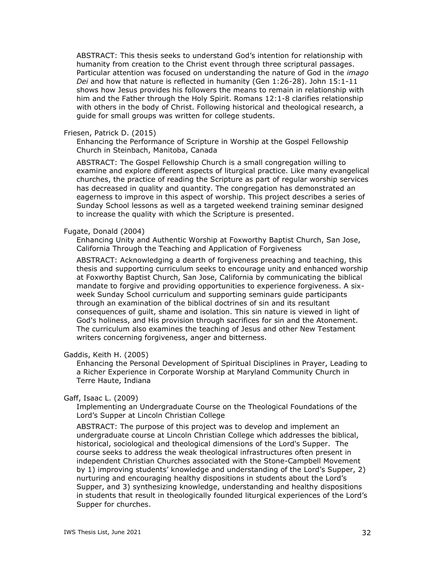ABSTRACT: This thesis seeks to understand God's intention for relationship with humanity from creation to the Christ event through three scriptural passages. Particular attention was focused on understanding the nature of God in the *imago Dei* and how that nature is reflected in humanity (Gen 1:26-28). John 15:1-11 shows how Jesus provides his followers the means to remain in relationship with him and the Father through the Holy Spirit. Romans 12:1-8 clarifies relationship with others in the body of Christ. Following historical and theological research, a guide for small groups was written for college students.

### Friesen, Patrick D. (2015)

Enhancing the Performance of Scripture in Worship at the Gospel Fellowship Church in Steinbach, Manitoba, Canada

ABSTRACT: The Gospel Fellowship Church is a small congregation willing to examine and explore different aspects of liturgical practice. Like many evangelical churches, the practice of reading the Scripture as part of regular worship services has decreased in quality and quantity. The congregation has demonstrated an eagerness to improve in this aspect of worship. This project describes a series of Sunday School lessons as well as a targeted weekend training seminar designed to increase the quality with which the Scripture is presented.

#### Fugate, Donald (2004)

Enhancing Unity and Authentic Worship at Foxworthy Baptist Church, San Jose, California Through the Teaching and Application of Forgiveness

ABSTRACT: Acknowledging a dearth of forgiveness preaching and teaching, this thesis and supporting curriculum seeks to encourage unity and enhanced worship at Foxworthy Baptist Church, San Jose, California by communicating the biblical mandate to forgive and providing opportunities to experience forgiveness. A sixweek Sunday School curriculum and supporting seminars guide participants through an examination of the biblical doctrines of sin and its resultant consequences of guilt, shame and isolation. This sin nature is viewed in light of God's holiness, and His provision through sacrifices for sin and the Atonement. The curriculum also examines the teaching of Jesus and other New Testament writers concerning forgiveness, anger and bitterness.

## Gaddis, Keith H. (2005)

Enhancing the Personal Development of Spiritual Disciplines in Prayer, Leading to a Richer Experience in Corporate Worship at Maryland Community Church in Terre Haute, Indiana

## Gaff, Isaac L. (2009)

Implementing an Undergraduate Course on the Theological Foundations of the Lord's Supper at Lincoln Christian College

ABSTRACT: The purpose of this project was to develop and implement an undergraduate course at Lincoln Christian College which addresses the biblical, historical, sociological and theological dimensions of the Lord's Supper. The course seeks to address the weak theological infrastructures often present in independent Christian Churches associated with the Stone-Campbell Movement by 1) improving students' knowledge and understanding of the Lord's Supper, 2) nurturing and encouraging healthy dispositions in students about the Lord's Supper, and 3) synthesizing knowledge, understanding and healthy dispositions in students that result in theologically founded liturgical experiences of the Lord's Supper for churches.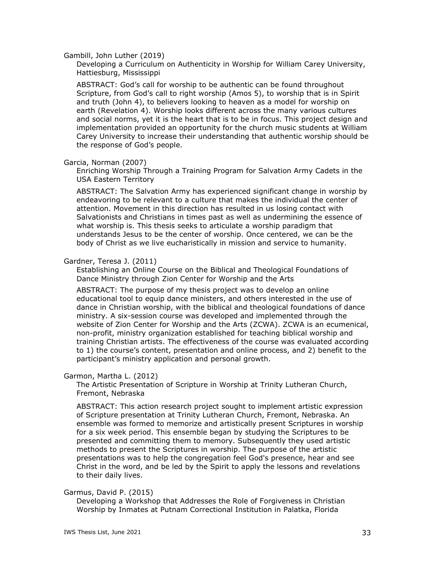#### Gambill, John Luther (2019)

Developing a Curriculum on Authenticity in Worship for William Carey University, Hattiesburg, Mississippi

ABSTRACT: God's call for worship to be authentic can be found throughout Scripture, from God's call to right worship (Amos 5), to worship that is in Spirit and truth (John 4), to believers looking to heaven as a model for worship on earth (Revelation 4). Worship looks different across the many various cultures and social norms, yet it is the heart that is to be in focus. This project design and implementation provided an opportunity for the church music students at William Carey University to increase their understanding that authentic worship should be the response of God's people.

#### Garcia, Norman (2007)

Enriching Worship Through a Training Program for Salvation Army Cadets in the USA Eastern Territory

ABSTRACT: The Salvation Army has experienced significant change in worship by endeavoring to be relevant to a culture that makes the individual the center of attention. Movement in this direction has resulted in us losing contact with Salvationists and Christians in times past as well as undermining the essence of what worship is. This thesis seeks to articulate a worship paradigm that understands Jesus to be the center of worship. Once centered, we can be the body of Christ as we live eucharistically in mission and service to humanity.

### Gardner, Teresa J. (2011)

Establishing an Online Course on the Biblical and Theological Foundations of Dance Ministry through Zion Center for Worship and the Arts

ABSTRACT: The purpose of my thesis project was to develop an online educational tool to equip dance ministers, and others interested in the use of dance in Christian worship, with the biblical and theological foundations of dance ministry. A six-session course was developed and implemented through the website of Zion Center for Worship and the Arts (ZCWA). ZCWA is an ecumenical, non-profit, ministry organization established for teaching biblical worship and training Christian artists. The effectiveness of the course was evaluated according to 1) the course's content, presentation and online process, and 2) benefit to the participant's ministry application and personal growth.

### Garmon, Martha L. (2012)

The Artistic Presentation of Scripture in Worship at Trinity Lutheran Church, Fremont, Nebraska

ABSTRACT: This action research project sought to implement artistic expression of Scripture presentation at Trinity Lutheran Church, Fremont, Nebraska. An ensemble was formed to memorize and artistically present Scriptures in worship for a six week period. This ensemble began by studying the Scriptures to be presented and committing them to memory. Subsequently they used artistic methods to present the Scriptures in worship. The purpose of the artistic presentations was to help the congregation feel God's presence, hear and see Christ in the word, and be led by the Spirit to apply the lessons and revelations to their daily lives.

### Garmus, David P. (2015)

Developing a Workshop that Addresses the Role of Forgiveness in Christian Worship by Inmates at Putnam Correctional Institution in Palatka, Florida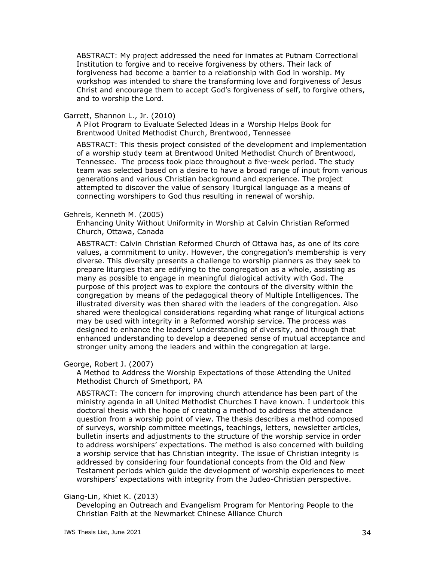ABSTRACT: My project addressed the need for inmates at Putnam Correctional Institution to forgive and to receive forgiveness by others. Their lack of forgiveness had become a barrier to a relationship with God in worship. My workshop was intended to share the transforming love and forgiveness of Jesus Christ and encourage them to accept God's forgiveness of self, to forgive others, and to worship the Lord.

#### Garrett, Shannon L., Jr. (2010)

A Pilot Program to Evaluate Selected Ideas in a Worship Helps Book for Brentwood United Methodist Church, Brentwood, Tennessee

ABSTRACT: This thesis project consisted of the development and implementation of a worship study team at Brentwood United Methodist Church of Brentwood, Tennessee. The process took place throughout a five-week period. The study team was selected based on a desire to have a broad range of input from various generations and various Christian background and experience. The project attempted to discover the value of sensory liturgical language as a means of connecting worshipers to God thus resulting in renewal of worship.

#### Gehrels, Kenneth M. (2005)

Enhancing Unity Without Uniformity in Worship at Calvin Christian Reformed Church, Ottawa, Canada

ABSTRACT: Calvin Christian Reformed Church of Ottawa has, as one of its core values, a commitment to unity. However, the congregation's membership is very diverse. This diversity presents a challenge to worship planners as they seek to prepare liturgies that are edifying to the congregation as a whole, assisting as many as possible to engage in meaningful dialogical activity with God. The purpose of this project was to explore the contours of the diversity within the congregation by means of the pedagogical theory of Multiple Intelligences. The illustrated diversity was then shared with the leaders of the congregation. Also shared were theological considerations regarding what range of liturgical actions may be used with integrity in a Reformed worship service. The process was designed to enhance the leaders' understanding of diversity, and through that enhanced understanding to develop a deepened sense of mutual acceptance and stronger unity among the leaders and within the congregation at large.

George, Robert J. (2007)

A Method to Address the Worship Expectations of those Attending the United Methodist Church of Smethport, PA

ABSTRACT: The concern for improving church attendance has been part of the ministry agenda in all United Methodist Churches I have known. I undertook this doctoral thesis with the hope of creating a method to address the attendance question from a worship point of view. The thesis describes a method composed of surveys, worship committee meetings, teachings, letters, newsletter articles, bulletin inserts and adjustments to the structure of the worship service in order to address worshipers' expectations. The method is also concerned with building a worship service that has Christian integrity. The issue of Christian integrity is addressed by considering four foundational concepts from the Old and New Testament periods which guide the development of worship experiences to meet worshipers' expectations with integrity from the Judeo-Christian perspective.

### Giang-Lin, Khiet K. (2013)

Developing an Outreach and Evangelism Program for Mentoring People to the Christian Faith at the Newmarket Chinese Alliance Church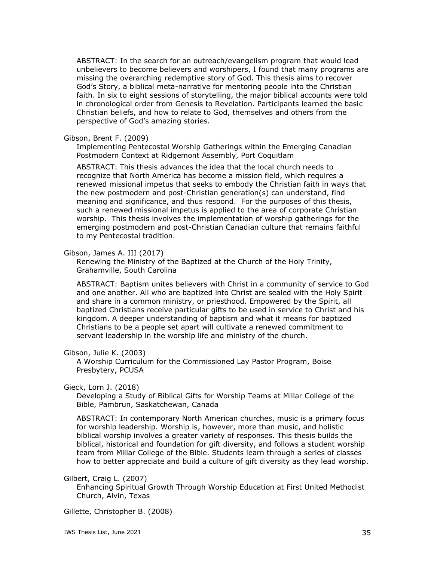ABSTRACT: In the search for an outreach/evangelism program that would lead unbelievers to become believers and worshipers, I found that many programs are missing the overarching redemptive story of God. This thesis aims to recover God's Story, a biblical meta-narrative for mentoring people into the Christian faith. In six to eight sessions of storytelling, the major biblical accounts were told in chronological order from Genesis to Revelation. Participants learned the basic Christian beliefs, and how to relate to God, themselves and others from the perspective of God's amazing stories.

#### Gibson, Brent F. (2009)

Implementing Pentecostal Worship Gatherings within the Emerging Canadian Postmodern Context at Ridgemont Assembly, Port Coquitlam

ABSTRACT: This thesis advances the idea that the local church needs to recognize that North America has become a mission field, which requires a renewed missional impetus that seeks to embody the Christian faith in ways that the new postmodern and post-Christian generation(s) can understand, find meaning and significance, and thus respond. For the purposes of this thesis, such a renewed missional impetus is applied to the area of corporate Christian worship. This thesis involves the implementation of worship gatherings for the emerging postmodern and post-Christian Canadian culture that remains faithful to my Pentecostal tradition.

### Gibson, James A. III (2017)

Renewing the Ministry of the Baptized at the Church of the Holy Trinity, Grahamville, South Carolina

ABSTRACT: Baptism unites believers with Christ in a community of service to God and one another. All who are baptized into Christ are sealed with the Holy Spirit and share in a common ministry, or priesthood. Empowered by the Spirit, all baptized Christians receive particular gifts to be used in service to Christ and his kingdom. A deeper understanding of baptism and what it means for baptized Christians to be a people set apart will cultivate a renewed commitment to servant leadership in the worship life and ministry of the church.

### Gibson, Julie K. (2003)

A Worship Curriculum for the Commissioned Lay Pastor Program, Boise Presbytery, PCUSA

### Gieck, Lorn J. (2018)

Developing a Study of Biblical Gifts for Worship Teams at Millar College of the Bible, Pambrun, Saskatchewan, Canada

ABSTRACT: In contemporary North American churches, music is a primary focus for worship leadership. Worship is, however, more than music, and holistic biblical worship involves a greater variety of responses. This thesis builds the biblical, historical and foundation for gift diversity, and follows a student worship team from Millar College of the Bible. Students learn through a series of classes how to better appreciate and build a culture of gift diversity as they lead worship.

### Gilbert, Craig L. (2007)

Enhancing Spiritual Growth Through Worship Education at First United Methodist Church, Alvin, Texas

Gillette, Christopher B. (2008)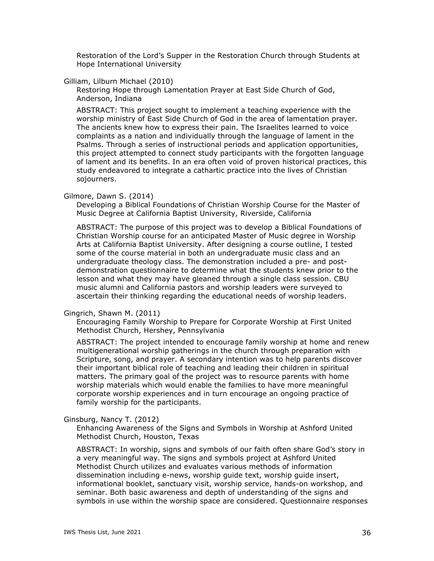Restoration of the Lord's Supper in the Restoration Church through Students at Hope International University

## Gilliam, Lilburn Michael (2010)

Restoring Hope through Lamentation Prayer at East Side Church of God, Anderson, Indiana

ABSTRACT: This project sought to implement a teaching experience with the worship ministry of East Side Church of God in the area of lamentation prayer. The ancients knew how to express their pain. The Israelites learned to voice complaints as a nation and individually through the language of lament in the Psalms. Through a series of instructional periods and application opportunities, this project attempted to connect study participants with the forgotten language of lament and its benefits. In an era often void of proven historical practices, this study endeavored to integrate a cathartic practice into the lives of Christian sojourners.

#### Gilmore, Dawn S. (2014)

Developing a Biblical Foundations of Christian Worship Course for the Master of Music Degree at California Baptist University, Riverside, California

ABSTRACT: The purpose of this project was to develop a Biblical Foundations of Christian Worship course for an anticipated Master of Music degree in Worship Arts at California Baptist University. After designing a course outline, I tested some of the course material in both an undergraduate music class and an undergraduate theology class. The demonstration included a pre- and postdemonstration questionnaire to determine what the students knew prior to the lesson and what they may have gleaned through a single class session. CBU music alumni and California pastors and worship leaders were surveyed to ascertain their thinking regarding the educational needs of worship leaders.

### Gingrich, Shawn M. (2011)

Encouraging Family Worship to Prepare for Corporate Worship at First United Methodist Church, Hershey, Pennsylvania

ABSTRACT: The project intended to encourage family worship at home and renew multigenerational worship gatherings in the church through preparation with Scripture, song, and prayer. A secondary intention was to help parents discover their important biblical role of teaching and leading their children in spiritual matters. The primary goal of the project was to resource parents with home worship materials which would enable the families to have more meaningful corporate worship experiences and in turn encourage an ongoing practice of family worship for the participants.

Ginsburg, Nancy T. (2012)

Enhancing Awareness of the Signs and Symbols in Worship at Ashford United Methodist Church, Houston, Texas

ABSTRACT: In worship, signs and symbols of our faith often share God's story in a very meaningful way. The signs and symbols project at Ashford United Methodist Church utilizes and evaluates various methods of information dissemination including e-news, worship guide text, worship guide insert, informational booklet, sanctuary visit, worship service, hands-on workshop, and seminar. Both basic awareness and depth of understanding of the signs and symbols in use within the worship space are considered. Questionnaire responses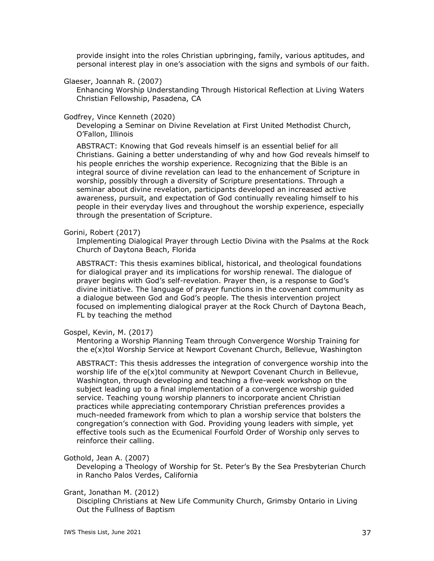provide insight into the roles Christian upbringing, family, various aptitudes, and personal interest play in one's association with the signs and symbols of our faith.

### Glaeser, Joannah R. (2007)

Enhancing Worship Understanding Through Historical Reflection at Living Waters Christian Fellowship, Pasadena, CA

#### Godfrey, Vince Kenneth (2020)

Developing a Seminar on Divine Revelation at First United Methodist Church, O'Fallon, Illinois

ABSTRACT: Knowing that God reveals himself is an essential belief for all Christians. Gaining a better understanding of why and how God reveals himself to his people enriches the worship experience. Recognizing that the Bible is an integral source of divine revelation can lead to the enhancement of Scripture in worship, possibly through a diversity of Scripture presentations. Through a seminar about divine revelation, participants developed an increased active awareness, pursuit, and expectation of God continually revealing himself to his people in their everyday lives and throughout the worship experience, especially through the presentation of Scripture.

#### Gorini, Robert (2017)

Implementing Dialogical Prayer through Lectio Divina with the Psalms at the Rock Church of Daytona Beach, Florida

ABSTRACT: This thesis examines biblical, historical, and theological foundations for dialogical prayer and its implications for worship renewal. The dialogue of prayer begins with God's self-revelation. Prayer then, is a response to God's divine initiative. The language of prayer functions in the covenant community as a dialogue between God and God's people. The thesis intervention project focused on implementing dialogical prayer at the Rock Church of Daytona Beach, FL by teaching the method

#### Gospel, Kevin, M. (2017)

Mentoring a Worship Planning Team through Convergence Worship Training for the e(x)tol Worship Service at Newport Covenant Church, Bellevue, Washington

ABSTRACT: This thesis addresses the integration of convergence worship into the worship life of the e(x)tol community at Newport Covenant Church in Bellevue, Washington, through developing and teaching a five-week workshop on the subject leading up to a final implementation of a convergence worship guided service. Teaching young worship planners to incorporate ancient Christian practices while appreciating contemporary Christian preferences provides a much-needed framework from which to plan a worship service that bolsters the congregation's connection with God. Providing young leaders with simple, yet effective tools such as the Ecumenical Fourfold Order of Worship only serves to reinforce their calling.

#### Gothold, Jean A. (2007)

Developing a Theology of Worship for St. Peter's By the Sea Presbyterian Church in Rancho Palos Verdes, California

# Grant, Jonathan M. (2012)

Discipling Christians at New Life Community Church, Grimsby Ontario in Living Out the Fullness of Baptism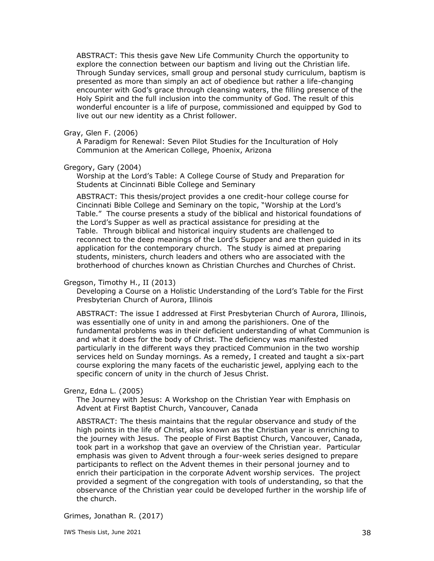ABSTRACT: This thesis gave New Life Community Church the opportunity to explore the connection between our baptism and living out the Christian life. Through Sunday services, small group and personal study curriculum, baptism is presented as more than simply an act of obedience but rather a life-changing encounter with God's grace through cleansing waters, the filling presence of the Holy Spirit and the full inclusion into the community of God. The result of this wonderful encounter is a life of purpose, commissioned and equipped by God to live out our new identity as a Christ follower.

# Gray, Glen F. (2006)

A Paradigm for Renewal: Seven Pilot Studies for the Inculturation of Holy Communion at the American College, Phoenix, Arizona

# Gregory, Gary (2004)

Worship at the Lord's Table: A College Course of Study and Preparation for Students at Cincinnati Bible College and Seminary

ABSTRACT: This thesis/project provides a one credit-hour college course for Cincinnati Bible College and Seminary on the topic, "Worship at the Lord's Table." The course presents a study of the biblical and historical foundations of the Lord's Supper as well as practical assistance for presiding at the Table. Through biblical and historical inquiry students are challenged to reconnect to the deep meanings of the Lord's Supper and are then guided in its application for the contemporary church. The study is aimed at preparing students, ministers, church leaders and others who are associated with the brotherhood of churches known as Christian Churches and Churches of Christ.

## Gregson, Timothy H., II (2013)

Developing a Course on a Holistic Understanding of the Lord's Table for the First Presbyterian Church of Aurora, Illinois

ABSTRACT: The issue I addressed at First Presbyterian Church of Aurora, Illinois, was essentially one of unity in and among the parishioners. One of the fundamental problems was in their deficient understanding of what Communion is and what it does for the body of Christ. The deficiency was manifested particularly in the different ways they practiced Communion in the two worship services held on Sunday mornings. As a remedy, I created and taught a six-part course exploring the many facets of the eucharistic jewel, applying each to the specific concern of unity in the church of Jesus Christ.

### Grenz, Edna L. (2005)

The Journey with Jesus: A Workshop on the Christian Year with Emphasis on Advent at First Baptist Church, Vancouver, Canada

ABSTRACT: The thesis maintains that the regular observance and study of the high points in the life of Christ, also known as the Christian year is enriching to the journey with Jesus. The people of First Baptist Church, Vancouver, Canada, took part in a workshop that gave an overview of the Christian year. Particular emphasis was given to Advent through a four-week series designed to prepare participants to reflect on the Advent themes in their personal journey and to enrich their participation in the corporate Advent worship services. The project provided a segment of the congregation with tools of understanding, so that the observance of the Christian year could be developed further in the worship life of the church.

Grimes, Jonathan R. (2017)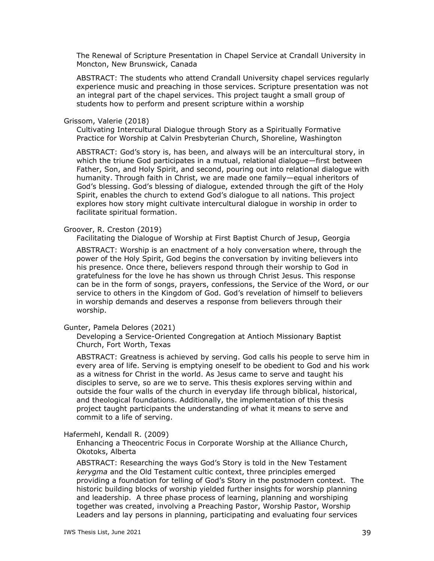The Renewal of Scripture Presentation in Chapel Service at Crandall University in Moncton, New Brunswick, Canada

ABSTRACT: The students who attend Crandall University chapel services regularly experience music and preaching in those services. Scripture presentation was not an integral part of the chapel services. This project taught a small group of students how to perform and present scripture within a worship

#### Grissom, Valerie (2018)

Cultivating Intercultural Dialogue through Story as a Spiritually Formative Practice for Worship at Calvin Presbyterian Church, Shoreline, Washington

ABSTRACT: God's story is, has been, and always will be an intercultural story, in which the triune God participates in a mutual, relational dialogue—first between Father, Son, and Holy Spirit, and second, pouring out into relational dialogue with humanity. Through faith in Christ, we are made one family—equal inheritors of God's blessing. God's blessing of dialogue, extended through the gift of the Holy Spirit, enables the church to extend God's dialogue to all nations. This project explores how story might cultivate intercultural dialogue in worship in order to facilitate spiritual formation.

#### Groover, R. Creston (2019)

Facilitating the Dialogue of Worship at First Baptist Church of Jesup, Georgia

ABSTRACT: Worship is an enactment of a holy conversation where, through the power of the Holy Spirit, God begins the conversation by inviting believers into his presence. Once there, believers respond through their worship to God in gratefulness for the love he has shown us through Christ Jesus. This response can be in the form of songs, prayers, confessions, the Service of the Word, or our service to others in the Kingdom of God. God's revelation of himself to believers in worship demands and deserves a response from believers through their worship.

### Gunter, Pamela Delores (2021)

Developing a Service-Oriented Congregation at Antioch Missionary Baptist Church, Fort Worth, Texas

ABSTRACT: Greatness is achieved by serving. God calls his people to serve him in every area of life. Serving is emptying oneself to be obedient to God and his work as a witness for Christ in the world. As Jesus came to serve and taught his disciples to serve, so are we to serve. This thesis explores serving within and outside the four walls of the church in everyday life through biblical, historical, and theological foundations. Additionally, the implementation of this thesis project taught participants the understanding of what it means to serve and commit to a life of serving.

#### Hafermehl, Kendall R. (2009)

Enhancing a Theocentric Focus in Corporate Worship at the Alliance Church, Okotoks, Alberta

ABSTRACT: Researching the ways God's Story is told in the New Testament *kerygma* and the Old Testament cultic context, three principles emerged providing a foundation for telling of God's Story in the postmodern context. The historic building blocks of worship yielded further insights for worship planning and leadership. A three phase process of learning, planning and worshiping together was created, involving a Preaching Pastor, Worship Pastor, Worship Leaders and lay persons in planning, participating and evaluating four services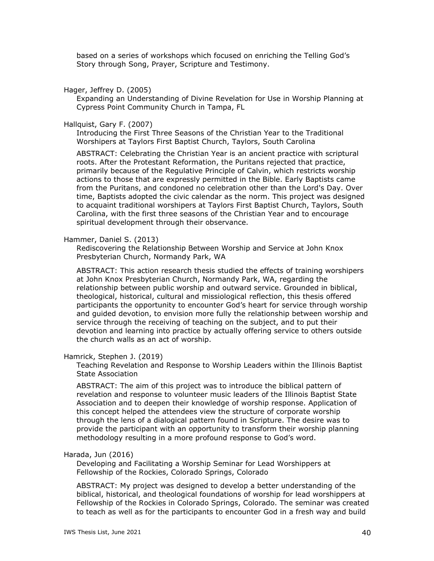based on a series of workshops which focused on enriching the Telling God's Story through Song, Prayer, Scripture and Testimony.

Hager, Jeffrey D. (2005)

Expanding an Understanding of Divine Revelation for Use in Worship Planning at Cypress Point Community Church in Tampa, FL

Hallquist, Gary F. (2007)

Introducing the First Three Seasons of the Christian Year to the Traditional Worshipers at Taylors First Baptist Church, Taylors, South Carolina

ABSTRACT: Celebrating the Christian Year is an ancient practice with scriptural roots. After the Protestant Reformation, the Puritans rejected that practice, primarily because of the Regulative Principle of Calvin, which restricts worship actions to those that are expressly permitted in the Bible. Early Baptists came from the Puritans, and condoned no celebration other than the Lord's Day. Over time, Baptists adopted the civic calendar as the norm. This project was designed to acquaint traditional worshipers at Taylors First Baptist Church, Taylors, South Carolina, with the first three seasons of the Christian Year and to encourage spiritual development through their observance.

Hammer, Daniel S. (2013)

Rediscovering the Relationship Between Worship and Service at John Knox Presbyterian Church, Normandy Park, WA

ABSTRACT: This action research thesis studied the effects of training worshipers at John Knox Presbyterian Church, Normandy Park, WA, regarding the relationship between public worship and outward service. Grounded in biblical, theological, historical, cultural and missiological reflection, this thesis offered participants the opportunity to encounter God's heart for service through worship and guided devotion, to envision more fully the relationship between worship and service through the receiving of teaching on the subject, and to put their devotion and learning into practice by actually offering service to others outside the church walls as an act of worship.

#### Hamrick, Stephen J. (2019)

Teaching Revelation and Response to Worship Leaders within the Illinois Baptist State Association

ABSTRACT: The aim of this project was to introduce the biblical pattern of revelation and response to volunteer music leaders of the Illinois Baptist State Association and to deepen their knowledge of worship response. Application of this concept helped the attendees view the structure of corporate worship through the lens of a dialogical pattern found in Scripture. The desire was to provide the participant with an opportunity to transform their worship planning methodology resulting in a more profound response to God's word.

#### Harada, Jun (2016)

Developing and Facilitating a Worship Seminar for Lead Worshippers at Fellowship of the Rockies, Colorado Springs, Colorado

ABSTRACT: My project was designed to develop a better understanding of the biblical, historical, and theological foundations of worship for lead worshippers at Fellowship of the Rockies in Colorado Springs, Colorado. The seminar was created to teach as well as for the participants to encounter God in a fresh way and build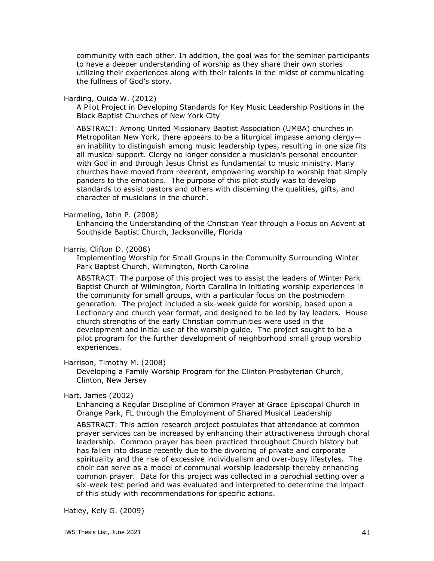community with each other. In addition, the goal was for the seminar participants to have a deeper understanding of worship as they share their own stories utilizing their experiences along with their talents in the midst of communicating the fullness of God's story.

#### Harding, Ouida W. (2012)

A Pilot Project in Developing Standards for Key Music Leadership Positions in the Black Baptist Churches of New York City

ABSTRACT: Among United Missionary Baptist Association (UMBA) churches in Metropolitan New York, there appears to be a liturgical impasse among clergy an inability to distinguish among music leadership types, resulting in one size fits all musical support. Clergy no longer consider a musician's personal encounter with God in and through Jesus Christ as fundamental to music ministry. Many churches have moved from reverent, empowering worship to worship that simply panders to the emotions. The purpose of this pilot study was to develop standards to assist pastors and others with discerning the qualities, gifts, and character of musicians in the church.

#### Harmeling, John P. (2008)

Enhancing the Understanding of the Christian Year through a Focus on Advent at Southside Baptist Church, Jacksonville, Florida

### Harris, Clifton D. (2008)

Implementing Worship for Small Groups in the Community Surrounding Winter Park Baptist Church, Wilmington, North Carolina

ABSTRACT: The purpose of this project was to assist the leaders of Winter Park Baptist Church of Wilmington, North Carolina in initiating worship experiences in the community for small groups, with a particular focus on the postmodern generation. The project included a six-week guide for worship, based upon a Lectionary and church year format, and designed to be led by lay leaders. House church strengths of the early Christian communities were used in the development and initial use of the worship guide. The project sought to be a pilot program for the further development of neighborhood small group worship experiences.

### Harrison, Timothy M. (2008)

Developing a Family Worship Program for the Clinton Presbyterian Church, Clinton, New Jersey

### Hart, James (2002)

Enhancing a Regular Discipline of Common Prayer at Grace Episcopal Church in Orange Park, FL through the Employment of Shared Musical Leadership

ABSTRACT: This action research project postulates that attendance at common prayer services can be increased by enhancing their attractiveness through choral leadership. Common prayer has been practiced throughout Church history but has fallen into disuse recently due to the divorcing of private and corporate spirituality and the rise of excessive individualism and over-busy lifestyles. The choir can serve as a model of communal worship leadership thereby enhancing common prayer. Data for this project was collected in a parochial setting over a six-week test period and was evaluated and interpreted to determine the impact of this study with recommendations for specific actions.

Hatley, Kely G. (2009)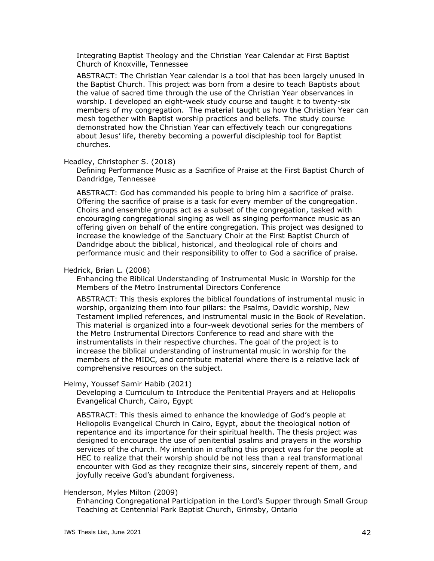Integrating Baptist Theology and the Christian Year Calendar at First Baptist Church of Knoxville, Tennessee

ABSTRACT: The Christian Year calendar is a tool that has been largely unused in the Baptist Church. This project was born from a desire to teach Baptists about the value of sacred time through the use of the Christian Year observances in worship. I developed an eight-week study course and taught it to twenty-six members of my congregation. The material taught us how the Christian Year can mesh together with Baptist worship practices and beliefs. The study course demonstrated how the Christian Year can effectively teach our congregations about Jesus' life, thereby becoming a powerful discipleship tool for Baptist churches.

#### Headley, Christopher S. (2018)

Defining Performance Music as a Sacrifice of Praise at the First Baptist Church of Dandridge, Tennessee

ABSTRACT: God has commanded his people to bring him a sacrifice of praise. Offering the sacrifice of praise is a task for every member of the congregation. Choirs and ensemble groups act as a subset of the congregation, tasked with encouraging congregational singing as well as singing performance music as an offering given on behalf of the entire congregation. This project was designed to increase the knowledge of the Sanctuary Choir at the First Baptist Church of Dandridge about the biblical, historical, and theological role of choirs and performance music and their responsibility to offer to God a sacrifice of praise.

#### Hedrick, Brian L. (2008)

Enhancing the Biblical Understanding of Instrumental Music in Worship for the Members of the Metro Instrumental Directors Conference

ABSTRACT: This thesis explores the biblical foundations of instrumental music in worship, organizing them into four pillars: the Psalms, Davidic worship, New Testament implied references, and instrumental music in the Book of Revelation. This material is organized into a four-week devotional series for the members of the Metro Instrumental Directors Conference to read and share with the instrumentalists in their respective churches. The goal of the project is to increase the biblical understanding of instrumental music in worship for the members of the MIDC, and contribute material where there is a relative lack of comprehensive resources on the subject.

#### Helmy, Youssef Samir Habib (2021)

Developing a Curriculum to Introduce the Penitential Prayers and at Heliopolis Evangelical Church, Cairo, Egypt

ABSTRACT: This thesis aimed to enhance the knowledge of God's people at Heliopolis Evangelical Church in Cairo, Egypt, about the theological notion of repentance and its importance for their spiritual health. The thesis project was designed to encourage the use of penitential psalms and prayers in the worship services of the church. My intention in crafting this project was for the people at HEC to realize that their worship should be not less than a real transformational encounter with God as they recognize their sins, sincerely repent of them, and joyfully receive God's abundant forgiveness.

### Henderson, Myles Milton (2009)

Enhancing Congregational Participation in the Lord's Supper through Small Group Teaching at Centennial Park Baptist Church, Grimsby, Ontario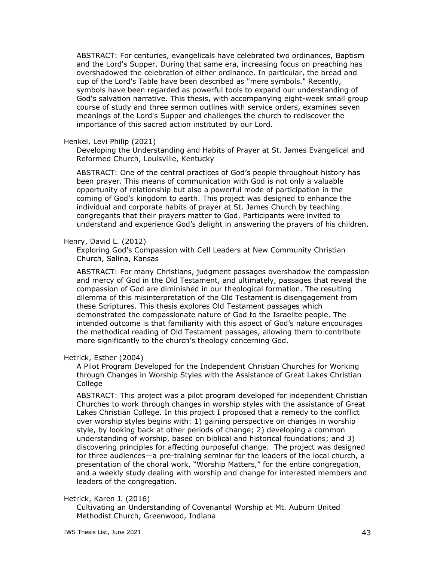ABSTRACT: For centuries, evangelicals have celebrated two ordinances, Baptism and the Lord's Supper. During that same era, increasing focus on preaching has overshadowed the celebration of either ordinance. In particular, the bread and cup of the Lord's Table have been described as "mere symbols." Recently, symbols have been regarded as powerful tools to expand our understanding of God's salvation narrative. This thesis, with accompanying eight-week small group course of study and three sermon outlines with service orders, examines seven meanings of the Lord's Supper and challenges the church to rediscover the importance of this sacred action instituted by our Lord.

### Henkel, Levi Philip (2021)

Developing the Understanding and Habits of Prayer at St. James Evangelical and Reformed Church, Louisville, Kentucky

ABSTRACT: One of the central practices of God's people throughout history has been prayer. This means of communication with God is not only a valuable opportunity of relationship but also a powerful mode of participation in the coming of God's kingdom to earth. This project was designed to enhance the individual and corporate habits of prayer at St. James Church by teaching congregants that their prayers matter to God. Participants were invited to understand and experience God's delight in answering the prayers of his children.

# Henry, David L. (2012)

Exploring God's Compassion with Cell Leaders at New Community Christian Church, Salina, Kansas

ABSTRACT: For many Christians, judgment passages overshadow the compassion and mercy of God in the Old Testament, and ultimately, passages that reveal the compassion of God are diminished in our theological formation. The resulting dilemma of this misinterpretation of the Old Testament is disengagement from these Scriptures. This thesis explores Old Testament passages which demonstrated the compassionate nature of God to the Israelite people. The intended outcome is that familiarity with this aspect of God's nature encourages the methodical reading of Old Testament passages, allowing them to contribute more significantly to the church's theology concerning God.

# Hetrick, Esther (2004)

A Pilot Program Developed for the Independent Christian Churches for Working through Changes in Worship Styles with the Assistance of Great Lakes Christian **College** 

ABSTRACT: This project was a pilot program developed for independent Christian Churches to work through changes in worship styles with the assistance of Great Lakes Christian College. In this project I proposed that a remedy to the conflict over worship styles begins with: 1) gaining perspective on changes in worship style, by looking back at other periods of change; 2) developing a common understanding of worship, based on biblical and historical foundations; and 3) discovering principles for affecting purposeful change. The project was designed for three audiences—a pre-training seminar for the leaders of the local church, a presentation of the choral work, "Worship Matters," for the entire congregation, and a weekly study dealing with worship and change for interested members and leaders of the congregation.

# Hetrick, Karen J. (2016)

Cultivating an Understanding of Covenantal Worship at Mt. Auburn United Methodist Church, Greenwood, Indiana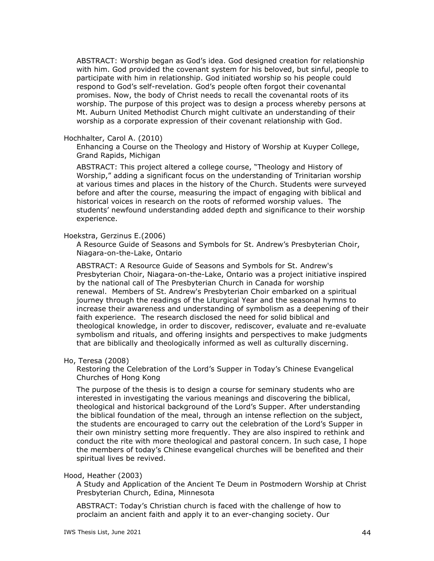ABSTRACT: Worship began as God's idea. God designed creation for relationship with him. God provided the covenant system for his beloved, but sinful, people to participate with him in relationship. God initiated worship so his people could respond to God's self-revelation. God's people often forgot their covenantal promises. Now, the body of Christ needs to recall the covenantal roots of its worship. The purpose of this project was to design a process whereby persons at Mt. Auburn United Methodist Church might cultivate an understanding of their worship as a corporate expression of their covenant relationship with God.

### Hochhalter, Carol A. (2010)

Enhancing a Course on the Theology and History of Worship at Kuyper College, Grand Rapids, Michigan

ABSTRACT: This project altered a college course, "Theology and History of Worship," adding a significant focus on the understanding of Trinitarian worship at various times and places in the history of the Church. Students were surveyed before and after the course, measuring the impact of engaging with biblical and historical voices in research on the roots of reformed worship values. The students' newfound understanding added depth and significance to their worship experience.

# Hoekstra, Gerzinus E.(2006)

A Resource Guide of Seasons and Symbols for St. Andrew's Presbyterian Choir, Niagara-on-the-Lake, Ontario

ABSTRACT: A Resource Guide of Seasons and Symbols for St. Andrew's Presbyterian Choir, Niagara-on-the-Lake, Ontario was a project initiative inspired by the national call of The Presbyterian Church in Canada for worship renewal. Members of St. Andrew's Presbyterian Choir embarked on a spiritual journey through the readings of the Liturgical Year and the seasonal hymns to increase their awareness and understanding of symbolism as a deepening of their faith experience. The research disclosed the need for solid biblical and theological knowledge, in order to discover, rediscover, evaluate and re-evaluate symbolism and rituals, and offering insights and perspectives to make judgments that are biblically and theologically informed as well as culturally discerning.

### Ho, Teresa (2008)

Restoring the Celebration of the Lord's Supper in Today's Chinese Evangelical Churches of Hong Kong

The purpose of the thesis is to design a course for seminary students who are interested in investigating the various meanings and discovering the biblical, theological and historical background of the Lord's Supper. After understanding the biblical foundation of the meal, through an intense reflection on the subject, the students are encouraged to carry out the celebration of the Lord's Supper in their own ministry setting more frequently. They are also inspired to rethink and conduct the rite with more theological and pastoral concern. In such case, I hope the members of today's Chinese evangelical churches will be benefited and their spiritual lives be revived.

# Hood, Heather (2003)

A Study and Application of the Ancient Te Deum in Postmodern Worship at Christ Presbyterian Church, Edina, Minnesota

ABSTRACT: Today's Christian church is faced with the challenge of how to proclaim an ancient faith and apply it to an ever-changing society. Our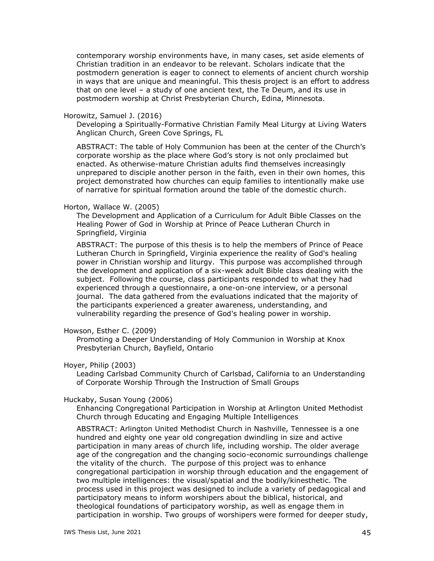contemporary worship environments have, in many cases, set aside elements of Christian tradition in an endeavor to be relevant. Scholars indicate that the postmodern generation is eager to connect to elements of ancient church worship in ways that are unique and meaningful. This thesis project is an effort to address that on one level – a study of one ancient text, the Te Deum, and its use in postmodern worship at Christ Presbyterian Church, Edina, Minnesota.

#### Horowitz, Samuel J. (2016)

Developing a Spiritually-Formative Christian Family Meal Liturgy at Living Waters Anglican Church, Green Cove Springs, FL

ABSTRACT: The table of Holy Communion has been at the center of the Church's corporate worship as the place where God's story is not only proclaimed but enacted. As otherwise-mature Christian adults find themselves increasingly unprepared to disciple another person in the faith, even in their own homes, this project demonstrated how churches can equip families to intentionally make use of narrative for spiritual formation around the table of the domestic church.

#### Horton, Wallace W. (2005)

The Development and Application of a Curriculum for Adult Bible Classes on the Healing Power of God in Worship at Prince of Peace Lutheran Church in Springfield, Virginia

ABSTRACT: The purpose of this thesis is to help the members of Prince of Peace Lutheran Church in Springfield, Virginia experience the reality of God's healing power in Christian worship and liturgy. This purpose was accomplished through the development and application of a six-week adult Bible class dealing with the subject. Following the course, class participants responded to what they had experienced through a questionnaire, a one-on-one interview, or a personal journal. The data gathered from the evaluations indicated that the majority of the participants experienced a greater awareness, understanding, and vulnerability regarding the presence of God's healing power in worship.

## Howson, Esther C. (2009)

Promoting a Deeper Understanding of Holy Communion in Worship at Knox Presbyterian Church, Bayfield, Ontario

### Hoyer, Philip (2003)

Leading Carlsbad Community Church of Carlsbad, California to an Understanding of Corporate Worship Through the Instruction of Small Groups

### Huckaby, Susan Young (2006)

Enhancing Congregational Participation in Worship at Arlington United Methodist Church through Educating and Engaging Multiple Intelligences

ABSTRACT: Arlington United Methodist Church in Nashville, Tennessee is a one hundred and eighty one year old congregation dwindling in size and active participation in many areas of church life, including worship. The older average age of the congregation and the changing socio-economic surroundings challenge the vitality of the church. The purpose of this project was to enhance congregational participation in worship through education and the engagement of two multiple intelligences: the visual/spatial and the bodily/kinesthetic. The process used in this project was designed to include a variety of pedagogical and participatory means to inform worshipers about the biblical, historical, and theological foundations of participatory worship, as well as engage them in participation in worship. Two groups of worshipers were formed for deeper study,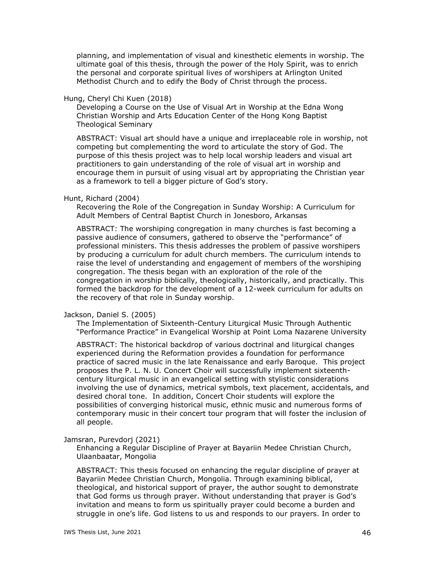planning, and implementation of visual and kinesthetic elements in worship. The ultimate goal of this thesis, through the power of the Holy Spirit, was to enrich the personal and corporate spiritual lives of worshipers at Arlington United Methodist Church and to edify the Body of Christ through the process.

# Hung, Cheryl Chi Kuen (2018)

Developing a Course on the Use of Visual Art in Worship at the Edna Wong Christian Worship and Arts Education Center of the Hong Kong Baptist Theological Seminary

ABSTRACT: Visual art should have a unique and irreplaceable role in worship, not competing but complementing the word to articulate the story of God. The purpose of this thesis project was to help local worship leaders and visual art practitioners to gain understanding of the role of visual art in worship and encourage them in pursuit of using visual art by appropriating the Christian year as a framework to tell a bigger picture of God's story.

# Hunt, Richard (2004)

Recovering the Role of the Congregation in Sunday Worship: A Curriculum for Adult Members of Central Baptist Church in Jonesboro, Arkansas

ABSTRACT: The worshiping congregation in many churches is fast becoming a passive audience of consumers, gathered to observe the "performance" of professional ministers. This thesis addresses the problem of passive worshipers by producing a curriculum for adult church members. The curriculum intends to raise the level of understanding and engagement of members of the worshiping congregation. The thesis began with an exploration of the role of the congregation in worship biblically, theologically, historically, and practically. This formed the backdrop for the development of a 12-week curriculum for adults on the recovery of that role in Sunday worship.

### Jackson, Daniel S. (2005)

The Implementation of Sixteenth-Century Liturgical Music Through Authentic "Performance Practice" in Evangelical Worship at Point Loma Nazarene University

ABSTRACT: The historical backdrop of various doctrinal and liturgical changes experienced during the Reformation provides a foundation for performance practice of sacred music in the late Renaissance and early Baroque. This project proposes the P. L. N. U. Concert Choir will successfully implement sixteenthcentury liturgical music in an evangelical setting with stylistic considerations involving the use of dynamics, metrical symbols, text placement, accidentals, and desired choral tone. In addition, Concert Choir students will explore the possibilities of converging historical music, ethnic music and numerous forms of contemporary music in their concert tour program that will foster the inclusion of all people.

### Jamsran, Purevdorj (2021)

Enhancing a Regular Discipline of Prayer at Bayariin Medee Christian Church, Ulaanbaatar, Mongolia

ABSTRACT: This thesis focused on enhancing the regular discipline of prayer at Bayariin Medee Christian Church, Mongolia. Through examining biblical, theological, and historical support of prayer, the author sought to demonstrate that God forms us through prayer. Without understanding that prayer is God's invitation and means to form us spiritually prayer could become a burden and struggle in one's life. God listens to us and responds to our prayers. In order to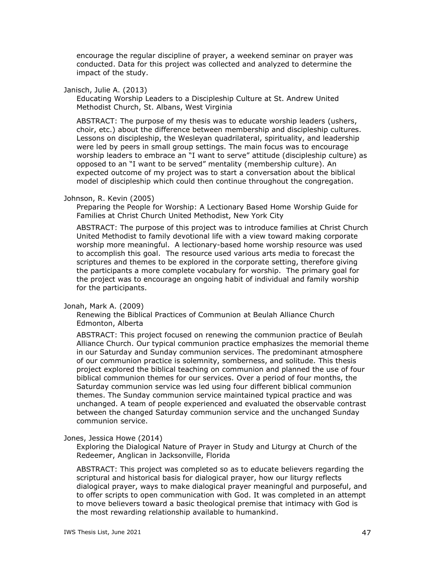encourage the regular discipline of prayer, a weekend seminar on prayer was conducted. Data for this project was collected and analyzed to determine the impact of the study.

### Janisch, Julie A. (2013)

Educating Worship Leaders to a Discipleship Culture at St. Andrew United Methodist Church, St. Albans, West Virginia

ABSTRACT: The purpose of my thesis was to educate worship leaders (ushers, choir, etc.) about the difference between membership and discipleship cultures. Lessons on discipleship, the Wesleyan quadrilateral, spirituality, and leadership were led by peers in small group settings. The main focus was to encourage worship leaders to embrace an "I want to serve" attitude (discipleship culture) as opposed to an "I want to be served" mentality (membership culture). An expected outcome of my project was to start a conversation about the biblical model of discipleship which could then continue throughout the congregation.

# Johnson, R. Kevin (2005)

Preparing the People for Worship: A Lectionary Based Home Worship Guide for Families at Christ Church United Methodist, New York City

ABSTRACT: The purpose of this project was to introduce families at Christ Church United Methodist to family devotional life with a view toward making corporate worship more meaningful. A lectionary-based home worship resource was used to accomplish this goal. The resource used various arts media to forecast the scriptures and themes to be explored in the corporate setting, therefore giving the participants a more complete vocabulary for worship. The primary goal for the project was to encourage an ongoing habit of individual and family worship for the participants.

### Jonah, Mark A. (2009)

Renewing the Biblical Practices of Communion at Beulah Alliance Church Edmonton, Alberta

ABSTRACT: This project focused on renewing the communion practice of Beulah Alliance Church. Our typical communion practice emphasizes the memorial theme in our Saturday and Sunday communion services. The predominant atmosphere of our communion practice is solemnity, somberness, and solitude. This thesis project explored the biblical teaching on communion and planned the use of four biblical communion themes for our services. Over a period of four months, the Saturday communion service was led using four different biblical communion themes. The Sunday communion service maintained typical practice and was unchanged. A team of people experienced and evaluated the observable contrast between the changed Saturday communion service and the unchanged Sunday communion service.

### Jones, Jessica Howe (2014)

Exploring the Dialogical Nature of Prayer in Study and Liturgy at Church of the Redeemer, Anglican in Jacksonville, Florida

ABSTRACT: This project was completed so as to educate believers regarding the scriptural and historical basis for dialogical prayer, how our liturgy reflects dialogical prayer, ways to make dialogical prayer meaningful and purposeful, and to offer scripts to open communication with God. It was completed in an attempt to move believers toward a basic theological premise that intimacy with God is the most rewarding relationship available to humankind.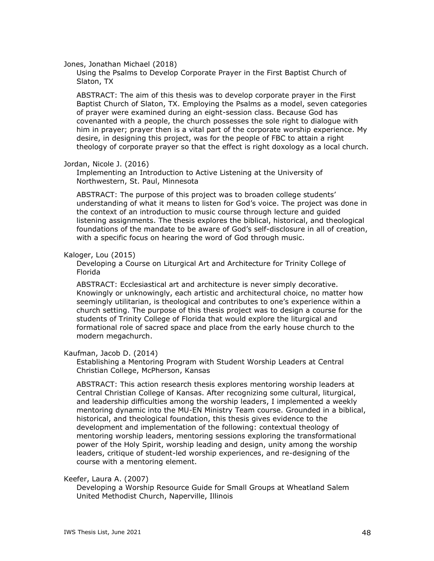Jones, Jonathan Michael (2018)

Using the Psalms to Develop Corporate Prayer in the First Baptist Church of Slaton, TX

ABSTRACT: The aim of this thesis was to develop corporate prayer in the First Baptist Church of Slaton, TX. Employing the Psalms as a model, seven categories of prayer were examined during an eight-session class. Because God has covenanted with a people, the church possesses the sole right to dialogue with him in prayer; prayer then is a vital part of the corporate worship experience. My desire, in designing this project, was for the people of FBC to attain a right theology of corporate prayer so that the effect is right doxology as a local church.

### Jordan, Nicole J. (2016)

Implementing an Introduction to Active Listening at the University of Northwestern, St. Paul, Minnesota

ABSTRACT: The purpose of this project was to broaden college students' understanding of what it means to listen for God's voice. The project was done in the context of an introduction to music course through lecture and guided listening assignments. The thesis explores the biblical, historical, and theological foundations of the mandate to be aware of God's self-disclosure in all of creation, with a specific focus on hearing the word of God through music.

### Kaloger, Lou (2015)

Developing a Course on Liturgical Art and Architecture for Trinity College of Florida

ABSTRACT: Ecclesiastical art and architecture is never simply decorative. Knowingly or unknowingly, each artistic and architectural choice, no matter how seemingly utilitarian, is theological and contributes to one's experience within a church setting. The purpose of this thesis project was to design a course for the students of Trinity College of Florida that would explore the liturgical and formational role of sacred space and place from the early house church to the modern megachurch.

### Kaufman, Jacob D. (2014)

Establishing a Mentoring Program with Student Worship Leaders at Central Christian College, McPherson, Kansas

ABSTRACT: This action research thesis explores mentoring worship leaders at Central Christian College of Kansas. After recognizing some cultural, liturgical, and leadership difficulties among the worship leaders, I implemented a weekly mentoring dynamic into the MU-EN Ministry Team course. Grounded in a biblical, historical, and theological foundation, this thesis gives evidence to the development and implementation of the following: contextual theology of mentoring worship leaders, mentoring sessions exploring the transformational power of the Holy Spirit, worship leading and design, unity among the worship leaders, critique of student-led worship experiences, and re-designing of the course with a mentoring element.

# Keefer, Laura A. (2007)

Developing a Worship Resource Guide for Small Groups at Wheatland Salem United Methodist Church, Naperville, Illinois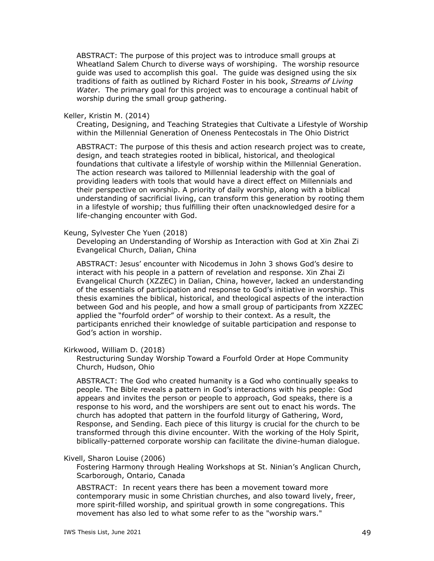ABSTRACT: The purpose of this project was to introduce small groups at Wheatland Salem Church to diverse ways of worshiping. The worship resource guide was used to accomplish this goal. The guide was designed using the six traditions of faith as outlined by Richard Foster in his book, *Streams of Living Water*. The primary goal for this project was to encourage a continual habit of worship during the small group gathering.

#### Keller, Kristin M. (2014)

Creating, Designing, and Teaching Strategies that Cultivate a Lifestyle of Worship within the Millennial Generation of Oneness Pentecostals in The Ohio District

ABSTRACT: The purpose of this thesis and action research project was to create, design, and teach strategies rooted in biblical, historical, and theological foundations that cultivate a lifestyle of worship within the Millennial Generation. The action research was tailored to Millennial leadership with the goal of providing leaders with tools that would have a direct effect on Millennials and their perspective on worship. A priority of daily worship, along with a biblical understanding of sacrificial living, can transform this generation by rooting them in a lifestyle of worship; thus fulfilling their often unacknowledged desire for a life-changing encounter with God.

### Keung, Sylvester Che Yuen (2018)

Developing an Understanding of Worship as Interaction with God at Xin Zhai Zi Evangelical Church, Dalian, China

ABSTRACT: Jesus' encounter with Nicodemus in John 3 shows God's desire to interact with his people in a pattern of revelation and response. Xin Zhai Zi Evangelical Church (XZZEC) in Dalian, China, however, lacked an understanding of the essentials of participation and response to God's initiative in worship. This thesis examines the biblical, historical, and theological aspects of the interaction between God and his people, and how a small group of participants from XZZEC applied the "fourfold order" of worship to their context. As a result, the participants enriched their knowledge of suitable participation and response to God's action in worship.

#### Kirkwood, William D. (2018)

Restructuring Sunday Worship Toward a Fourfold Order at Hope Community Church, Hudson, Ohio

ABSTRACT: The God who created humanity is a God who continually speaks to people. The Bible reveals a pattern in God's interactions with his people: God appears and invites the person or people to approach, God speaks, there is a response to his word, and the worshipers are sent out to enact his words. The church has adopted that pattern in the fourfold liturgy of Gathering, Word, Response, and Sending. Each piece of this liturgy is crucial for the church to be transformed through this divine encounter. With the working of the Holy Spirit, biblically-patterned corporate worship can facilitate the divine-human dialogue.

### Kivell, Sharon Louise (2006)

Fostering Harmony through Healing Workshops at St. Ninian's Anglican Church, Scarborough, Ontario, Canada

ABSTRACT: In recent years there has been a movement toward more contemporary music in some Christian churches, and also toward lively, freer, more spirit-filled worship, and spiritual growth in some congregations. This movement has also led to what some refer to as the "worship wars."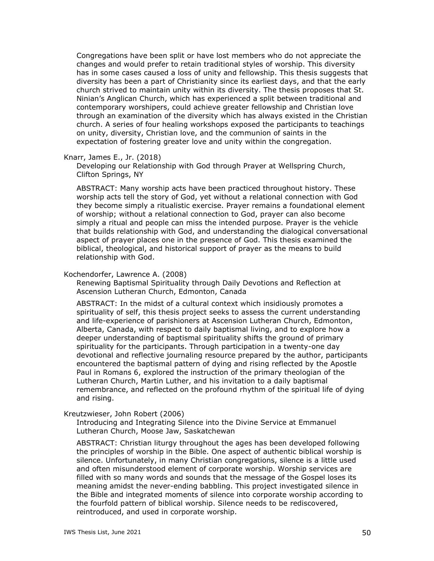Congregations have been split or have lost members who do not appreciate the changes and would prefer to retain traditional styles of worship. This diversity has in some cases caused a loss of unity and fellowship. This thesis suggests that diversity has been a part of Christianity since its earliest days, and that the early church strived to maintain unity within its diversity. The thesis proposes that St. Ninian's Anglican Church, which has experienced a split between traditional and contemporary worshipers, could achieve greater fellowship and Christian love through an examination of the diversity which has always existed in the Christian church. A series of four healing workshops exposed the participants to teachings on unity, diversity, Christian love, and the communion of saints in the expectation of fostering greater love and unity within the congregation.

### Knarr, James E., Jr. (2018)

Developing our Relationship with God through Prayer at Wellspring Church, Clifton Springs, NY

ABSTRACT: Many worship acts have been practiced throughout history. These worship acts tell the story of God, yet without a relational connection with God they become simply a ritualistic exercise. Prayer remains a foundational element of worship; without a relational connection to God, prayer can also become simply a ritual and people can miss the intended purpose. Prayer is the vehicle that builds relationship with God, and understanding the dialogical conversational aspect of prayer places one in the presence of God. This thesis examined the biblical, theological, and historical support of prayer as the means to build relationship with God.

### Kochendorfer, Lawrence A. (2008)

Renewing Baptismal Spirituality through Daily Devotions and Reflection at Ascension Lutheran Church, Edmonton, Canada

ABSTRACT: In the midst of a cultural context which insidiously promotes a spirituality of self, this thesis project seeks to assess the current understanding and life-experience of parishioners at Ascension Lutheran Church, Edmonton, Alberta, Canada, with respect to daily baptismal living, and to explore how a deeper understanding of baptismal spirituality shifts the ground of primary spirituality for the participants. Through participation in a twenty-one day devotional and reflective journaling resource prepared by the author, participants encountered the baptismal pattern of dying and rising reflected by the Apostle Paul in Romans 6, explored the instruction of the primary theologian of the Lutheran Church, Martin Luther, and his invitation to a daily baptismal remembrance, and reflected on the profound rhythm of the spiritual life of dying and rising.

# Kreutzwieser, John Robert (2006)

Introducing and Integrating Silence into the Divine Service at Emmanuel Lutheran Church, Moose Jaw, Saskatchewan

ABSTRACT: Christian liturgy throughout the ages has been developed following the principles of worship in the Bible. One aspect of authentic biblical worship is silence. Unfortunately, in many Christian congregations, silence is a little used and often misunderstood element of corporate worship. Worship services are filled with so many words and sounds that the message of the Gospel loses its meaning amidst the never-ending babbling. This project investigated silence in the Bible and integrated moments of silence into corporate worship according to the fourfold pattern of biblical worship. Silence needs to be rediscovered, reintroduced, and used in corporate worship.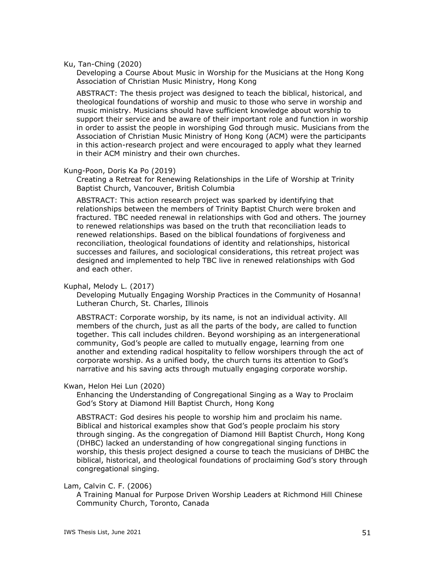### Ku, Tan-Ching (2020)

Developing a Course About Music in Worship for the Musicians at the Hong Kong Association of Christian Music Ministry, Hong Kong

ABSTRACT: The thesis project was designed to teach the biblical, historical, and theological foundations of worship and music to those who serve in worship and music ministry. Musicians should have sufficient knowledge about worship to support their service and be aware of their important role and function in worship in order to assist the people in worshiping God through music. Musicians from the Association of Christian Music Ministry of Hong Kong (ACM) were the participants in this action-research project and were encouraged to apply what they learned in their ACM ministry and their own churches.

## Kung-Poon, Doris Ka Po (2019)

Creating a Retreat for Renewing Relationships in the Life of Worship at Trinity Baptist Church, Vancouver, British Columbia

ABSTRACT: This action research project was sparked by identifying that relationships between the members of Trinity Baptist Church were broken and fractured. TBC needed renewal in relationships with God and others. The journey to renewed relationships was based on the truth that reconciliation leads to renewed relationships. Based on the biblical foundations of forgiveness and reconciliation, theological foundations of identity and relationships, historical successes and failures, and sociological considerations, this retreat project was designed and implemented to help TBC live in renewed relationships with God and each other.

### Kuphal, Melody L. (2017)

Developing Mutually Engaging Worship Practices in the Community of Hosanna! Lutheran Church, St. Charles, Illinois

ABSTRACT: Corporate worship, by its name, is not an individual activity. All members of the church, just as all the parts of the body, are called to function together. This call includes children. Beyond worshiping as an intergenerational community, God's people are called to mutually engage, learning from one another and extending radical hospitality to fellow worshipers through the act of corporate worship. As a unified body, the church turns its attention to God's narrative and his saving acts through mutually engaging corporate worship.

### Kwan, Helon Hei Lun (2020)

Enhancing the Understanding of Congregational Singing as a Way to Proclaim God's Story at Diamond Hill Baptist Church, Hong Kong

ABSTRACT: God desires his people to worship him and proclaim his name. Biblical and historical examples show that God's people proclaim his story through singing. As the congregation of Diamond Hill Baptist Church, Hong Kong (DHBC) lacked an understanding of how congregational singing functions in worship, this thesis project designed a course to teach the musicians of DHBC the biblical, historical, and theological foundations of proclaiming God's story through congregational singing.

# Lam, Calvin C. F. (2006)

A Training Manual for Purpose Driven Worship Leaders at Richmond Hill Chinese Community Church, Toronto, Canada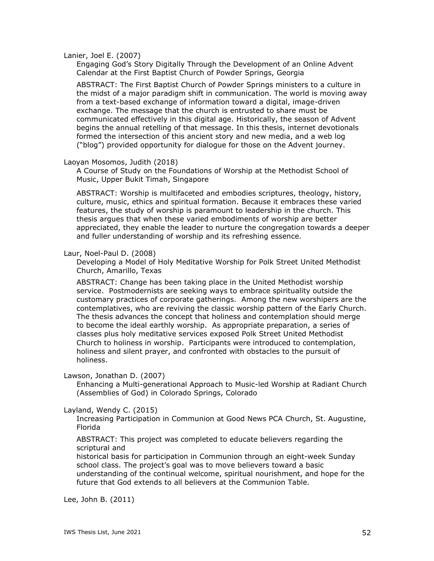Lanier, Joel E. (2007)

Engaging God's Story Digitally Through the Development of an Online Advent Calendar at the First Baptist Church of Powder Springs, Georgia

ABSTRACT: The First Baptist Church of Powder Springs ministers to a culture in the midst of a major paradigm shift in communication. The world is moving away from a text-based exchange of information toward a digital, image-driven exchange. The message that the church is entrusted to share must be communicated effectively in this digital age. Historically, the season of Advent begins the annual retelling of that message. In this thesis, internet devotionals formed the intersection of this ancient story and new media, and a web log ("blog") provided opportunity for dialogue for those on the Advent journey.

#### Laoyan Mosomos, Judith (2018)

A Course of Study on the Foundations of Worship at the Methodist School of Music, Upper Bukit Timah, Singapore

ABSTRACT: Worship is multifaceted and embodies scriptures, theology, history, culture, music, ethics and spiritual formation. Because it embraces these varied features, the study of worship is paramount to leadership in the church. This thesis argues that when these varied embodiments of worship are better appreciated, they enable the leader to nurture the congregation towards a deeper and fuller understanding of worship and its refreshing essence.

#### Laur, Noel-Paul D. (2008)

Developing a Model of Holy Meditative Worship for Polk Street United Methodist Church, Amarillo, Texas

ABSTRACT: Change has been taking place in the United Methodist worship service. Postmodernists are seeking ways to embrace spirituality outside the customary practices of corporate gatherings. Among the new worshipers are the contemplatives, who are reviving the classic worship pattern of the Early Church. The thesis advances the concept that holiness and contemplation should merge to become the ideal earthly worship. As appropriate preparation, a series of classes plus holy meditative services exposed Polk Street United Methodist Church to holiness in worship. Participants were introduced to contemplation, holiness and silent prayer, and confronted with obstacles to the pursuit of holiness.

Lawson, Jonathan D. (2007)

Enhancing a Multi-generational Approach to Music-led Worship at Radiant Church (Assemblies of God) in Colorado Springs, Colorado

#### Layland, Wendy C. (2015)

Increasing Participation in Communion at Good News PCA Church, St. Augustine, Florida

ABSTRACT: This project was completed to educate believers regarding the scriptural and

historical basis for participation in Communion through an eight-week Sunday school class. The project's goal was to move believers toward a basic understanding of the continual welcome, spiritual nourishment, and hope for the future that God extends to all believers at the Communion Table.

Lee, John B. (2011)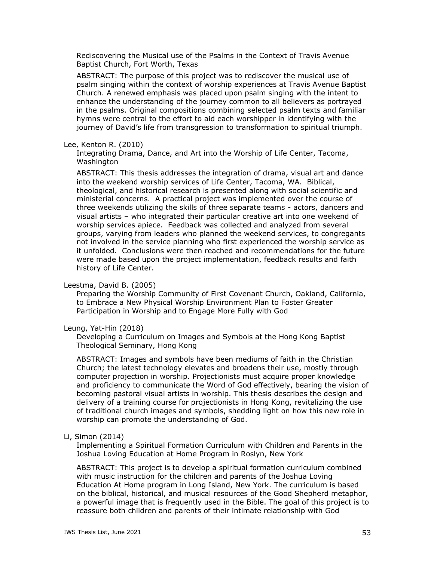Rediscovering the Musical use of the Psalms in the Context of Travis Avenue Baptist Church, Fort Worth, Texas

ABSTRACT: The purpose of this project was to rediscover the musical use of psalm singing within the context of worship experiences at Travis Avenue Baptist Church. A renewed emphasis was placed upon psalm singing with the intent to enhance the understanding of the journey common to all believers as portrayed in the psalms. Original compositions combining selected psalm texts and familiar hymns were central to the effort to aid each worshipper in identifying with the journey of David's life from transgression to transformation to spiritual triumph.

## Lee, Kenton R. (2010)

Integrating Drama, Dance, and Art into the Worship of Life Center, Tacoma, Washington

ABSTRACT: This thesis addresses the integration of drama, visual art and dance into the weekend worship services of Life Center, Tacoma, WA. Biblical, theological, and historical research is presented along with social scientific and ministerial concerns. A practical project was implemented over the course of three weekends utilizing the skills of three separate teams - actors, dancers and visual artists – who integrated their particular creative art into one weekend of worship services apiece. Feedback was collected and analyzed from several groups, varying from leaders who planned the weekend services, to congregants not involved in the service planning who first experienced the worship service as it unfolded. Conclusions were then reached and recommendations for the future were made based upon the project implementation, feedback results and faith history of Life Center.

### Leestma, David B. (2005)

Preparing the Worship Community of First Covenant Church, Oakland, California, to Embrace a New Physical Worship Environment Plan to Foster Greater Participation in Worship and to Engage More Fully with God

# Leung, Yat-Hin (2018)

Developing a Curriculum on Images and Symbols at the Hong Kong Baptist Theological Seminary, Hong Kong

ABSTRACT: Images and symbols have been mediums of faith in the Christian Church; the latest technology elevates and broadens their use, mostly through computer projection in worship. Projectionists must acquire proper knowledge and proficiency to communicate the Word of God effectively, bearing the vision of becoming pastoral visual artists in worship. This thesis describes the design and delivery of a training course for projectionists in Hong Kong, revitalizing the use of traditional church images and symbols, shedding light on how this new role in worship can promote the understanding of God.

# Li, Simon (2014)

Implementing a Spiritual Formation Curriculum with Children and Parents in the Joshua Loving Education at Home Program in Roslyn, New York

ABSTRACT: This project is to develop a spiritual formation curriculum combined with music instruction for the children and parents of the Joshua Loving Education At Home program in Long Island, New York. The curriculum is based on the biblical, historical, and musical resources of the Good Shepherd metaphor, a powerful image that is frequently used in the Bible. The goal of this project is to reassure both children and parents of their intimate relationship with God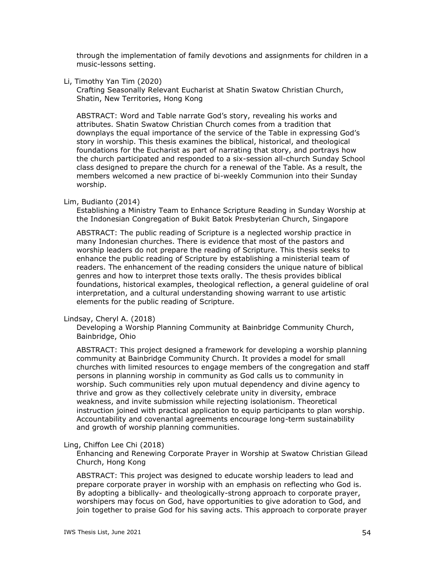through the implementation of family devotions and assignments for children in a music-lessons setting.

Li, Timothy Yan Tim (2020)

Crafting Seasonally Relevant Eucharist at Shatin Swatow Christian Church, Shatin, New Territories, Hong Kong

ABSTRACT: Word and Table narrate God's story, revealing his works and attributes. Shatin Swatow Christian Church comes from a tradition that downplays the equal importance of the service of the Table in expressing God's story in worship. This thesis examines the biblical, historical, and theological foundations for the Eucharist as part of narrating that story, and portrays how the church participated and responded to a six-session all-church Sunday School class designed to prepare the church for a renewal of the Table. As a result, the members welcomed a new practice of bi-weekly Communion into their Sunday worship.

## Lim, Budianto (2014)

Establishing a Ministry Team to Enhance Scripture Reading in Sunday Worship at the Indonesian Congregation of Bukit Batok Presbyterian Church, Singapore

ABSTRACT: The public reading of Scripture is a neglected worship practice in many Indonesian churches. There is evidence that most of the pastors and worship leaders do not prepare the reading of Scripture. This thesis seeks to enhance the public reading of Scripture by establishing a ministerial team of readers. The enhancement of the reading considers the unique nature of biblical genres and how to interpret those texts orally. The thesis provides biblical foundations, historical examples, theological reflection, a general guideline of oral interpretation, and a cultural understanding showing warrant to use artistic elements for the public reading of Scripture.

#### Lindsay, Cheryl A. (2018)

Developing a Worship Planning Community at Bainbridge Community Church, Bainbridge, Ohio

ABSTRACT: This project designed a framework for developing a worship planning community at Bainbridge Community Church. It provides a model for small churches with limited resources to engage members of the congregation and staff persons in planning worship in community as God calls us to community in worship. Such communities rely upon mutual dependency and divine agency to thrive and grow as they collectively celebrate unity in diversity, embrace weakness, and invite submission while rejecting isolationism. Theoretical instruction joined with practical application to equip participants to plan worship. Accountability and covenantal agreements encourage long-term sustainability and growth of worship planning communities.

# Ling, Chiffon Lee Chi (2018)

Enhancing and Renewing Corporate Prayer in Worship at Swatow Christian Gilead Church, Hong Kong

ABSTRACT: This project was designed to educate worship leaders to lead and prepare corporate prayer in worship with an emphasis on reflecting who God is. By adopting a biblically- and theologically-strong approach to corporate prayer, worshipers may focus on God, have opportunities to give adoration to God, and join together to praise God for his saving acts. This approach to corporate prayer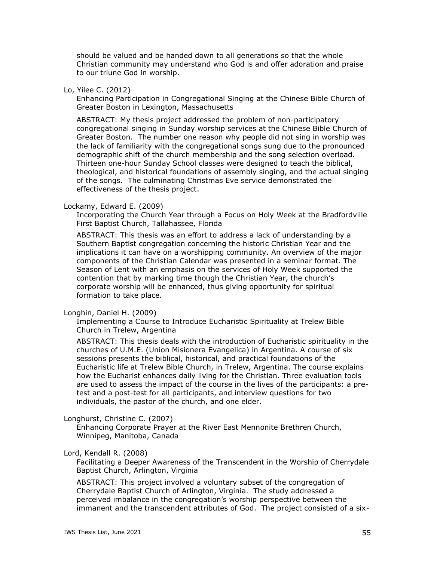should be valued and be handed down to all generations so that the whole Christian community may understand who God is and offer adoration and praise to our triune God in worship.

## Lo, Yilee C. (2012)

Enhancing Participation in Congregational Singing at the Chinese Bible Church of Greater Boston in Lexington, Massachusetts

ABSTRACT: My thesis project addressed the problem of non-participatory congregational singing in Sunday worship services at the Chinese Bible Church of Greater Boston. The number one reason why people did not sing in worship was the lack of familiarity with the congregational songs sung due to the pronounced demographic shift of the church membership and the song selection overload. Thirteen one-hour Sunday School classes were designed to teach the biblical, theological, and historical foundations of assembly singing, and the actual singing of the songs. The culminating Christmas Eve service demonstrated the effectiveness of the thesis project.

# Lockamy, Edward E. (2009)

Incorporating the Church Year through a Focus on Holy Week at the Bradfordville First Baptist Church, Tallahassee, Florida

ABSTRACT: This thesis was an effort to address a lack of understanding by a Southern Baptist congregation concerning the historic Christian Year and the implications it can have on a worshipping community. An overview of the major components of the Christian Calendar was presented in a seminar format. The Season of Lent with an emphasis on the services of Holy Week supported the contention that by marking time though the Christian Year, the church's corporate worship will be enhanced, thus giving opportunity for spiritual formation to take place.

### Longhin, Daniel H. (2009)

Implementing a Course to Introduce Eucharistic Spirituality at Trelew Bible Church in Trelew, Argentina

ABSTRACT: This thesis deals with the introduction of Eucharistic spirituality in the churches of U.M.E. (Union Misionera Evangelica) in Argentina. A course of six sessions presents the biblical, historical, and practical foundations of the Eucharistic life at Trelew Bible Church, in Trelew, Argentina. The course explains how the Eucharist enhances daily living for the Christian. Three evaluation tools are used to assess the impact of the course in the lives of the participants: a pretest and a post-test for all participants, and interview questions for two individuals, the pastor of the church, and one elder.

### Longhurst, Christine C. (2007)

Enhancing Corporate Prayer at the River East Mennonite Brethren Church, Winnipeg, Manitoba, Canada

### Lord, Kendall R. (2008)

Facilitating a Deeper Awareness of the Transcendent in the Worship of Cherrydale Baptist Church, Arlington, Virginia

ABSTRACT: This project involved a voluntary subset of the congregation of Cherrydale Baptist Church of Arlington, Virginia. The study addressed a perceived imbalance in the congregation's worship perspective between the immanent and the transcendent attributes of God. The project consisted of a six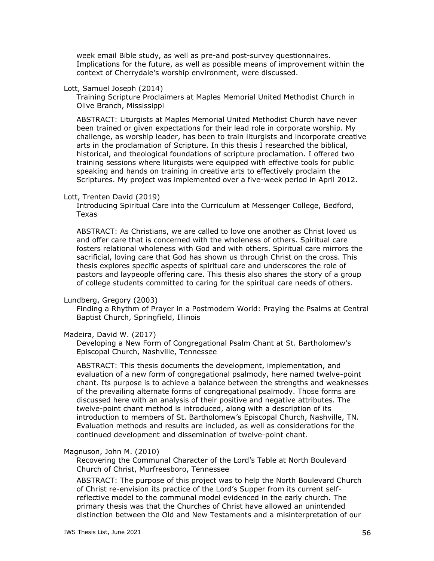week email Bible study, as well as pre-and post-survey questionnaires. Implications for the future, as well as possible means of improvement within the context of Cherrydale's worship environment, were discussed.

### Lott, Samuel Joseph (2014)

Training Scripture Proclaimers at Maples Memorial United Methodist Church in Olive Branch, Mississippi

ABSTRACT: Liturgists at Maples Memorial United Methodist Church have never been trained or given expectations for their lead role in corporate worship. My challenge, as worship leader, has been to train liturgists and incorporate creative arts in the proclamation of Scripture. In this thesis I researched the biblical, historical, and theological foundations of scripture proclamation. I offered two training sessions where liturgists were equipped with effective tools for public speaking and hands on training in creative arts to effectively proclaim the Scriptures. My project was implemented over a five-week period in April 2012.

# Lott, Trenten David (2019)

Introducing Spiritual Care into the Curriculum at Messenger College, Bedford, Texas

ABSTRACT: As Christians, we are called to love one another as Christ loved us and offer care that is concerned with the wholeness of others. Spiritual care fosters relational wholeness with God and with others. Spiritual care mirrors the sacrificial, loving care that God has shown us through Christ on the cross. This thesis explores specific aspects of spiritual care and underscores the role of pastors and laypeople offering care. This thesis also shares the story of a group of college students committed to caring for the spiritual care needs of others.

### Lundberg, Gregory (2003)

Finding a Rhythm of Prayer in a Postmodern World: Praying the Psalms at Central Baptist Church, Springfield, Illinois

### Madeira, David W. (2017)

Developing a New Form of Congregational Psalm Chant at St. Bartholomew's Episcopal Church, Nashville, Tennessee

ABSTRACT: This thesis documents the development, implementation, and evaluation of a new form of congregational psalmody, here named twelve-point chant. Its purpose is to achieve a balance between the strengths and weaknesses of the prevailing alternate forms of congregational psalmody. Those forms are discussed here with an analysis of their positive and negative attributes. The twelve-point chant method is introduced, along with a description of its introduction to members of St. Bartholomew's Episcopal Church, Nashville, TN. Evaluation methods and results are included, as well as considerations for the continued development and dissemination of twelve-point chant.

### Magnuson, John M. (2010)

Recovering the Communal Character of the Lord's Table at North Boulevard Church of Christ, Murfreesboro, Tennessee

ABSTRACT: The purpose of this project was to help the North Boulevard Church of Christ re-envision its practice of the Lord's Supper from its current selfreflective model to the communal model evidenced in the early church. The primary thesis was that the Churches of Christ have allowed an unintended distinction between the Old and New Testaments and a misinterpretation of our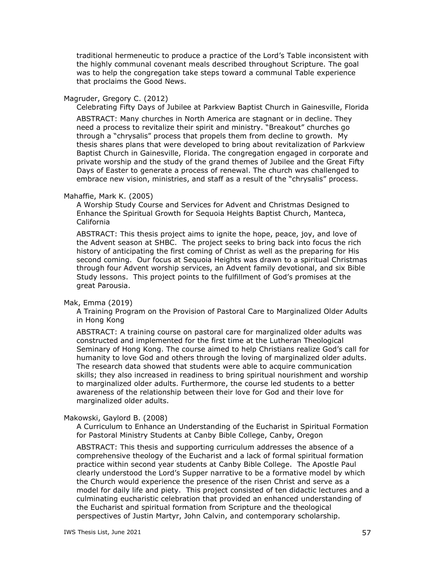traditional hermeneutic to produce a practice of the Lord's Table inconsistent with the highly communal covenant meals described throughout Scripture. The goal was to help the congregation take steps toward a communal Table experience that proclaims the Good News.

### Magruder, Gregory C. (2012)

Celebrating Fifty Days of Jubilee at Parkview Baptist Church in Gainesville, Florida ABSTRACT: Many churches in North America are stagnant or in decline. They need a process to revitalize their spirit and ministry. "Breakout" churches go through a "chrysalis" process that propels them from decline to growth. My thesis shares plans that were developed to bring about revitalization of Parkview Baptist Church in Gainesville, Florida. The congregation engaged in corporate and private worship and the study of the grand themes of Jubilee and the Great Fifty Days of Easter to generate a process of renewal. The church was challenged to embrace new vision, ministries, and staff as a result of the "chrysalis" process.

#### Mahaffie, Mark K. (2005)

A Worship Study Course and Services for Advent and Christmas Designed to Enhance the Spiritual Growth for Sequoia Heights Baptist Church, Manteca, California

ABSTRACT: This thesis project aims to ignite the hope, peace, joy, and love of the Advent season at SHBC. The project seeks to bring back into focus the rich history of anticipating the first coming of Christ as well as the preparing for His second coming. Our focus at Sequoia Heights was drawn to a spiritual Christmas through four Advent worship services, an Advent family devotional, and six Bible Study lessons. This project points to the fulfillment of God's promises at the great Parousia.

#### Mak, Emma (2019)

A Training Program on the Provision of Pastoral Care to Marginalized Older Adults in Hong Kong

ABSTRACT: A training course on pastoral care for marginalized older adults was constructed and implemented for the first time at the Lutheran Theological Seminary of Hong Kong. The course aimed to help Christians realize God's call for humanity to love God and others through the loving of marginalized older adults. The research data showed that students were able to acquire communication skills; they also increased in readiness to bring spiritual nourishment and worship to marginalized older adults. Furthermore, the course led students to a better awareness of the relationship between their love for God and their love for marginalized older adults.

## Makowski, Gaylord B. (2008)

A Curriculum to Enhance an Understanding of the Eucharist in Spiritual Formation for Pastoral Ministry Students at Canby Bible College, Canby, Oregon

ABSTRACT: This thesis and supporting curriculum addresses the absence of a comprehensive theology of the Eucharist and a lack of formal spiritual formation practice within second year students at Canby Bible College. The Apostle Paul clearly understood the Lord's Supper narrative to be a formative model by which the Church would experience the presence of the risen Christ and serve as a model for daily life and piety. This project consisted of ten didactic lectures and a culminating eucharistic celebration that provided an enhanced understanding of the Eucharist and spiritual formation from Scripture and the theological perspectives of Justin Martyr, John Calvin, and contemporary scholarship.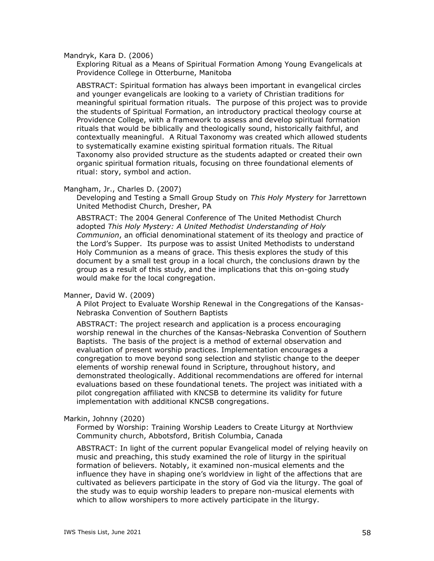Mandryk, Kara D. (2006)

Exploring Ritual as a Means of Spiritual Formation Among Young Evangelicals at Providence College in Otterburne, Manitoba

ABSTRACT: Spiritual formation has always been important in evangelical circles and younger evangelicals are looking to a variety of Christian traditions for meaningful spiritual formation rituals. The purpose of this project was to provide the students of Spiritual Formation, an introductory practical theology course at Providence College, with a framework to assess and develop spiritual formation rituals that would be biblically and theologically sound, historically faithful, and contextually meaningful. A Ritual Taxonomy was created which allowed students to systematically examine existing spiritual formation rituals. The Ritual Taxonomy also provided structure as the students adapted or created their own organic spiritual formation rituals, focusing on three foundational elements of ritual: story, symbol and action.

### Mangham, Jr., Charles D. (2007)

Developing and Testing a Small Group Study on *This Holy Mystery* for Jarrettown United Methodist Church, Dresher, PA

ABSTRACT: The 2004 General Conference of The United Methodist Church adopted *This Holy Mystery: A United Methodist Understanding of Holy Communion*, an official denominational statement of its theology and practice of the Lord's Supper. Its purpose was to assist United Methodists to understand Holy Communion as a means of grace. This thesis explores the study of this document by a small test group in a local church, the conclusions drawn by the group as a result of this study, and the implications that this on-going study would make for the local congregation.

#### Manner, David W. (2009)

A Pilot Project to Evaluate Worship Renewal in the Congregations of the Kansas-Nebraska Convention of Southern Baptists

ABSTRACT: The project research and application is a process encouraging worship renewal in the churches of the Kansas-Nebraska Convention of Southern Baptists. The basis of the project is a method of external observation and evaluation of present worship practices. Implementation encourages a congregation to move beyond song selection and stylistic change to the deeper elements of worship renewal found in Scripture, throughout history, and demonstrated theologically. Additional recommendations are offered for internal evaluations based on these foundational tenets. The project was initiated with a pilot congregation affiliated with KNCSB to determine its validity for future implementation with additional KNCSB congregations.

#### Markin, Johnny (2020)

Formed by Worship: Training Worship Leaders to Create Liturgy at Northview Community church, Abbotsford, British Columbia, Canada

ABSTRACT: In light of the current popular Evangelical model of relying heavily on music and preaching, this study examined the role of liturgy in the spiritual formation of believers. Notably, it examined non-musical elements and the influence they have in shaping one's worldview in light of the affections that are cultivated as believers participate in the story of God via the liturgy. The goal of the study was to equip worship leaders to prepare non-musical elements with which to allow worshipers to more actively participate in the liturgy.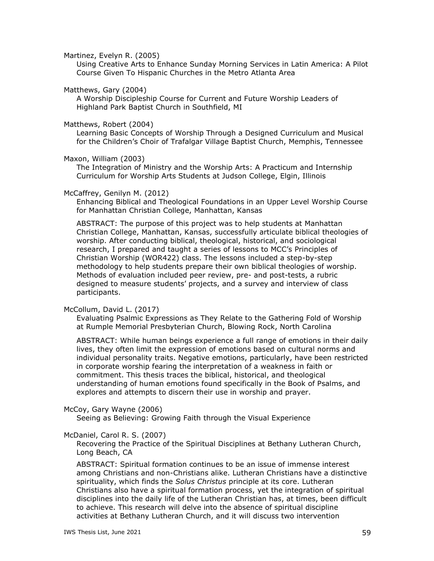Martinez, Evelyn R. (2005)

Using Creative Arts to Enhance Sunday Morning Services in Latin America: A Pilot Course Given To Hispanic Churches in the Metro Atlanta Area

Matthews, Gary (2004)

A Worship Discipleship Course for Current and Future Worship Leaders of Highland Park Baptist Church in Southfield, MI

#### Matthews, Robert (2004)

Learning Basic Concepts of Worship Through a Designed Curriculum and Musical for the Children's Choir of Trafalgar Village Baptist Church, Memphis, Tennessee

#### Maxon, William (2003)

The Integration of Ministry and the Worship Arts: A Practicum and Internship Curriculum for Worship Arts Students at Judson College, Elgin, Illinois

#### McCaffrey, Genilyn M. (2012)

Enhancing Biblical and Theological Foundations in an Upper Level Worship Course for Manhattan Christian College, Manhattan, Kansas

ABSTRACT: The purpose of this project was to help students at Manhattan Christian College, Manhattan, Kansas, successfully articulate biblical theologies of worship. After conducting biblical, theological, historical, and sociological research, I prepared and taught a series of lessons to MCC's Principles of Christian Worship (WOR422) class. The lessons included a step-by-step methodology to help students prepare their own biblical theologies of worship. Methods of evaluation included peer review, pre- and post-tests, a rubric designed to measure students' projects, and a survey and interview of class participants.

#### McCollum, David L. (2017)

Evaluating Psalmic Expressions as They Relate to the Gathering Fold of Worship at Rumple Memorial Presbyterian Church, Blowing Rock, North Carolina

ABSTRACT: While human beings experience a full range of emotions in their daily lives, they often limit the expression of emotions based on cultural norms and individual personality traits. Negative emotions, particularly, have been restricted in corporate worship fearing the interpretation of a weakness in faith or commitment. This thesis traces the biblical, historical, and theological understanding of human emotions found specifically in the Book of Psalms, and explores and attempts to discern their use in worship and prayer.

#### McCoy, Gary Wayne (2006)

Seeing as Believing: Growing Faith through the Visual Experience

### McDaniel, Carol R. S. (2007)

Recovering the Practice of the Spiritual Disciplines at Bethany Lutheran Church, Long Beach, CA

ABSTRACT: Spiritual formation continues to be an issue of immense interest among Christians and non-Christians alike. Lutheran Christians have a distinctive spirituality, which finds the *Solus Christus* principle at its core. Lutheran Christians also have a spiritual formation process, yet the integration of spiritual disciplines into the daily life of the Lutheran Christian has, at times, been difficult to achieve. This research will delve into the absence of spiritual discipline activities at Bethany Lutheran Church, and it will discuss two intervention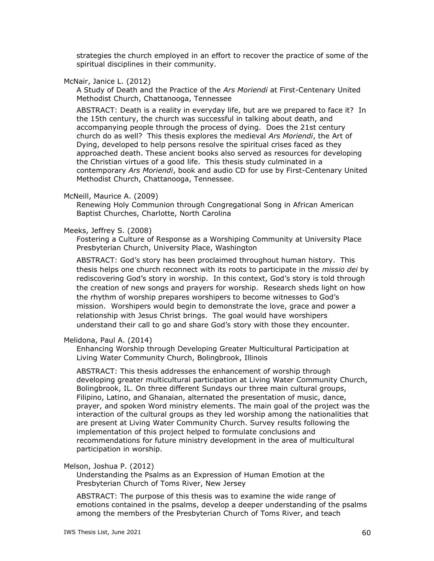strategies the church employed in an effort to recover the practice of some of the spiritual disciplines in their community.

McNair, Janice L. (2012)

A Study of Death and the Practice of the *Ars Moriendi* at First-Centenary United Methodist Church, Chattanooga, Tennessee

ABSTRACT: Death is a reality in everyday life, but are we prepared to face it? In the 15th century, the church was successful in talking about death, and accompanying people through the process of dying. Does the 21st century church do as well? This thesis explores the medieval *Ars Moriendi*, the Art of Dying, developed to help persons resolve the spiritual crises faced as they approached death. These ancient books also served as resources for developing the Christian virtues of a good life. This thesis study culminated in a contemporary *Ars Moriendi*, book and audio CD for use by First-Centenary United Methodist Church, Chattanooga, Tennessee.

### McNeill, Maurice A. (2009)

Renewing Holy Communion through Congregational Song in African American Baptist Churches, Charlotte, North Carolina

## Meeks, Jeffrey S. (2008)

Fostering a Culture of Response as a Worshiping Community at University Place Presbyterian Church, University Place, Washington

ABSTRACT: God's story has been proclaimed throughout human history. This thesis helps one church reconnect with its roots to participate in the *missio dei* by rediscovering God's story in worship. In this context, God's story is told through the creation of new songs and prayers for worship. Research sheds light on how the rhythm of worship prepares worshipers to become witnesses to God's mission. Worshipers would begin to demonstrate the love, grace and power a relationship with Jesus Christ brings. The goal would have worshipers understand their call to go and share God's story with those they encounter.

### Melidona, Paul A. (2014)

Enhancing Worship through Developing Greater Multicultural Participation at Living Water Community Church, Bolingbrook, Illinois

ABSTRACT: This thesis addresses the enhancement of worship through developing greater multicultural participation at Living Water Community Church, Bolingbrook, IL. On three different Sundays our three main cultural groups, Filipino, Latino, and Ghanaian, alternated the presentation of music, dance, prayer, and spoken Word ministry elements. The main goal of the project was the interaction of the cultural groups as they led worship among the nationalities that are present at Living Water Community Church. Survey results following the implementation of this project helped to formulate conclusions and recommendations for future ministry development in the area of multicultural participation in worship.

### Melson, Joshua P. (2012)

Understanding the Psalms as an Expression of Human Emotion at the Presbyterian Church of Toms River, New Jersey

ABSTRACT: The purpose of this thesis was to examine the wide range of emotions contained in the psalms, develop a deeper understanding of the psalms among the members of the Presbyterian Church of Toms River, and teach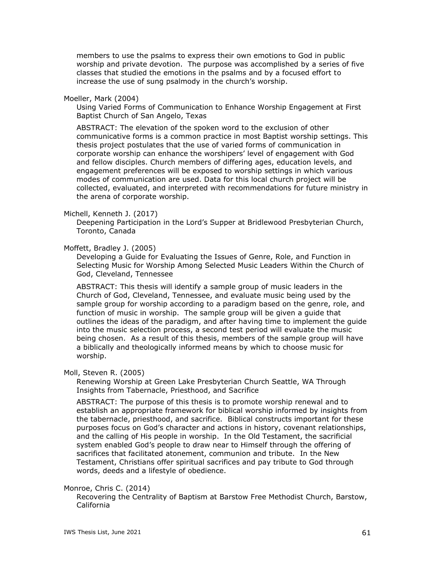members to use the psalms to express their own emotions to God in public worship and private devotion. The purpose was accomplished by a series of five classes that studied the emotions in the psalms and by a focused effort to increase the use of sung psalmody in the church's worship.

#### Moeller, Mark (2004)

Using Varied Forms of Communication to Enhance Worship Engagement at First Baptist Church of San Angelo, Texas

ABSTRACT: The elevation of the spoken word to the exclusion of other communicative forms is a common practice in most Baptist worship settings. This thesis project postulates that the use of varied forms of communication in corporate worship can enhance the worshipers' level of engagement with God and fellow disciples. Church members of differing ages, education levels, and engagement preferences will be exposed to worship settings in which various modes of communication are used. Data for this local church project will be collected, evaluated, and interpreted with recommendations for future ministry in the arena of corporate worship.

#### Michell, Kenneth J. (2017)

Deepening Participation in the Lord's Supper at Bridlewood Presbyterian Church, Toronto, Canada

#### Moffett, Bradley J. (2005)

Developing a Guide for Evaluating the Issues of Genre, Role, and Function in Selecting Music for Worship Among Selected Music Leaders Within the Church of God, Cleveland, Tennessee

ABSTRACT: This thesis will identify a sample group of music leaders in the Church of God, Cleveland, Tennessee, and evaluate music being used by the sample group for worship according to a paradigm based on the genre, role, and function of music in worship. The sample group will be given a guide that outlines the ideas of the paradigm, and after having time to implement the guide into the music selection process, a second test period will evaluate the music being chosen. As a result of this thesis, members of the sample group will have a biblically and theologically informed means by which to choose music for worship.

#### Moll, Steven R. (2005)

Renewing Worship at Green Lake Presbyterian Church Seattle, WA Through Insights from Tabernacle, Priesthood, and Sacrifice

ABSTRACT: The purpose of this thesis is to promote worship renewal and to establish an appropriate framework for biblical worship informed by insights from the tabernacle, priesthood, and sacrifice. Biblical constructs important for these purposes focus on God's character and actions in history, covenant relationships, and the calling of His people in worship. In the Old Testament, the sacrificial system enabled God's people to draw near to Himself through the offering of sacrifices that facilitated atonement, communion and tribute. In the New Testament, Christians offer spiritual sacrifices and pay tribute to God through words, deeds and a lifestyle of obedience.

### Monroe, Chris C. (2014)

Recovering the Centrality of Baptism at Barstow Free Methodist Church, Barstow, California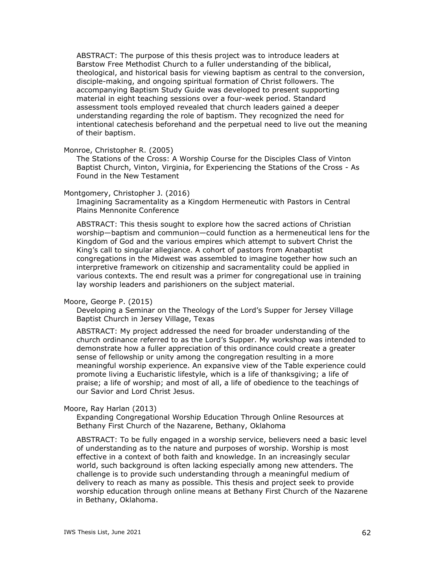ABSTRACT: The purpose of this thesis project was to introduce leaders at Barstow Free Methodist Church to a fuller understanding of the biblical, theological, and historical basis for viewing baptism as central to the conversion, disciple-making, and ongoing spiritual formation of Christ followers. The accompanying Baptism Study Guide was developed to present supporting material in eight teaching sessions over a four-week period. Standard assessment tools employed revealed that church leaders gained a deeper understanding regarding the role of baptism. They recognized the need for intentional catechesis beforehand and the perpetual need to live out the meaning of their baptism.

Monroe, Christopher R. (2005)

The Stations of the Cross: A Worship Course for the Disciples Class of Vinton Baptist Church, Vinton, Virginia, for Experiencing the Stations of the Cross - As Found in the New Testament

Montgomery, Christopher J. (2016)

Imagining Sacramentality as a Kingdom Hermeneutic with Pastors in Central Plains Mennonite Conference

ABSTRACT: This thesis sought to explore how the sacred actions of Christian worship—baptism and communion—could function as a hermeneutical lens for the Kingdom of God and the various empires which attempt to subvert Christ the King's call to singular allegiance. A cohort of pastors from Anabaptist congregations in the Midwest was assembled to imagine together how such an interpretive framework on citizenship and sacramentality could be applied in various contexts. The end result was a primer for congregational use in training lay worship leaders and parishioners on the subject material.

Moore, George P. (2015)

Developing a Seminar on the Theology of the Lord's Supper for Jersey Village Baptist Church in Jersey Village, Texas

ABSTRACT: My project addressed the need for broader understanding of the church ordinance referred to as the Lord's Supper. My workshop was intended to demonstrate how a fuller appreciation of this ordinance could create a greater sense of fellowship or unity among the congregation resulting in a more meaningful worship experience. An expansive view of the Table experience could promote living a Eucharistic lifestyle, which is a life of thanksgiving; a life of praise; a life of worship; and most of all, a life of obedience to the teachings of our Savior and Lord Christ Jesus.

Moore, Ray Harlan (2013)

Expanding Congregational Worship Education Through Online Resources at Bethany First Church of the Nazarene, Bethany, Oklahoma

ABSTRACT: To be fully engaged in a worship service, believers need a basic level of understanding as to the nature and purposes of worship. Worship is most effective in a context of both faith and knowledge. In an increasingly secular world, such background is often lacking especially among new attenders. The challenge is to provide such understanding through a meaningful medium of delivery to reach as many as possible. This thesis and project seek to provide worship education through online means at Bethany First Church of the Nazarene in Bethany, Oklahoma.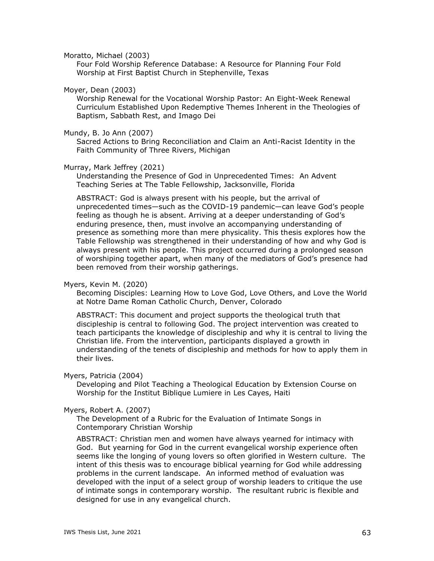#### Moratto, Michael (2003)

Four Fold Worship Reference Database: A Resource for Planning Four Fold Worship at First Baptist Church in Stephenville, Texas

### Moyer, Dean (2003)

Worship Renewal for the Vocational Worship Pastor: An Eight-Week Renewal Curriculum Established Upon Redemptive Themes Inherent in the Theologies of Baptism, Sabbath Rest, and Imago Dei

### Mundy, B. Jo Ann (2007)

Sacred Actions to Bring Reconciliation and Claim an Anti-Racist Identity in the Faith Community of Three Rivers, Michigan

## Murray, Mark Jeffrey (2021)

Understanding the Presence of God in Unprecedented Times: An Advent Teaching Series at The Table Fellowship, Jacksonville, Florida

ABSTRACT: God is always present with his people, but the arrival of unprecedented times—such as the COVID-19 pandemic—can leave God's people feeling as though he is absent. Arriving at a deeper understanding of God's enduring presence, then, must involve an accompanying understanding of presence as something more than mere physicality. This thesis explores how the Table Fellowship was strengthened in their understanding of how and why God is always present with his people. This project occurred during a prolonged season of worshiping together apart, when many of the mediators of God's presence had been removed from their worship gatherings.

### Myers, Kevin M. (2020)

Becoming Disciples: Learning How to Love God, Love Others, and Love the World at Notre Dame Roman Catholic Church, Denver, Colorado

ABSTRACT: This document and project supports the theological truth that discipleship is central to following God. The project intervention was created to teach participants the knowledge of discipleship and why it is central to living the Christian life. From the intervention, participants displayed a growth in understanding of the tenets of discipleship and methods for how to apply them in their lives.

#### Myers, Patricia (2004)

Developing and Pilot Teaching a Theological Education by Extension Course on Worship for the Institut Biblique Lumiere in Les Cayes, Haiti

### Myers, Robert A. (2007)

The Development of a Rubric for the Evaluation of Intimate Songs in Contemporary Christian Worship

ABSTRACT: Christian men and women have always yearned for intimacy with God. But yearning for God in the current evangelical worship experience often seems like the longing of young lovers so often glorified in Western culture. The intent of this thesis was to encourage biblical yearning for God while addressing problems in the current landscape. An informed method of evaluation was developed with the input of a select group of worship leaders to critique the use of intimate songs in contemporary worship. The resultant rubric is flexible and designed for use in any evangelical church.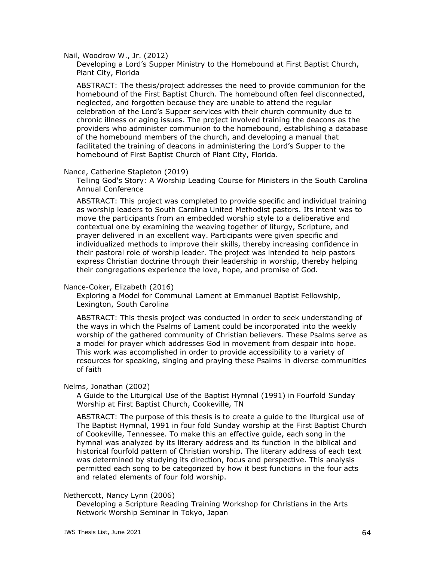Nail, Woodrow W., Jr. (2012)

Developing a Lord's Supper Ministry to the Homebound at First Baptist Church, Plant City, Florida

ABSTRACT: The thesis/project addresses the need to provide communion for the homebound of the First Baptist Church. The homebound often feel disconnected, neglected, and forgotten because they are unable to attend the regular celebration of the Lord's Supper services with their church community due to chronic illness or aging issues. The project involved training the deacons as the providers who administer communion to the homebound, establishing a database of the homebound members of the church, and developing a manual that facilitated the training of deacons in administering the Lord's Supper to the homebound of First Baptist Church of Plant City, Florida.

### Nance, Catherine Stapleton (2019)

Telling God's Story: A Worship Leading Course for Ministers in the South Carolina Annual Conference

ABSTRACT: This project was completed to provide specific and individual training as worship leaders to South Carolina United Methodist pastors. Its intent was to move the participants from an embedded worship style to a deliberative and contextual one by examining the weaving together of liturgy, Scripture, and prayer delivered in an excellent way. Participants were given specific and individualized methods to improve their skills, thereby increasing confidence in their pastoral role of worship leader. The project was intended to help pastors express Christian doctrine through their leadership in worship, thereby helping their congregations experience the love, hope, and promise of God.

### Nance-Coker, Elizabeth (2016)

Exploring a Model for Communal Lament at Emmanuel Baptist Fellowship, Lexington, South Carolina

ABSTRACT: This thesis project was conducted in order to seek understanding of the ways in which the Psalms of Lament could be incorporated into the weekly worship of the gathered community of Christian believers. These Psalms serve as a model for prayer which addresses God in movement from despair into hope. This work was accomplished in order to provide accessibility to a variety of resources for speaking, singing and praying these Psalms in diverse communities of faith

#### Nelms, Jonathan (2002)

A Guide to the Liturgical Use of the Baptist Hymnal (1991) in Fourfold Sunday Worship at First Baptist Church, Cookeville, TN

ABSTRACT: The purpose of this thesis is to create a guide to the liturgical use of The Baptist Hymnal, 1991 in four fold Sunday worship at the First Baptist Church of Cookeville, Tennessee. To make this an effective guide, each song in the hymnal was analyzed by its literary address and its function in the biblical and historical fourfold pattern of Christian worship. The literary address of each text was determined by studying its direction, focus and perspective. This analysis permitted each song to be categorized by how it best functions in the four acts and related elements of four fold worship.

### Nethercott, Nancy Lynn (2006)

Developing a Scripture Reading Training Workshop for Christians in the Arts Network Worship Seminar in Tokyo, Japan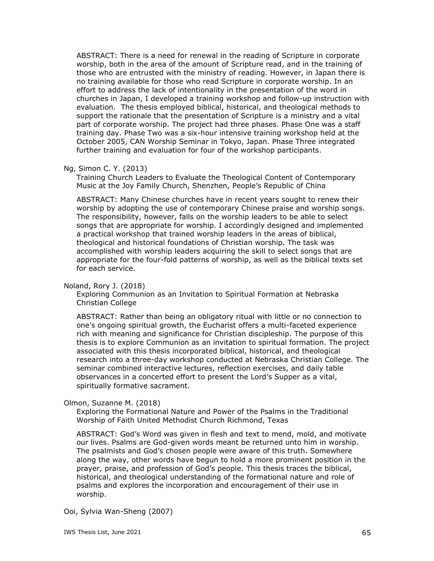ABSTRACT: There is a need for renewal in the reading of Scripture in corporate worship, both in the area of the amount of Scripture read, and in the training of those who are entrusted with the ministry of reading. However, in Japan there is no training available for those who read Scripture in corporate worship. In an effort to address the lack of intentionality in the presentation of the word in churches in Japan, I developed a training workshop and follow-up instruction with evaluation. The thesis employed biblical, historical, and theological methods to support the rationale that the presentation of Scripture is a ministry and a vital part of corporate worship. The project had three phases. Phase One was a staff training day. Phase Two was a six-hour intensive training workshop held at the October 2005, CAN Worship Seminar in Tokyo, Japan. Phase Three integrated further training and evaluation for four of the workshop participants.

# Ng, Simon C. Y. (2013)

Training Church Leaders to Evaluate the Theological Content of Contemporary Music at the Joy Family Church, Shenzhen, People's Republic of China

ABSTRACT: Many Chinese churches have in recent years sought to renew their worship by adopting the use of contemporary Chinese praise and worship songs. The responsibility, however, falls on the worship leaders to be able to select songs that are appropriate for worship. I accordingly designed and implemented a practical workshop that trained worship leaders in the areas of biblical, theological and historical foundations of Christian worship. The task was accomplished with worship leaders acquiring the skill to select songs that are appropriate for the four-fold patterns of worship, as well as the biblical texts set for each service.

# Noland, Rory J. (2018)

Exploring Communion as an Invitation to Spiritual Formation at Nebraska Christian College

ABSTRACT: Rather than being an obligatory ritual with little or no connection to one's ongoing spiritual growth, the Eucharist offers a multi-faceted experience rich with meaning and significance for Christian discipleship. The purpose of this thesis is to explore Communion as an invitation to spiritual formation. The project associated with this thesis incorporated biblical, historical, and theological research into a three-day workshop conducted at Nebraska Christian College. The seminar combined interactive lectures, reflection exercises, and daily table observances in a concerted effort to present the Lord's Supper as a vital, spiritually formative sacrament.

# Olmon, Suzanne M. (2018)

Exploring the Formational Nature and Power of the Psalms in the Traditional Worship of Faith United Methodist Church Richmond, Texas

ABSTRACT: God's Word was given in flesh and text to mend, mold, and motivate our lives. Psalms are God-given words meant be returned unto him in worship. The psalmists and God's chosen people were aware of this truth. Somewhere along the way, other words have begun to hold a more prominent position in the prayer, praise, and profession of God's people. This thesis traces the biblical, historical, and theological understanding of the formational nature and role of psalms and explores the incorporation and encouragement of their use in worship.

### Ooi, Sylvia Wan-Sheng (2007)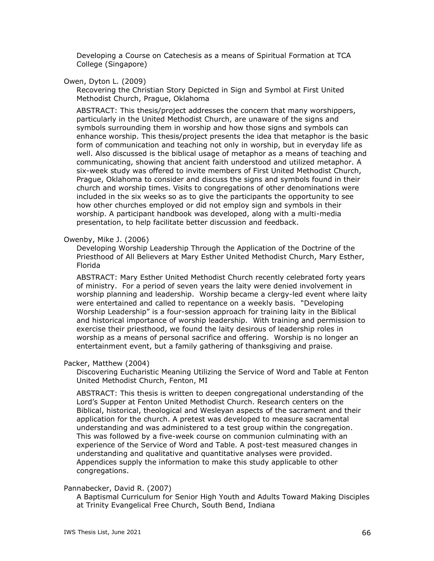Developing a Course on Catechesis as a means of Spiritual Formation at TCA College (Singapore)

Owen, Dyton L. (2009)

Recovering the Christian Story Depicted in Sign and Symbol at First United Methodist Church, Prague, Oklahoma

ABSTRACT: This thesis/project addresses the concern that many worshippers, particularly in the United Methodist Church, are unaware of the signs and symbols surrounding them in worship and how those signs and symbols can enhance worship. This thesis/project presents the idea that metaphor is the basic form of communication and teaching not only in worship, but in everyday life as well. Also discussed is the biblical usage of metaphor as a means of teaching and communicating, showing that ancient faith understood and utilized metaphor. A six-week study was offered to invite members of First United Methodist Church, Prague, Oklahoma to consider and discuss the signs and symbols found in their church and worship times. Visits to congregations of other denominations were included in the six weeks so as to give the participants the opportunity to see how other churches employed or did not employ sign and symbols in their worship. A participant handbook was developed, along with a multi-media presentation, to help facilitate better discussion and feedback.

#### Owenby, Mike J. (2006)

Developing Worship Leadership Through the Application of the Doctrine of the Priesthood of All Believers at Mary Esther United Methodist Church, Mary Esther, Florida

ABSTRACT: Mary Esther United Methodist Church recently celebrated forty years of ministry. For a period of seven years the laity were denied involvement in worship planning and leadership. Worship became a clergy-led event where laity were entertained and called to repentance on a weekly basis. "Developing Worship Leadership" is a four-session approach for training laity in the Biblical and historical importance of worship leadership. With training and permission to exercise their priesthood, we found the laity desirous of leadership roles in worship as a means of personal sacrifice and offering. Worship is no longer an entertainment event, but a family gathering of thanksgiving and praise.

# Packer, Matthew (2004)

Discovering Eucharistic Meaning Utilizing the Service of Word and Table at Fenton United Methodist Church, Fenton, MI

ABSTRACT: This thesis is written to deepen congregational understanding of the Lord's Supper at Fenton United Methodist Church. Research centers on the Biblical, historical, theological and Wesleyan aspects of the sacrament and their application for the church. A pretest was developed to measure sacramental understanding and was administered to a test group within the congregation. This was followed by a five-week course on communion culminating with an experience of the Service of Word and Table. A post-test measured changes in understanding and qualitative and quantitative analyses were provided. Appendices supply the information to make this study applicable to other congregations.

### Pannabecker, David R. (2007)

A Baptismal Curriculum for Senior High Youth and Adults Toward Making Disciples at Trinity Evangelical Free Church, South Bend, Indiana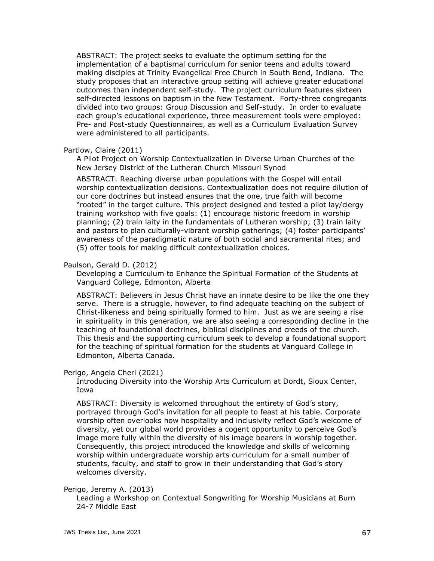ABSTRACT: The project seeks to evaluate the optimum setting for the implementation of a baptismal curriculum for senior teens and adults toward making disciples at Trinity Evangelical Free Church in South Bend, Indiana. The study proposes that an interactive group setting will achieve greater educational outcomes than independent self-study. The project curriculum features sixteen self-directed lessons on baptism in the New Testament. Forty-three congregants divided into two groups: Group Discussion and Self-study. In order to evaluate each group's educational experience, three measurement tools were employed: Pre- and Post-study Questionnaires, as well as a Curriculum Evaluation Survey were administered to all participants.

### Partlow, Claire (2011)

A Pilot Project on Worship Contextualization in Diverse Urban Churches of the New Jersey District of the Lutheran Church Missouri Synod

ABSTRACT: Reaching diverse urban populations with the Gospel will entail worship contextualization decisions. Contextualization does not require dilution of our core doctrines but instead ensures that the one, true faith will become "rooted" in the target culture. This project designed and tested a pilot lay/clergy training workshop with five goals: (1) encourage historic freedom in worship planning; (2) train laity in the fundamentals of Lutheran worship; (3) train laity and pastors to plan culturally-vibrant worship gatherings; (4) foster participants' awareness of the paradigmatic nature of both social and sacramental rites; and (5) offer tools for making difficult contextualization choices.

### Paulson, Gerald D. (2012)

Developing a Curriculum to Enhance the Spiritual Formation of the Students at Vanguard College, Edmonton, Alberta

ABSTRACT: Believers in Jesus Christ have an innate desire to be like the one they serve. There is a struggle, however, to find adequate teaching on the subject of Christ-likeness and being spiritually formed to him. Just as we are seeing a rise in spirituality in this generation, we are also seeing a corresponding decline in the teaching of foundational doctrines, biblical disciplines and creeds of the church. This thesis and the supporting curriculum seek to develop a foundational support for the teaching of spiritual formation for the students at Vanguard College in Edmonton, Alberta Canada.

# Perigo, Angela Cheri (2021)

Introducing Diversity into the Worship Arts Curriculum at Dordt, Sioux Center, Iowa

ABSTRACT: Diversity is welcomed throughout the entirety of God's story, portrayed through God's invitation for all people to feast at his table. Corporate worship often overlooks how hospitality and inclusivity reflect God's welcome of diversity, yet our global world provides a cogent opportunity to perceive God's image more fully within the diversity of his image bearers in worship together. Consequently, this project introduced the knowledge and skills of welcoming worship within undergraduate worship arts curriculum for a small number of students, faculty, and staff to grow in their understanding that God's story welcomes diversity.

### Perigo, Jeremy A. (2013)

Leading a Workshop on Contextual Songwriting for Worship Musicians at Burn 24-7 Middle East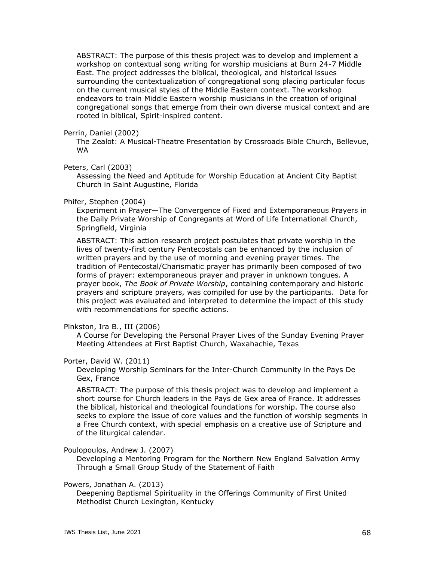ABSTRACT: The purpose of this thesis project was to develop and implement a workshop on contextual song writing for worship musicians at Burn 24-7 Middle East. The project addresses the biblical, theological, and historical issues surrounding the contextualization of congregational song placing particular focus on the current musical styles of the Middle Eastern context. The workshop endeavors to train Middle Eastern worship musicians in the creation of original congregational songs that emerge from their own diverse musical context and are rooted in biblical, Spirit-inspired content.

### Perrin, Daniel (2002)

The Zealot: A Musical-Theatre Presentation by Crossroads Bible Church, Bellevue, WA

# Peters, Carl (2003)

Assessing the Need and Aptitude for Worship Education at Ancient City Baptist Church in Saint Augustine, Florida

#### Phifer, Stephen (2004)

Experiment in Prayer—The Convergence of Fixed and Extemporaneous Prayers in the Daily Private Worship of Congregants at Word of Life International Church, Springfield, Virginia

ABSTRACT: This action research project postulates that private worship in the lives of twenty-first century Pentecostals can be enhanced by the inclusion of written prayers and by the use of morning and evening prayer times. The tradition of Pentecostal/Charismatic prayer has primarily been composed of two forms of prayer: extemporaneous prayer and prayer in unknown tongues. A prayer book, *The Book of Private Worship*, containing contemporary and historic prayers and scripture prayers, was compiled for use by the participants. Data for this project was evaluated and interpreted to determine the impact of this study with recommendations for specific actions.

#### Pinkston, Ira B., III (2006)

A Course for Developing the Personal Prayer Lives of the Sunday Evening Prayer Meeting Attendees at First Baptist Church, Waxahachie, Texas

### Porter, David W. (2011)

Developing Worship Seminars for the Inter-Church Community in the Pays De Gex, France

ABSTRACT: The purpose of this thesis project was to develop and implement a short course for Church leaders in the Pays de Gex area of France. It addresses the biblical, historical and theological foundations for worship. The course also seeks to explore the issue of core values and the function of worship segments in a Free Church context, with special emphasis on a creative use of Scripture and of the liturgical calendar.

#### Poulopoulos, Andrew J. (2007)

Developing a Mentoring Program for the Northern New England Salvation Army Through a Small Group Study of the Statement of Faith

#### Powers, Jonathan A. (2013)

Deepening Baptismal Spirituality in the Offerings Community of First United Methodist Church Lexington, Kentucky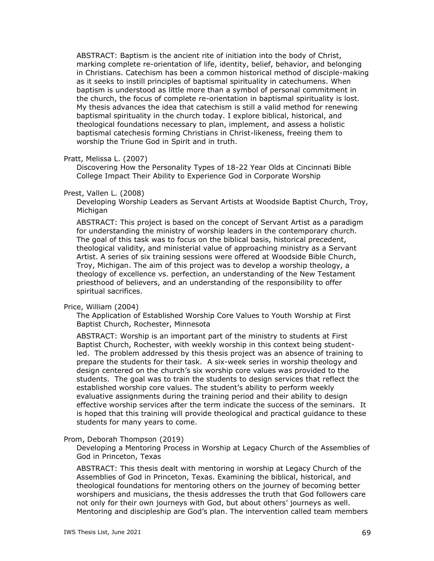ABSTRACT: Baptism is the ancient rite of initiation into the body of Christ, marking complete re-orientation of life, identity, belief, behavior, and belonging in Christians. Catechism has been a common historical method of disciple-making as it seeks to instill principles of baptismal spirituality in catechumens. When baptism is understood as little more than a symbol of personal commitment in the church, the focus of complete re-orientation in baptismal spirituality is lost. My thesis advances the idea that catechism is still a valid method for renewing baptismal spirituality in the church today. I explore biblical, historical, and theological foundations necessary to plan, implement, and assess a holistic baptismal catechesis forming Christians in Christ-likeness, freeing them to worship the Triune God in Spirit and in truth.

### Pratt, Melissa L. (2007)

Discovering How the Personality Types of 18-22 Year Olds at Cincinnati Bible College Impact Their Ability to Experience God in Corporate Worship

#### Prest, Vallen L. (2008)

Developing Worship Leaders as Servant Artists at Woodside Baptist Church, Troy, Michigan

ABSTRACT: This project is based on the concept of Servant Artist as a paradigm for understanding the ministry of worship leaders in the contemporary church. The goal of this task was to focus on the biblical basis, historical precedent, theological validity, and ministerial value of approaching ministry as a Servant Artist. A series of six training sessions were offered at Woodside Bible Church, Troy, Michigan. The aim of this project was to develop a worship theology, a theology of excellence vs. perfection, an understanding of the New Testament priesthood of believers, and an understanding of the responsibility to offer spiritual sacrifices.

#### Price, William (2004)

The Application of Established Worship Core Values to Youth Worship at First Baptist Church, Rochester, Minnesota

ABSTRACT: Worship is an important part of the ministry to students at First Baptist Church, Rochester, with weekly worship in this context being studentled. The problem addressed by this thesis project was an absence of training to prepare the students for their task. A six-week series in worship theology and design centered on the church's six worship core values was provided to the students. The goal was to train the students to design services that reflect the established worship core values. The student's ability to perform weekly evaluative assignments during the training period and their ability to design effective worship services after the term indicate the success of the seminars. It is hoped that this training will provide theological and practical guidance to these students for many years to come.

#### Prom, Deborah Thompson (2019)

Developing a Mentoring Process in Worship at Legacy Church of the Assemblies of God in Princeton, Texas

ABSTRACT: This thesis dealt with mentoring in worship at Legacy Church of the Assemblies of God in Princeton, Texas. Examining the biblical, historical, and theological foundations for mentoring others on the journey of becoming better worshipers and musicians, the thesis addresses the truth that God followers care not only for their own journeys with God, but about others' journeys as well. Mentoring and discipleship are God's plan. The intervention called team members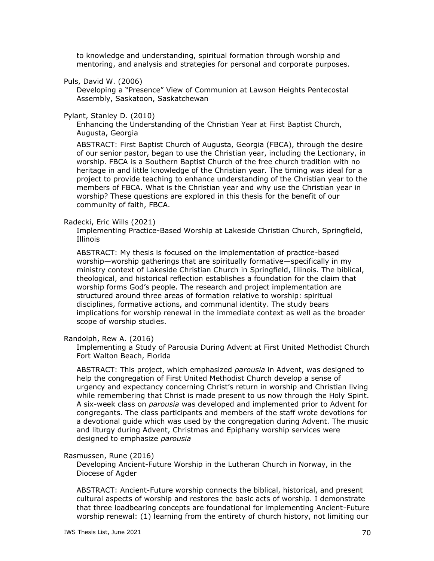to knowledge and understanding, spiritual formation through worship and mentoring, and analysis and strategies for personal and corporate purposes.

Puls, David W. (2006)

Developing a "Presence" View of Communion at Lawson Heights Pentecostal Assembly, Saskatoon, Saskatchewan

Pylant, Stanley D. (2010)

Enhancing the Understanding of the Christian Year at First Baptist Church, Augusta, Georgia

ABSTRACT: First Baptist Church of Augusta, Georgia (FBCA), through the desire of our senior pastor, began to use the Christian year, including the Lectionary, in worship. FBCA is a Southern Baptist Church of the free church tradition with no heritage in and little knowledge of the Christian year. The timing was ideal for a project to provide teaching to enhance understanding of the Christian year to the members of FBCA. What is the Christian year and why use the Christian year in worship? These questions are explored in this thesis for the benefit of our community of faith, FBCA.

#### Radecki, Eric Wills (2021)

Implementing Practice-Based Worship at Lakeside Christian Church, Springfield, Illinois

ABSTRACT: My thesis is focused on the implementation of practice-based worship—worship gatherings that are spiritually formative—specifically in my ministry context of Lakeside Christian Church in Springfield, Illinois. The biblical, theological, and historical reflection establishes a foundation for the claim that worship forms God's people. The research and project implementation are structured around three areas of formation relative to worship: spiritual disciplines, formative actions, and communal identity. The study bears implications for worship renewal in the immediate context as well as the broader scope of worship studies.

Randolph, Rew A. (2016)

Implementing a Study of Parousia During Advent at First United Methodist Church Fort Walton Beach, Florida

ABSTRACT: This project, which emphasized *parousia* in Advent, was designed to help the congregation of First United Methodist Church develop a sense of urgency and expectancy concerning Christ's return in worship and Christian living while remembering that Christ is made present to us now through the Holy Spirit. A six-week class on *parousia* was developed and implemented prior to Advent for congregants. The class participants and members of the staff wrote devotions for a devotional guide which was used by the congregation during Advent. The music and liturgy during Advent, Christmas and Epiphany worship services were designed to emphasize *parousia*

### Rasmussen, Rune (2016)

Developing Ancient-Future Worship in the Lutheran Church in Norway, in the Diocese of Agder

ABSTRACT: Ancient-Future worship connects the biblical, historical, and present cultural aspects of worship and restores the basic acts of worship. I demonstrate that three loadbearing concepts are foundational for implementing Ancient-Future worship renewal: (1) learning from the entirety of church history, not limiting our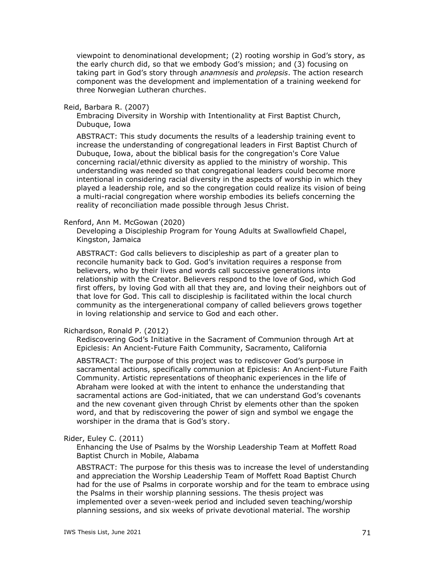viewpoint to denominational development; (2) rooting worship in God's story, as the early church did, so that we embody God's mission; and (3) focusing on taking part in God's story through *anamnesis* and *prolepsis*. The action research component was the development and implementation of a training weekend for three Norwegian Lutheran churches.

# Reid, Barbara R. (2007)

Embracing Diversity in Worship with Intentionality at First Baptist Church, Dubuque, Iowa

ABSTRACT: This study documents the results of a leadership training event to increase the understanding of congregational leaders in First Baptist Church of Dubuque, Iowa, about the biblical basis for the congregation's Core Value concerning racial/ethnic diversity as applied to the ministry of worship. This understanding was needed so that congregational leaders could become more intentional in considering racial diversity in the aspects of worship in which they played a leadership role, and so the congregation could realize its vision of being a multi-racial congregation where worship embodies its beliefs concerning the reality of reconciliation made possible through Jesus Christ.

# Renford, Ann M. McGowan (2020)

Developing a Discipleship Program for Young Adults at Swallowfield Chapel, Kingston, Jamaica

ABSTRACT: God calls believers to discipleship as part of a greater plan to reconcile humanity back to God. God's invitation requires a response from believers, who by their lives and words call successive generations into relationship with the Creator. Believers respond to the love of God, which God first offers, by loving God with all that they are, and loving their neighbors out of that love for God. This call to discipleship is facilitated within the local church community as the intergenerational company of called believers grows together in loving relationship and service to God and each other.

### Richardson, Ronald P. (2012)

Rediscovering God's Initiative in the Sacrament of Communion through Art at Epiclesis: An Ancient-Future Faith Community, Sacramento, California

ABSTRACT: The purpose of this project was to rediscover God's purpose in sacramental actions, specifically communion at Epiclesis: An Ancient-Future Faith Community. Artistic representations of theophanic experiences in the life of Abraham were looked at with the intent to enhance the understanding that sacramental actions are God-initiated, that we can understand God's covenants and the new covenant given through Christ by elements other than the spoken word, and that by rediscovering the power of sign and symbol we engage the worshiper in the drama that is God's story.

# Rider, Euley C. (2011)

Enhancing the Use of Psalms by the Worship Leadership Team at Moffett Road Baptist Church in Mobile, Alabama

ABSTRACT: The purpose for this thesis was to increase the level of understanding and appreciation the Worship Leadership Team of Moffett Road Baptist Church had for the use of Psalms in corporate worship and for the team to embrace using the Psalms in their worship planning sessions. The thesis project was implemented over a seven-week period and included seven teaching/worship planning sessions, and six weeks of private devotional material. The worship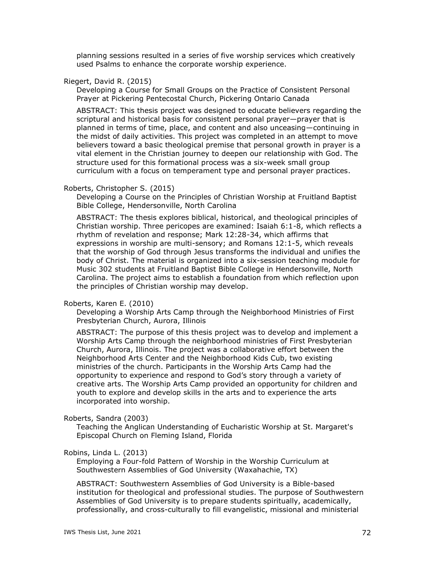planning sessions resulted in a series of five worship services which creatively used Psalms to enhance the corporate worship experience.

# Riegert, David R. (2015)

Developing a Course for Small Groups on the Practice of Consistent Personal Prayer at Pickering Pentecostal Church, Pickering Ontario Canada

ABSTRACT: This thesis project was designed to educate believers regarding the scriptural and historical basis for consistent personal prayer—prayer that is planned in terms of time, place, and content and also unceasing—continuing in the midst of daily activities. This project was completed in an attempt to move believers toward a basic theological premise that personal growth in prayer is a vital element in the Christian journey to deepen our relationship with God. The structure used for this formational process was a six-week small group curriculum with a focus on temperament type and personal prayer practices.

# Roberts, Christopher S. (2015)

Developing a Course on the Principles of Christian Worship at Fruitland Baptist Bible College, Hendersonville, North Carolina

ABSTRACT: The thesis explores biblical, historical, and theological principles of Christian worship. Three pericopes are examined: Isaiah 6:1-8, which reflects a rhythm of revelation and response; Mark 12:28-34, which affirms that expressions in worship are multi-sensory; and Romans 12:1-5, which reveals that the worship of God through Jesus transforms the individual and unifies the body of Christ. The material is organized into a six-session teaching module for Music 302 students at Fruitland Baptist Bible College in Hendersonville, North Carolina. The project aims to establish a foundation from which reflection upon the principles of Christian worship may develop.

# Roberts, Karen E. (2010)

Developing a Worship Arts Camp through the Neighborhood Ministries of First Presbyterian Church, Aurora, Illinois

ABSTRACT: The purpose of this thesis project was to develop and implement a Worship Arts Camp through the neighborhood ministries of First Presbyterian Church, Aurora, Illinois. The project was a collaborative effort between the Neighborhood Arts Center and the Neighborhood Kids Cub, two existing ministries of the church. Participants in the Worship Arts Camp had the opportunity to experience and respond to God's story through a variety of creative arts. The Worship Arts Camp provided an opportunity for children and youth to explore and develop skills in the arts and to experience the arts incorporated into worship.

#### Roberts, Sandra (2003)

Teaching the Anglican Understanding of Eucharistic Worship at St. Margaret's Episcopal Church on Fleming Island, Florida

# Robins, Linda L. (2013)

Employing a Four-fold Pattern of Worship in the Worship Curriculum at Southwestern Assemblies of God University (Waxahachie, TX)

ABSTRACT: Southwestern Assemblies of God University is a Bible-based institution for theological and professional studies. The purpose of Southwestern Assemblies of God University is to prepare students spiritually, academically, professionally, and cross-culturally to fill evangelistic, missional and ministerial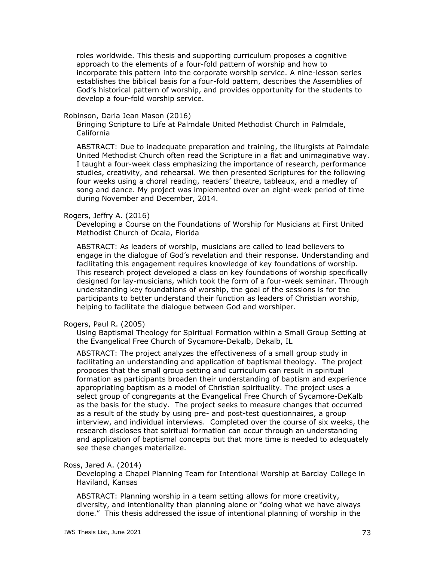roles worldwide. This thesis and supporting curriculum proposes a cognitive approach to the elements of a four-fold pattern of worship and how to incorporate this pattern into the corporate worship service. A nine-lesson series establishes the biblical basis for a four-fold pattern, describes the Assemblies of God's historical pattern of worship, and provides opportunity for the students to develop a four-fold worship service.

#### Robinson, Darla Jean Mason (2016)

Bringing Scripture to Life at Palmdale United Methodist Church in Palmdale, California

ABSTRACT: Due to inadequate preparation and training, the liturgists at Palmdale United Methodist Church often read the Scripture in a flat and unimaginative way. I taught a four-week class emphasizing the importance of research, performance studies, creativity, and rehearsal. We then presented Scriptures for the following four weeks using a choral reading, readers' theatre, tableaux, and a medley of song and dance. My project was implemented over an eight-week period of time during November and December, 2014.

### Rogers, Jeffry A. (2016)

Developing a Course on the Foundations of Worship for Musicians at First United Methodist Church of Ocala, Florida

ABSTRACT: As leaders of worship, musicians are called to lead believers to engage in the dialogue of God's revelation and their response. Understanding and facilitating this engagement requires knowledge of key foundations of worship. This research project developed a class on key foundations of worship specifically designed for lay-musicians, which took the form of a four-week seminar. Through understanding key foundations of worship, the goal of the sessions is for the participants to better understand their function as leaders of Christian worship, helping to facilitate the dialogue between God and worshiper.

#### Rogers, Paul R. (2005)

Using Baptismal Theology for Spiritual Formation within a Small Group Setting at the Evangelical Free Church of Sycamore-Dekalb, Dekalb, IL

ABSTRACT: The project analyzes the effectiveness of a small group study in facilitating an understanding and application of baptismal theology. The project proposes that the small group setting and curriculum can result in spiritual formation as participants broaden their understanding of baptism and experience appropriating baptism as a model of Christian spirituality. The project uses a select group of congregants at the Evangelical Free Church of Sycamore-DeKalb as the basis for the study. The project seeks to measure changes that occurred as a result of the study by using pre- and post-test questionnaires, a group interview, and individual interviews. Completed over the course of six weeks, the research discloses that spiritual formation can occur through an understanding and application of baptismal concepts but that more time is needed to adequately see these changes materialize.

#### Ross, Jared A. (2014)

Developing a Chapel Planning Team for Intentional Worship at Barclay College in Haviland, Kansas

ABSTRACT: Planning worship in a team setting allows for more creativity, diversity, and intentionality than planning alone or "doing what we have always done." This thesis addressed the issue of intentional planning of worship in the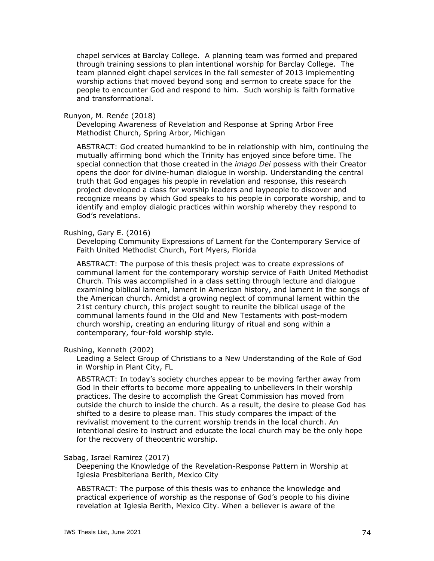chapel services at Barclay College. A planning team was formed and prepared through training sessions to plan intentional worship for Barclay College. The team planned eight chapel services in the fall semester of 2013 implementing worship actions that moved beyond song and sermon to create space for the people to encounter God and respond to him. Such worship is faith formative and transformational.

#### Runyon, M. Renée (2018)

Developing Awareness of Revelation and Response at Spring Arbor Free Methodist Church, Spring Arbor, Michigan

ABSTRACT: God created humankind to be in relationship with him, continuing the mutually affirming bond which the Trinity has enjoyed since before time. The special connection that those created in the *imago Dei* possess with their Creator opens the door for divine-human dialogue in worship. Understanding the central truth that God engages his people in revelation and response, this research project developed a class for worship leaders and laypeople to discover and recognize means by which God speaks to his people in corporate worship, and to identify and employ dialogic practices within worship whereby they respond to God's revelations.

### Rushing, Gary E. (2016)

Developing Community Expressions of Lament for the Contemporary Service of Faith United Methodist Church, Fort Myers, Florida

ABSTRACT: The purpose of this thesis project was to create expressions of communal lament for the contemporary worship service of Faith United Methodist Church. This was accomplished in a class setting through lecture and dialogue examining biblical lament, lament in American history, and lament in the songs of the American church. Amidst a growing neglect of communal lament within the 21st century church, this project sought to reunite the biblical usage of the communal laments found in the Old and New Testaments with post-modern church worship, creating an enduring liturgy of ritual and song within a contemporary, four-fold worship style.

# Rushing, Kenneth (2002)

Leading a Select Group of Christians to a New Understanding of the Role of God in Worship in Plant City, FL

ABSTRACT: In today's society churches appear to be moving farther away from God in their efforts to become more appealing to unbelievers in their worship practices. The desire to accomplish the Great Commission has moved from outside the church to inside the church. As a result, the desire to please God has shifted to a desire to please man. This study compares the impact of the revivalist movement to the current worship trends in the local church. An intentional desire to instruct and educate the local church may be the only hope for the recovery of theocentric worship.

#### Sabag, Israel Ramirez (2017)

Deepening the Knowledge of the Revelation-Response Pattern in Worship at Iglesia Presbiteriana Berith, Mexico City

ABSTRACT: The purpose of this thesis was to enhance the knowledge and practical experience of worship as the response of God's people to his divine revelation at Iglesia Berith, Mexico City. When a believer is aware of the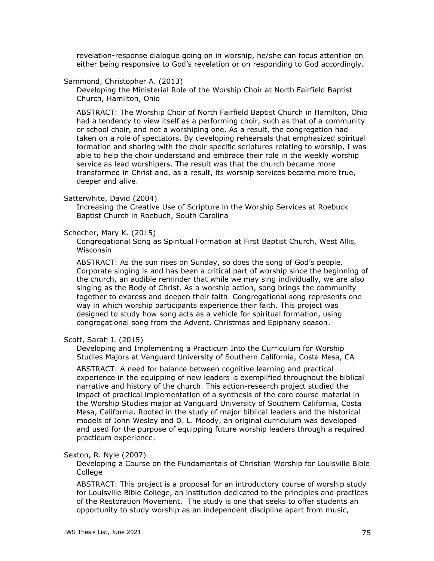revelation-response dialogue going on in worship, he/she can focus attention on either being responsive to God's revelation or on responding to God accordingly.

### Sammond, Christopher A. (2013)

Developing the Ministerial Role of the Worship Choir at North Fairfield Baptist Church, Hamilton, Ohio

ABSTRACT: The Worship Choir of North Fairfield Baptist Church in Hamilton, Ohio had a tendency to view itself as a performing choir, such as that of a community or school choir, and not a worshiping one. As a result, the congregation had taken on a role of spectators. By developing rehearsals that emphasized spiritual formation and sharing with the choir specific scriptures relating to worship, I was able to help the choir understand and embrace their role in the weekly worship service as lead worshipers. The result was that the church became more transformed in Christ and, as a result, its worship services became more true, deeper and alive.

### Satterwhite, David (2004)

Increasing the Creative Use of Scripture in the Worship Services at Roebuck Baptist Church in Roebuch, South Carolina

### Schecher, Mary K. (2015)

Congregational Song as Spiritual Formation at First Baptist Church, West Allis, Wisconsin

ABSTRACT: As the sun rises on Sunday, so does the song of God's people. Corporate singing is and has been a critical part of worship since the beginning of the church, an audible reminder that while we may sing individually, we are also singing as the Body of Christ. As a worship action, song brings the community together to express and deepen their faith. Congregational song represents one way in which worship participants experience their faith. This project was designed to study how song acts as a vehicle for spiritual formation, using congregational song from the Advent, Christmas and Epiphany season.

# Scott, Sarah J. (2015)

Developing and Implementing a Practicum Into the Curriculum for Worship Studies Majors at Vanguard University of Southern California, Costa Mesa, CA

ABSTRACT: A need for balance between cognitive learning and practical experience in the equipping of new leaders is exemplified throughout the biblical narrative and history of the church. This action-research project studied the impact of practical implementation of a synthesis of the core course material in the Worship Studies major at Vanguard University of Southern California, Costa Mesa, California. Rooted in the study of major biblical leaders and the historical models of John Wesley and D. L. Moody, an original curriculum was developed and used for the purpose of equipping future worship leaders through a required practicum experience.

### Sexton, R. Nyle (2007)

Developing a Course on the Fundamentals of Christian Worship for Louisville Bible College

ABSTRACT: This project is a proposal for an introductory course of worship study for Louisville Bible College, an institution dedicated to the principles and practices of the Restoration Movement. The study is one that seeks to offer students an opportunity to study worship as an independent discipline apart from music,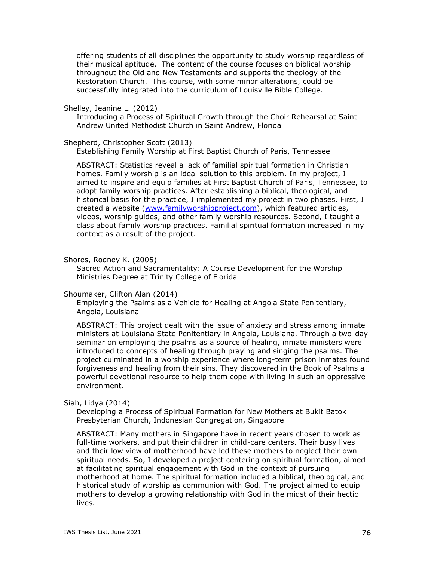offering students of all disciplines the opportunity to study worship regardless of their musical aptitude. The content of the course focuses on biblical worship throughout the Old and New Testaments and supports the theology of the Restoration Church. This course, with some minor alterations, could be successfully integrated into the curriculum of Louisville Bible College.

Shelley, Jeanine L. (2012)

Introducing a Process of Spiritual Growth through the Choir Rehearsal at Saint Andrew United Methodist Church in Saint Andrew, Florida

Shepherd, Christopher Scott (2013)

Establishing Family Worship at First Baptist Church of Paris, Tennessee

ABSTRACT: Statistics reveal a lack of familial spiritual formation in Christian homes. Family worship is an ideal solution to this problem. In my project, I aimed to inspire and equip families at First Baptist Church of Paris, Tennessee, to adopt family worship practices. After establishing a biblical, theological, and historical basis for the practice, I implemented my project in two phases. First, I created a website [\(www.familyworshipproject.com\)](http://www.familyworshipproject.com/), which featured articles, videos, worship guides, and other family worship resources. Second, I taught a class about family worship practices. Familial spiritual formation increased in my context as a result of the project.

Shores, Rodney K. (2005)

Sacred Action and Sacramentality: A Course Development for the Worship Ministries Degree at Trinity College of Florida

Shoumaker, Clifton Alan (2014)

Employing the Psalms as a Vehicle for Healing at Angola State Penitentiary, Angola, Louisiana

ABSTRACT: This project dealt with the issue of anxiety and stress among inmate ministers at Louisiana State Penitentiary in Angola, Louisiana. Through a two-day seminar on employing the psalms as a source of healing, inmate ministers were introduced to concepts of healing through praying and singing the psalms. The project culminated in a worship experience where long-term prison inmates found forgiveness and healing from their sins. They discovered in the Book of Psalms a powerful devotional resource to help them cope with living in such an oppressive environment.

### Siah, Lidya (2014)

Developing a Process of Spiritual Formation for New Mothers at Bukit Batok Presbyterian Church, Indonesian Congregation, Singapore

ABSTRACT: Many mothers in Singapore have in recent years chosen to work as full-time workers, and put their children in child-care centers. Their busy lives and their low view of motherhood have led these mothers to neglect their own spiritual needs. So, I developed a project centering on spiritual formation, aimed at facilitating spiritual engagement with God in the context of pursuing motherhood at home. The spiritual formation included a biblical, theological, and historical study of worship as communion with God. The project aimed to equip mothers to develop a growing relationship with God in the midst of their hectic lives.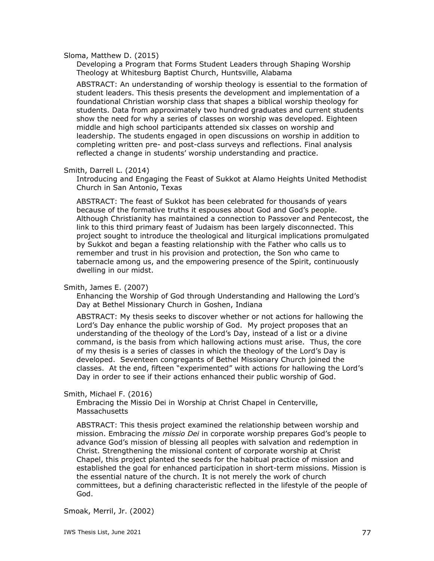### Sloma, Matthew D. (2015)

Developing a Program that Forms Student Leaders through Shaping Worship Theology at Whitesburg Baptist Church, Huntsville, Alabama

ABSTRACT: An understanding of worship theology is essential to the formation of student leaders. This thesis presents the development and implementation of a foundational Christian worship class that shapes a biblical worship theology for students. Data from approximately two hundred graduates and current students show the need for why a series of classes on worship was developed. Eighteen middle and high school participants attended six classes on worship and leadership. The students engaged in open discussions on worship in addition to completing written pre- and post-class surveys and reflections. Final analysis reflected a change in students' worship understanding and practice.

#### Smith, Darrell L. (2014)

Introducing and Engaging the Feast of Sukkot at Alamo Heights United Methodist Church in San Antonio, Texas

ABSTRACT: The feast of Sukkot has been celebrated for thousands of years because of the formative truths it espouses about God and God's people. Although Christianity has maintained a connection to Passover and Pentecost, the link to this third primary feast of Judaism has been largely disconnected. This project sought to introduce the theological and liturgical implications promulgated by Sukkot and began a feasting relationship with the Father who calls us to remember and trust in his provision and protection, the Son who came to tabernacle among us, and the empowering presence of the Spirit, continuously dwelling in our midst.

### Smith, James E. (2007)

Enhancing the Worship of God through Understanding and Hallowing the Lord's Day at Bethel Missionary Church in Goshen, Indiana

ABSTRACT: My thesis seeks to discover whether or not actions for hallowing the Lord's Day enhance the public worship of God. My project proposes that an understanding of the theology of the Lord's Day, instead of a list or a divine command, is the basis from which hallowing actions must arise. Thus, the core of my thesis is a series of classes in which the theology of the Lord's Day is developed. Seventeen congregants of Bethel Missionary Church joined the classes. At the end, fifteen "experimented" with actions for hallowing the Lord's Day in order to see if their actions enhanced their public worship of God.

### Smith, Michael F. (2016)

Embracing the Missio Dei in Worship at Christ Chapel in Centerville, Massachusetts

ABSTRACT: This thesis project examined the relationship between worship and mission. Embracing the *missio Dei* in corporate worship prepares God's people to advance God's mission of blessing all peoples with salvation and redemption in Christ. Strengthening the missional content of corporate worship at Christ Chapel, this project planted the seeds for the habitual practice of mission and established the goal for enhanced participation in short-term missions. Mission is the essential nature of the church. It is not merely the work of church committees, but a defining characteristic reflected in the lifestyle of the people of God.

Smoak, Merril, Jr. (2002)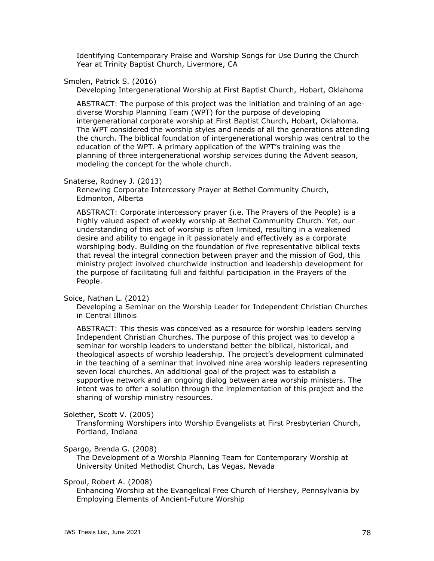Identifying Contemporary Praise and Worship Songs for Use During the Church Year at Trinity Baptist Church, Livermore, CA

# Smolen, Patrick S. (2016)

Developing Intergenerational Worship at First Baptist Church, Hobart, Oklahoma

ABSTRACT: The purpose of this project was the initiation and training of an agediverse Worship Planning Team (WPT) for the purpose of developing intergenerational corporate worship at First Baptist Church, Hobart, Oklahoma. The WPT considered the worship styles and needs of all the generations attending the church. The biblical foundation of intergenerational worship was central to the education of the WPT. A primary application of the WPT's training was the planning of three intergenerational worship services during the Advent season, modeling the concept for the whole church.

# Snaterse, Rodney J. (2013)

Renewing Corporate Intercessory Prayer at Bethel Community Church, Edmonton, Alberta

ABSTRACT: Corporate intercessory prayer (i.e. The Prayers of the People) is a highly valued aspect of weekly worship at Bethel Community Church. Yet, our understanding of this act of worship is often limited, resulting in a weakened desire and ability to engage in it passionately and effectively as a corporate worshiping body. Building on the foundation of five representative biblical texts that reveal the integral connection between prayer and the mission of God, this ministry project involved churchwide instruction and leadership development for the purpose of facilitating full and faithful participation in the Prayers of the People.

# Soice, Nathan L. (2012)

Developing a Seminar on the Worship Leader for Independent Christian Churches in Central Illinois

ABSTRACT: This thesis was conceived as a resource for worship leaders serving Independent Christian Churches. The purpose of this project was to develop a seminar for worship leaders to understand better the biblical, historical, and theological aspects of worship leadership. The project's development culminated in the teaching of a seminar that involved nine area worship leaders representing seven local churches. An additional goal of the project was to establish a supportive network and an ongoing dialog between area worship ministers. The intent was to offer a solution through the implementation of this project and the sharing of worship ministry resources.

### Solether, Scott V. (2005)

Transforming Worshipers into Worship Evangelists at First Presbyterian Church, Portland, Indiana

### Spargo, Brenda G. (2008)

The Development of a Worship Planning Team for Contemporary Worship at University United Methodist Church, Las Vegas, Nevada

Sproul, Robert A. (2008)

Enhancing Worship at the Evangelical Free Church of Hershey, Pennsylvania by Employing Elements of Ancient-Future Worship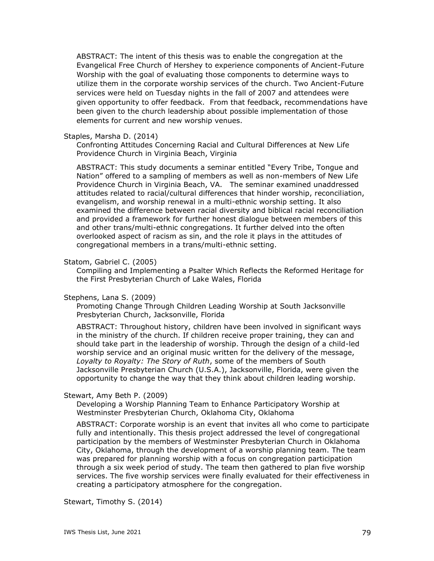ABSTRACT: The intent of this thesis was to enable the congregation at the Evangelical Free Church of Hershey to experience components of Ancient-Future Worship with the goal of evaluating those components to determine ways to utilize them in the corporate worship services of the church. Two Ancient-Future services were held on Tuesday nights in the fall of 2007 and attendees were given opportunity to offer feedback. From that feedback, recommendations have been given to the church leadership about possible implementation of those elements for current and new worship venues.

#### Staples, Marsha D. (2014)

Confronting Attitudes Concerning Racial and Cultural Differences at New Life Providence Church in Virginia Beach, Virginia

ABSTRACT: This study documents a seminar entitled "Every Tribe, Tongue and Nation" offered to a sampling of members as well as non-members of New Life Providence Church in Virginia Beach, VA. The seminar examined unaddressed attitudes related to racial/cultural differences that hinder worship, reconciliation, evangelism, and worship renewal in a multi-ethnic worship setting. It also examined the difference between racial diversity and biblical racial reconciliation and provided a framework for further honest dialogue between members of this and other trans/multi-ethnic congregations. It further delved into the often overlooked aspect of racism as sin, and the role it plays in the attitudes of congregational members in a trans/multi-ethnic setting.

# Statom, Gabriel C. (2005)

Compiling and Implementing a Psalter Which Reflects the Reformed Heritage for the First Presbyterian Church of Lake Wales, Florida

#### Stephens, Lana S. (2009)

Promoting Change Through Children Leading Worship at South Jacksonville Presbyterian Church, Jacksonville, Florida

ABSTRACT: Throughout history, children have been involved in significant ways in the ministry of the church. If children receive proper training, they can and should take part in the leadership of worship. Through the design of a child-led worship service and an original music written for the delivery of the message, *Loyalty to Royalty: The Story of Ruth*, some of the members of South Jacksonville Presbyterian Church (U.S.A.), Jacksonville, Florida, were given the opportunity to change the way that they think about children leading worship.

### Stewart, Amy Beth P. (2009)

Developing a Worship Planning Team to Enhance Participatory Worship at Westminster Presbyterian Church, Oklahoma City, Oklahoma

ABSTRACT: Corporate worship is an event that invites all who come to participate fully and intentionally. This thesis project addressed the level of congregational participation by the members of Westminster Presbyterian Church in Oklahoma City, Oklahoma, through the development of a worship planning team. The team was prepared for planning worship with a focus on congregation participation through a six week period of study. The team then gathered to plan five worship services. The five worship services were finally evaluated for their effectiveness in creating a participatory atmosphere for the congregation.

Stewart, Timothy S. (2014)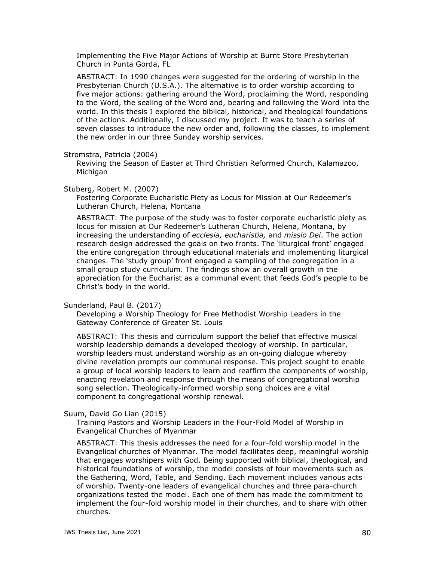Implementing the Five Major Actions of Worship at Burnt Store Presbyterian Church in Punta Gorda, FL

ABSTRACT: In 1990 changes were suggested for the ordering of worship in the Presbyterian Church (U.S.A.). The alternative is to order worship according to five major actions: gathering around the Word, proclaiming the Word, responding to the Word, the sealing of the Word and, bearing and following the Word into the world. In this thesis I explored the biblical, historical, and theological foundations of the actions. Additionally, I discussed my project. It was to teach a series of seven classes to introduce the new order and, following the classes, to implement the new order in our three Sunday worship services.

#### Stromstra, Patricia (2004)

Reviving the Season of Easter at Third Christian Reformed Church, Kalamazoo, Michigan

#### Stuberg, Robert M. (2007)

Fostering Corporate Eucharistic Piety as Locus for Mission at Our Redeemer's Lutheran Church, Helena, Montana

ABSTRACT: The purpose of the study was to foster corporate eucharistic piety as locus for mission at Our Redeemer's Lutheran Church, Helena, Montana, by increasing the understanding of *ecclesia, eucharistia,* and *missio Dei*. The action research design addressed the goals on two fronts. The 'liturgical front' engaged the entire congregation through educational materials and implementing liturgical changes. The 'study group' front engaged a sampling of the congregation in a small group study curriculum. The findings show an overall growth in the appreciation for the Eucharist as a communal event that feeds God's people to be Christ's body in the world.

### Sunderland, Paul B. (2017)

Developing a Worship Theology for Free Methodist Worship Leaders in the Gateway Conference of Greater St. Louis

ABSTRACT: This thesis and curriculum support the belief that effective musical worship leadership demands a developed theology of worship. In particular, worship leaders must understand worship as an on-going dialogue whereby divine revelation prompts our communal response. This project sought to enable a group of local worship leaders to learn and reaffirm the components of worship, enacting revelation and response through the means of congregational worship song selection. Theologically-informed worship song choices are a vital component to congregational worship renewal.

### Suum, David Go Lian (2015)

Training Pastors and Worship Leaders in the Four-Fold Model of Worship in Evangelical Churches of Myanmar

ABSTRACT: This thesis addresses the need for a four-fold worship model in the Evangelical churches of Myanmar. The model facilitates deep, meaningful worship that engages worshipers with God. Being supported with biblical, theological, and historical foundations of worship, the model consists of four movements such as the Gathering, Word, Table, and Sending. Each movement includes various acts of worship. Twenty-one leaders of evangelical churches and three para-church organizations tested the model. Each one of them has made the commitment to implement the four-fold worship model in their churches, and to share with other churches.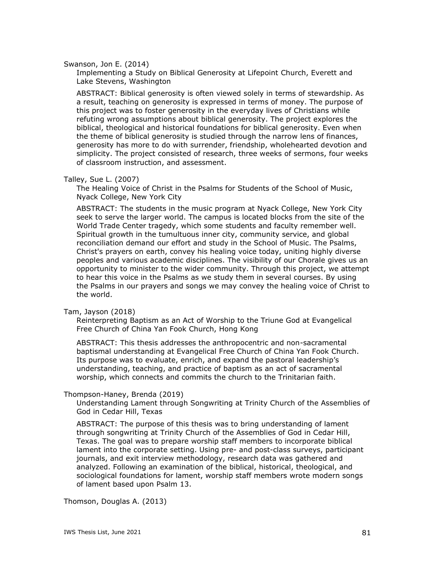Swanson, Jon E. (2014)

Implementing a Study on Biblical Generosity at Lifepoint Church, Everett and Lake Stevens, Washington

ABSTRACT: Biblical generosity is often viewed solely in terms of stewardship. As a result, teaching on generosity is expressed in terms of money. The purpose of this project was to foster generosity in the everyday lives of Christians while refuting wrong assumptions about biblical generosity. The project explores the biblical, theological and historical foundations for biblical generosity. Even when the theme of biblical generosity is studied through the narrow lens of finances, generosity has more to do with surrender, friendship, wholehearted devotion and simplicity. The project consisted of research, three weeks of sermons, four weeks of classroom instruction, and assessment.

# Talley, Sue L. (2007)

The Healing Voice of Christ in the Psalms for Students of the School of Music, Nyack College, New York City

ABSTRACT: The students in the music program at Nyack College, New York City seek to serve the larger world. The campus is located blocks from the site of the World Trade Center tragedy, which some students and faculty remember well. Spiritual growth in the tumultuous inner city, community service, and global reconciliation demand our effort and study in the School of Music. The Psalms, Christ's prayers on earth, convey his healing voice today, uniting highly diverse peoples and various academic disciplines. The visibility of our Chorale gives us an opportunity to minister to the wider community. Through this project, we attempt to hear this voice in the Psalms as we study them in several courses. By using the Psalms in our prayers and songs we may convey the healing voice of Christ to the world.

Tam, Jayson (2018)

Reinterpreting Baptism as an Act of Worship to the Triune God at Evangelical Free Church of China Yan Fook Church, Hong Kong

ABSTRACT: This thesis addresses the anthropocentric and non-sacramental baptismal understanding at Evangelical Free Church of China Yan Fook Church. Its purpose was to evaluate, enrich, and expand the pastoral leadership's understanding, teaching, and practice of baptism as an act of sacramental worship, which connects and commits the church to the Trinitarian faith.

### Thompson-Haney, Brenda (2019)

Understanding Lament through Songwriting at Trinity Church of the Assemblies of God in Cedar Hill, Texas

ABSTRACT: The purpose of this thesis was to bring understanding of lament through songwriting at Trinity Church of the Assemblies of God in Cedar Hill, Texas. The goal was to prepare worship staff members to incorporate biblical lament into the corporate setting. Using pre- and post-class surveys, participant journals, and exit interview methodology, research data was gathered and analyzed. Following an examination of the biblical, historical, theological, and sociological foundations for lament, worship staff members wrote modern songs of lament based upon Psalm 13.

Thomson, Douglas A. (2013)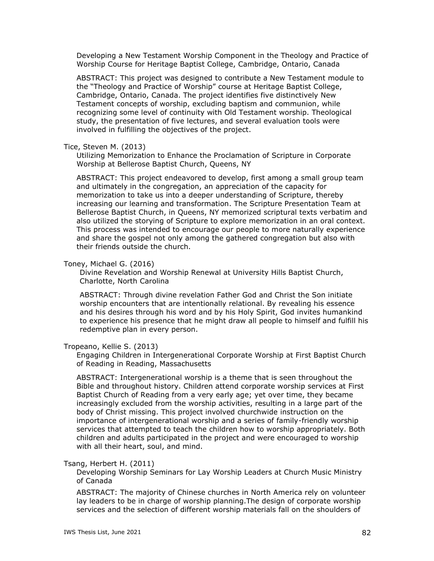Developing a New Testament Worship Component in the Theology and Practice of Worship Course for Heritage Baptist College, Cambridge, Ontario, Canada

ABSTRACT: This project was designed to contribute a New Testament module to the "Theology and Practice of Worship" course at Heritage Baptist College, Cambridge, Ontario, Canada. The project identifies five distinctively New Testament concepts of worship, excluding baptism and communion, while recognizing some level of continuity with Old Testament worship. Theological study, the presentation of five lectures, and several evaluation tools were involved in fulfilling the objectives of the project.

#### Tice, Steven M. (2013)

Utilizing Memorization to Enhance the Proclamation of Scripture in Corporate Worship at Bellerose Baptist Church, Queens, NY

ABSTRACT: This project endeavored to develop, first among a small group team and ultimately in the congregation, an appreciation of the capacity for memorization to take us into a deeper understanding of Scripture, thereby increasing our learning and transformation. The Scripture Presentation Team at Bellerose Baptist Church, in Queens, NY memorized scriptural texts verbatim and also utilized the storying of Scripture to explore memorization in an oral context. This process was intended to encourage our people to more naturally experience and share the gospel not only among the gathered congregation but also with their friends outside the church.

#### Toney, Michael G. (2016)

Divine Revelation and Worship Renewal at University Hills Baptist Church, Charlotte, North Carolina

ABSTRACT: Through divine revelation Father God and Christ the Son initiate worship encounters that are intentionally relational. By revealing his essence and his desires through his word and by his Holy Spirit, God invites humankind to experience his presence that he might draw all people to himself and fulfill his redemptive plan in every person.

# Tropeano, Kellie S. (2013)

Engaging Children in Intergenerational Corporate Worship at First Baptist Church of Reading in Reading, Massachusetts

ABSTRACT: Intergenerational worship is a theme that is seen throughout the Bible and throughout history. Children attend corporate worship services at First Baptist Church of Reading from a very early age; yet over time, they became increasingly excluded from the worship activities, resulting in a large part of the body of Christ missing. This project involved churchwide instruction on the importance of intergenerational worship and a series of family-friendly worship services that attempted to teach the children how to worship appropriately. Both children and adults participated in the project and were encouraged to worship with all their heart, soul, and mind.

# Tsang, Herbert H. (2011)

Developing Worship Seminars for Lay Worship Leaders at Church Music Ministry of Canada

ABSTRACT: The majority of Chinese churches in North America rely on volunteer lay leaders to be in charge of worship planning.The design of corporate worship services and the selection of different worship materials fall on the shoulders of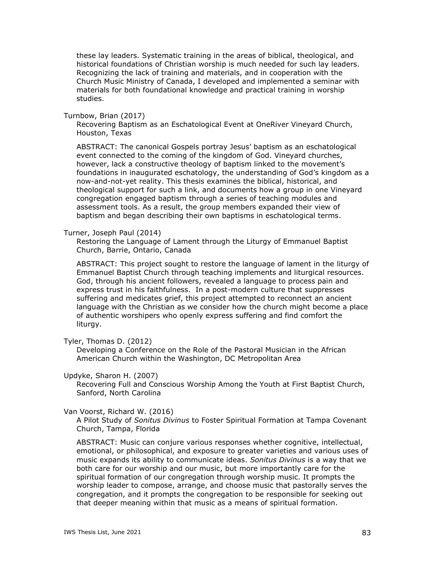these lay leaders. Systematic training in the areas of biblical, theological, and historical foundations of Christian worship is much needed for such lay leaders. Recognizing the lack of training and materials, and in cooperation with the Church Music Ministry of Canada, I developed and implemented a seminar with materials for both foundational knowledge and practical training in worship studies.

Turnbow, Brian (2017)

Recovering Baptism as an Eschatological Event at OneRiver Vineyard Church, Houston, Texas

ABSTRACT: The canonical Gospels portray Jesus' baptism as an eschatological event connected to the coming of the kingdom of God. Vineyard churches, however, lack a constructive theology of baptism linked to the movement's foundations in inaugurated eschatology, the understanding of God's kingdom as a now-and-not-yet reality. This thesis examines the biblical, historical, and theological support for such a link, and documents how a group in one Vineyard congregation engaged baptism through a series of teaching modules and assessment tools. As a result, the group members expanded their view of baptism and began describing their own baptisms in eschatological terms.

Turner, Joseph Paul (2014)

Restoring the Language of Lament through the Liturgy of Emmanuel Baptist Church, Barrie, Ontario, Canada

ABSTRACT: This project sought to restore the language of lament in the liturgy of Emmanuel Baptist Church through teaching implements and liturgical resources. God, through his ancient followers, revealed a language to process pain and express trust in his faithfulness. In a post-modern culture that suppresses suffering and medicates grief, this project attempted to reconnect an ancient language with the Christian as we consider how the church might become a place of authentic worshipers who openly express suffering and find comfort the liturgy.

Tyler, Thomas D. (2012)

Developing a Conference on the Role of the Pastoral Musician in the African American Church within the Washington, DC Metropolitan Area

# Updyke, Sharon H. (2007)

Recovering Full and Conscious Worship Among the Youth at First Baptist Church, Sanford, North Carolina

# Van Voorst, Richard W. (2016)

A Pilot Study of *Sonitus Divinus* to Foster Spiritual Formation at Tampa Covenant Church, Tampa, Florida

ABSTRACT: Music can conjure various responses whether cognitive, intellectual, emotional, or philosophical, and exposure to greater varieties and various uses of music expands its ability to communicate ideas. *Sonitus Divinus* is a way that we both care for our worship and our music, but more importantly care for the spiritual formation of our congregation through worship music. It prompts the worship leader to compose, arrange, and choose music that pastorally serves the congregation, and it prompts the congregation to be responsible for seeking out that deeper meaning within that music as a means of spiritual formation.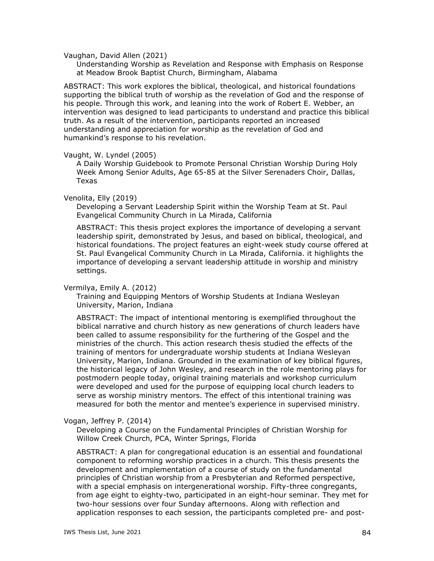Vaughan, David Allen (2021)

Understanding Worship as Revelation and Response with Emphasis on Response at Meadow Brook Baptist Church, Birmingham, Alabama

ABSTRACT: This work explores the biblical, theological, and historical foundations supporting the biblical truth of worship as the revelation of God and the response of his people. Through this work, and leaning into the work of Robert E. Webber, an intervention was designed to lead participants to understand and practice this biblical truth. As a result of the intervention, participants reported an increased understanding and appreciation for worship as the revelation of God and humankind's response to his revelation.

#### Vaught, W. Lyndel (2005)

A Daily Worship Guidebook to Promote Personal Christian Worship During Holy Week Among Senior Adults, Age 65-85 at the Silver Serenaders Choir, Dallas, Texas

## Venolita, Elly (2019)

Developing a Servant Leadership Spirit within the Worship Team at St. Paul Evangelical Community Church in La Mirada, California

ABSTRACT: This thesis project explores the importance of developing a servant leadership spirit, demonstrated by Jesus, and based on biblical, theological, and historical foundations. The project features an eight-week study course offered at St. Paul Evangelical Community Church in La Mirada, California. it highlights the importance of developing a servant leadership attitude in worship and ministry settings.

### Vermilya, Emily A. (2012)

Training and Equipping Mentors of Worship Students at Indiana Wesleyan University, Marion, Indiana

ABSTRACT: The impact of intentional mentoring is exemplified throughout the biblical narrative and church history as new generations of church leaders have been called to assume responsibility for the furthering of the Gospel and the ministries of the church. This action research thesis studied the effects of the training of mentors for undergraduate worship students at Indiana Wesleyan University, Marion, Indiana. Grounded in the examination of key biblical figures, the historical legacy of John Wesley, and research in the role mentoring plays for postmodern people today, original training materials and workshop curriculum were developed and used for the purpose of equipping local church leaders to serve as worship ministry mentors. The effect of this intentional training was measured for both the mentor and mentee's experience in supervised ministry.

Vogan, Jeffrey P. (2014)

Developing a Course on the Fundamental Principles of Christian Worship for Willow Creek Church, PCA, Winter Springs, Florida

ABSTRACT: A plan for congregational education is an essential and foundational component to reforming worship practices in a church. This thesis presents the development and implementation of a course of study on the fundamental principles of Christian worship from a Presbyterian and Reformed perspective, with a special emphasis on intergenerational worship. Fifty-three congregants, from age eight to eighty-two, participated in an eight-hour seminar. They met for two-hour sessions over four Sunday afternoons. Along with reflection and application responses to each session, the participants completed pre- and post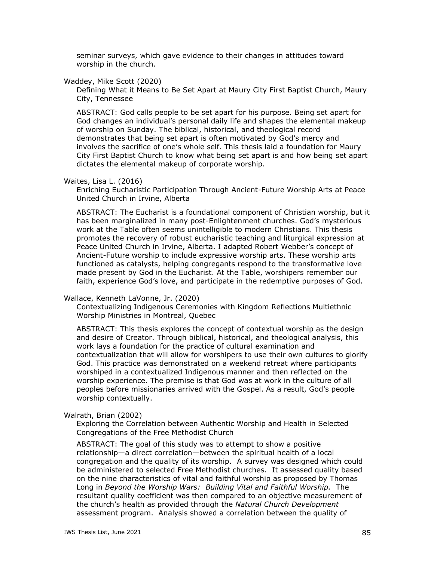seminar surveys, which gave evidence to their changes in attitudes toward worship in the church.

#### Waddey, Mike Scott (2020)

Defining What it Means to Be Set Apart at Maury City First Baptist Church, Maury City, Tennessee

ABSTRACT: God calls people to be set apart for his purpose. Being set apart for God changes an individual's personal daily life and shapes the elemental makeup of worship on Sunday. The biblical, historical, and theological record demonstrates that being set apart is often motivated by God's mercy and involves the sacrifice of one's whole self. This thesis laid a foundation for Maury City First Baptist Church to know what being set apart is and how being set apart dictates the elemental makeup of corporate worship.

#### Waites, Lisa L. (2016)

Enriching Eucharistic Participation Through Ancient-Future Worship Arts at Peace United Church in Irvine, Alberta

ABSTRACT: The Eucharist is a foundational component of Christian worship, but it has been marginalized in many post-Enlightenment churches. God's mysterious work at the Table often seems unintelligible to modern Christians. This thesis promotes the recovery of robust eucharistic teaching and liturgical expression at Peace United Church in Irvine, Alberta. I adapted Robert Webber's concept of Ancient-Future worship to include expressive worship arts. These worship arts functioned as catalysts, helping congregants respond to the transformative love made present by God in the Eucharist. At the Table, worshipers remember our faith, experience God's love, and participate in the redemptive purposes of God.

#### Wallace, Kenneth LaVonne, Jr. (2020)

Contextualizing Indigenous Ceremonies with Kingdom Reflections Multiethnic Worship Ministries in Montreal, Quebec

ABSTRACT: This thesis explores the concept of contextual worship as the design and desire of Creator. Through biblical, historical, and theological analysis, this work lays a foundation for the practice of cultural examination and contextualization that will allow for worshipers to use their own cultures to glorify God. This practice was demonstrated on a weekend retreat where participants worshiped in a contextualized Indigenous manner and then reflected on the worship experience. The premise is that God was at work in the culture of all peoples before missionaries arrived with the Gospel. As a result, God's people worship contextually.

### Walrath, Brian (2002)

Exploring the Correlation between Authentic Worship and Health in Selected Congregations of the Free Methodist Church

ABSTRACT: The goal of this study was to attempt to show a positive relationship—a direct correlation—between the spiritual health of a local congregation and the quality of its worship. A survey was designed which could be administered to selected Free Methodist churches. It assessed quality based on the nine characteristics of vital and faithful worship as proposed by Thomas Long in *Beyond the Worship Wars: Building Vital and Faithful Worship.* The resultant quality coefficient was then compared to an objective measurement of the church's health as provided through the *Natural Church Development* assessment program. Analysis showed a correlation between the quality of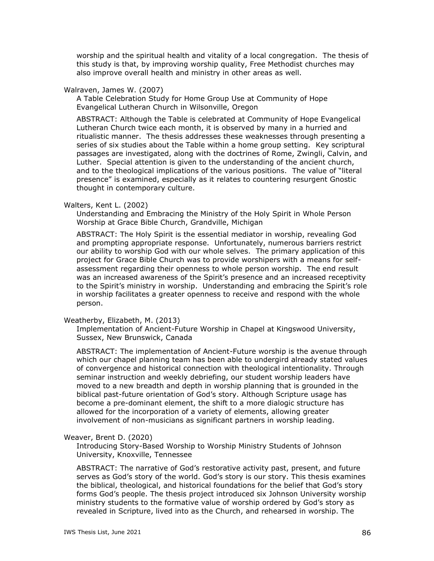worship and the spiritual health and vitality of a local congregation. The thesis of this study is that, by improving worship quality, Free Methodist churches may also improve overall health and ministry in other areas as well.

#### Walraven, James W. (2007)

A Table Celebration Study for Home Group Use at Community of Hope Evangelical Lutheran Church in Wilsonville, Oregon

ABSTRACT: Although the Table is celebrated at Community of Hope Evangelical Lutheran Church twice each month, it is observed by many in a hurried and ritualistic manner. The thesis addresses these weaknesses through presenting a series of six studies about the Table within a home group setting. Key scriptural passages are investigated, along with the doctrines of Rome, Zwingli, Calvin, and Luther. Special attention is given to the understanding of the ancient church, and to the theological implications of the various positions. The value of "literal presence" is examined, especially as it relates to countering resurgent Gnostic thought in contemporary culture.

### Walters, Kent L. (2002)

Understanding and Embracing the Ministry of the Holy Spirit in Whole Person Worship at Grace Bible Church, Grandville, Michigan

ABSTRACT: The Holy Spirit is the essential mediator in worship, revealing God and prompting appropriate response. Unfortunately, numerous barriers restrict our ability to worship God with our whole selves. The primary application of this project for Grace Bible Church was to provide worshipers with a means for selfassessment regarding their openness to whole person worship. The end result was an increased awareness of the Spirit's presence and an increased receptivity to the Spirit's ministry in worship. Understanding and embracing the Spirit's role in worship facilitates a greater openness to receive and respond with the whole person.

#### Weatherby, Elizabeth, M. (2013)

Implementation of Ancient-Future Worship in Chapel at Kingswood University, Sussex, New Brunswick, Canada

ABSTRACT: The implementation of Ancient-Future worship is the avenue through which our chapel planning team has been able to undergird already stated values of convergence and historical connection with theological intentionality. Through seminar instruction and weekly debriefing, our student worship leaders have moved to a new breadth and depth in worship planning that is grounded in the biblical past-future orientation of God's story. Although Scripture usage has become a pre-dominant element, the shift to a more dialogic structure has allowed for the incorporation of a variety of elements, allowing greater involvement of non-musicians as significant partners in worship leading.

## Weaver, Brent D. (2020)

Introducing Story-Based Worship to Worship Ministry Students of Johnson University, Knoxville, Tennessee

ABSTRACT: The narrative of God's restorative activity past, present, and future serves as God's story of the world. God's story is our story. This thesis examines the biblical, theological, and historical foundations for the belief that God's story forms God's people. The thesis project introduced six Johnson University worship ministry students to the formative value of worship ordered by God's story as revealed in Scripture, lived into as the Church, and rehearsed in worship. The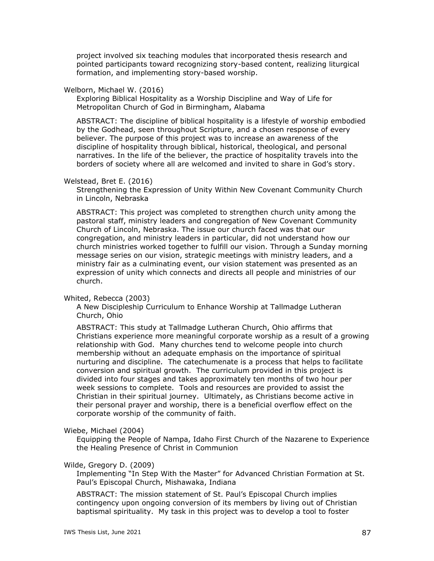project involved six teaching modules that incorporated thesis research and pointed participants toward recognizing story-based content, realizing liturgical formation, and implementing story-based worship.

### Welborn, Michael W. (2016)

Exploring Biblical Hospitality as a Worship Discipline and Way of Life for Metropolitan Church of God in Birmingham, Alabama

ABSTRACT: The discipline of biblical hospitality is a lifestyle of worship embodied by the Godhead, seen throughout Scripture, and a chosen response of every believer. The purpose of this project was to increase an awareness of the discipline of hospitality through biblical, historical, theological, and personal narratives. In the life of the believer, the practice of hospitality travels into the borders of society where all are welcomed and invited to share in God's story.

# Welstead, Bret E. (2016)

Strengthening the Expression of Unity Within New Covenant Community Church in Lincoln, Nebraska

ABSTRACT: This project was completed to strengthen church unity among the pastoral staff, ministry leaders and congregation of New Covenant Community Church of Lincoln, Nebraska. The issue our church faced was that our congregation, and ministry leaders in particular, did not understand how our church ministries worked together to fulfill our vision. Through a Sunday morning message series on our vision, strategic meetings with ministry leaders, and a ministry fair as a culminating event, our vision statement was presented as an expression of unity which connects and directs all people and ministries of our church.

# Whited, Rebecca (2003)

A New Discipleship Curriculum to Enhance Worship at Tallmadge Lutheran Church, Ohio

ABSTRACT: This study at Tallmadge Lutheran Church, Ohio affirms that Christians experience more meaningful corporate worship as a result of a growing relationship with God. Many churches tend to welcome people into church membership without an adequate emphasis on the importance of spiritual nurturing and discipline. The catechumenate is a process that helps to facilitate conversion and spiritual growth. The curriculum provided in this project is divided into four stages and takes approximately ten months of two hour per week sessions to complete. Tools and resources are provided to assist the Christian in their spiritual journey. Ultimately, as Christians become active in their personal prayer and worship, there is a beneficial overflow effect on the corporate worship of the community of faith.

### Wiebe, Michael (2004)

Equipping the People of Nampa, Idaho First Church of the Nazarene to Experience the Healing Presence of Christ in Communion

### Wilde, Gregory D. (2009)

Implementing "In Step With the Master" for Advanced Christian Formation at St. Paul's Episcopal Church, Mishawaka, Indiana

ABSTRACT: The mission statement of St. Paul's Episcopal Church implies contingency upon ongoing conversion of its members by living out of Christian baptismal spirituality. My task in this project was to develop a tool to foster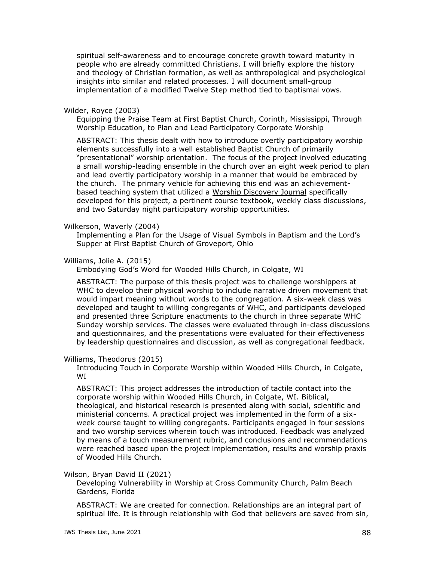spiritual self-awareness and to encourage concrete growth toward maturity in people who are already committed Christians. I will briefly explore the history and theology of Christian formation, as well as anthropological and psychological insights into similar and related processes. I will document small-group implementation of a modified Twelve Step method tied to baptismal vows.

#### Wilder, Royce (2003)

Equipping the Praise Team at First Baptist Church, Corinth, Mississippi, Through Worship Education, to Plan and Lead Participatory Corporate Worship

ABSTRACT: This thesis dealt with how to introduce overtly participatory worship elements successfully into a well established Baptist Church of primarily "presentational" worship orientation. The focus of the project involved educating a small worship-leading ensemble in the church over an eight week period to plan and lead overtly participatory worship in a manner that would be embraced by the church. The primary vehicle for achieving this end was an achievementbased teaching system that utilized a Worship Discovery Journal specifically developed for this project, a pertinent course textbook, weekly class discussions, and two Saturday night participatory worship opportunities.

#### Wilkerson, Waverly (2004)

Implementing a Plan for the Usage of Visual Symbols in Baptism and the Lord's Supper at First Baptist Church of Groveport, Ohio

# Williams, Jolie A. (2015)

Embodying God's Word for Wooded Hills Church, in Colgate, WI

ABSTRACT: The purpose of this thesis project was to challenge worshippers at WHC to develop their physical worship to include narrative driven movement that would impart meaning without words to the congregation. A six-week class was developed and taught to willing congregants of WHC, and participants developed and presented three Scripture enactments to the church in three separate WHC Sunday worship services. The classes were evaluated through in-class discussions and questionnaires, and the presentations were evaluated for their effectiveness by leadership questionnaires and discussion, as well as congregational feedback.

#### Williams, Theodorus (2015)

Introducing Touch in Corporate Worship within Wooded Hills Church, in Colgate, WI

ABSTRACT: This project addresses the introduction of tactile contact into the corporate worship within Wooded Hills Church, in Colgate, WI. Biblical, theological, and historical research is presented along with social, scientific and ministerial concerns. A practical project was implemented in the form of a sixweek course taught to willing congregants. Participants engaged in four sessions and two worship services wherein touch was introduced. Feedback was analyzed by means of a touch measurement rubric, and conclusions and recommendations were reached based upon the project implementation, results and worship praxis of Wooded Hills Church.

#### Wilson, Bryan David II (2021)

Developing Vulnerability in Worship at Cross Community Church, Palm Beach Gardens, Florida

ABSTRACT: We are created for connection. Relationships are an integral part of spiritual life. It is through relationship with God that believers are saved from sin,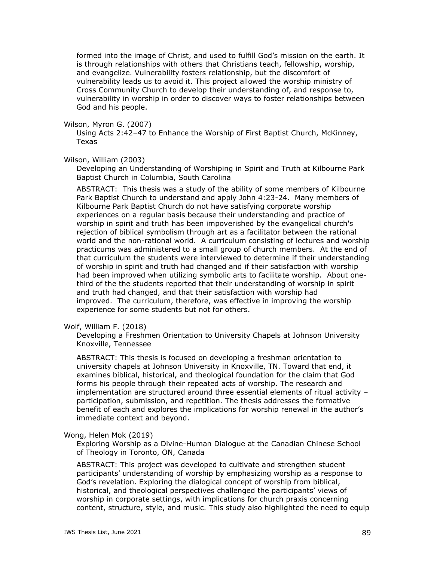formed into the image of Christ, and used to fulfill God's mission on the earth. It is through relationships with others that Christians teach, fellowship, worship, and evangelize. Vulnerability fosters relationship, but the discomfort of vulnerability leads us to avoid it. This project allowed the worship ministry of Cross Community Church to develop their understanding of, and response to, vulnerability in worship in order to discover ways to foster relationships between God and his people.

Wilson, Myron G. (2007)

Using Acts 2:42–47 to Enhance the Worship of First Baptist Church, McKinney, Texas

Wilson, William (2003)

Developing an Understanding of Worshiping in Spirit and Truth at Kilbourne Park Baptist Church in Columbia, South Carolina

ABSTRACT: This thesis was a study of the ability of some members of Kilbourne Park Baptist Church to understand and apply John 4:23-24. Many members of Kilbourne Park Baptist Church do not have satisfying corporate worship experiences on a regular basis because their understanding and practice of worship in spirit and truth has been impoverished by the evangelical church's rejection of biblical symbolism through art as a facilitator between the rational world and the non-rational world. A curriculum consisting of lectures and worship practicums was administered to a small group of church members. At the end of that curriculum the students were interviewed to determine if their understanding of worship in spirit and truth had changed and if their satisfaction with worship had been improved when utilizing symbolic arts to facilitate worship. About onethird of the the students reported that their understanding of worship in spirit and truth had changed, and that their satisfaction with worship had improved. The curriculum, therefore, was effective in improving the worship experience for some students but not for others.

Wolf, William F. (2018)

Developing a Freshmen Orientation to University Chapels at Johnson University Knoxville, Tennessee

ABSTRACT: This thesis is focused on developing a freshman orientation to university chapels at Johnson University in Knoxville, TN. Toward that end, it examines biblical, historical, and theological foundation for the claim that God forms his people through their repeated acts of worship. The research and implementation are structured around three essential elements of ritual activity – participation, submission, and repetition. The thesis addresses the formative benefit of each and explores the implications for worship renewal in the author's immediate context and beyond.

### Wong, Helen Mok (2019)

Exploring Worship as a Divine-Human Dialogue at the Canadian Chinese School of Theology in Toronto, ON, Canada

ABSTRACT: This project was developed to cultivate and strengthen student participants' understanding of worship by emphasizing worship as a response to God's revelation. Exploring the dialogical concept of worship from biblical, historical, and theological perspectives challenged the participants' views of worship in corporate settings, with implications for church praxis concerning content, structure, style, and music. This study also highlighted the need to equip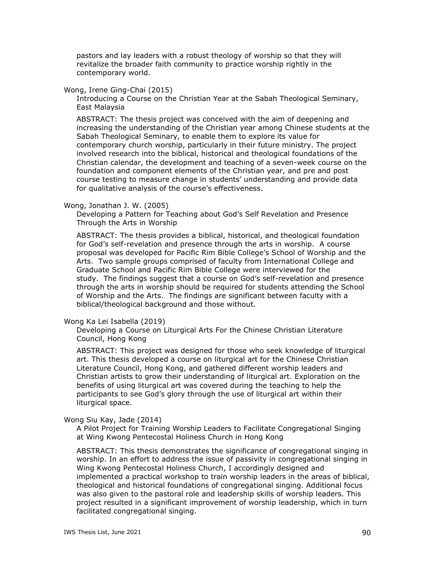pastors and lay leaders with a robust theology of worship so that they will revitalize the broader faith community to practice worship rightly in the contemporary world.

### Wong, Irene Ging-Chai (2015)

Introducing a Course on the Christian Year at the Sabah Theological Seminary, East Malaysia

ABSTRACT: The thesis project was conceived with the aim of deepening and increasing the understanding of the Christian year among Chinese students at the Sabah Theological Seminary, to enable them to explore its value for contemporary church worship, particularly in their future ministry. The project involved research into the biblical, historical and theological foundations of the Christian calendar, the development and teaching of a seven-week course on the foundation and component elements of the Christian year, and pre and post course testing to measure change in students' understanding and provide data for qualitative analysis of the course's effectiveness.

#### Wong, Jonathan J. W. (2005)

Developing a Pattern for Teaching about God's Self Revelation and Presence Through the Arts in Worship

ABSTRACT: The thesis provides a biblical, historical, and theological foundation for God's self-revelation and presence through the arts in worship. A course proposal was developed for Pacific Rim Bible College's School of Worship and the Arts. Two sample groups comprised of faculty from International College and Graduate School and Pacific Rim Bible College were interviewed for the study. The findings suggest that a course on God's self-revelation and presence through the arts in worship should be required for students attending the School of Worship and the Arts. The findings are significant between faculty with a biblical/theological background and those without.

#### Wong Ka Lei Isabella (2019)

Developing a Course on Liturgical Arts For the Chinese Christian Literature Council, Hong Kong

ABSTRACT: This project was designed for those who seek knowledge of liturgical art. This thesis developed a course on liturgical art for the Chinese Christian Literature Council, Hong Kong, and gathered different worship leaders and Christian artists to grow their understanding of liturgical art. Exploration on the benefits of using liturgical art was covered during the teaching to help the participants to see God's glory through the use of liturgical art within their liturgical space.

#### Wong Siu Kay, Jade (2014)

A Pilot Project for Training Worship Leaders to Facilitate Congregational Singing at Wing Kwong Pentecostal Holiness Church in Hong Kong

ABSTRACT: This thesis demonstrates the significance of congregational singing in worship. In an effort to address the issue of passivity in congregational singing in Wing Kwong Pentecostal Holiness Church, I accordingly designed and implemented a practical workshop to train worship leaders in the areas of biblical, theological and historical foundations of congregational singing. Additional focus was also given to the pastoral role and leadership skills of worship leaders. This project resulted in a significant improvement of worship leadership, which in turn facilitated congregational singing.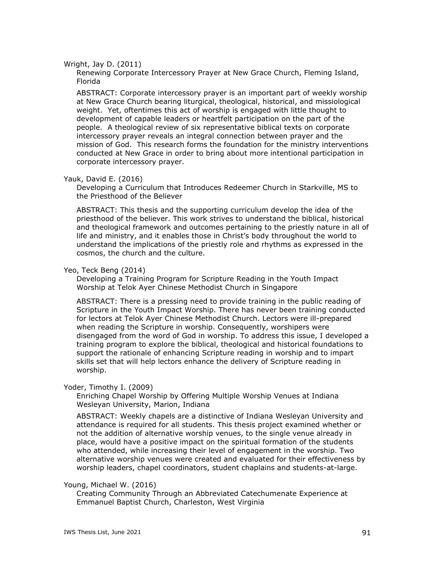### Wright, Jay D. (2011)

Renewing Corporate Intercessory Prayer at New Grace Church, Fleming Island, Florida

ABSTRACT: Corporate intercessory prayer is an important part of weekly worship at New Grace Church bearing liturgical, theological, historical, and missiological weight. Yet, oftentimes this act of worship is engaged with little thought to development of capable leaders or heartfelt participation on the part of the people. A theological review of six representative biblical texts on corporate intercessory prayer reveals an integral connection between prayer and the mission of God. This research forms the foundation for the ministry interventions conducted at New Grace in order to bring about more intentional participation in corporate intercessory prayer.

# Yauk, David E. (2016)

Developing a Curriculum that Introduces Redeemer Church in Starkville, MS to the Priesthood of the Believer

ABSTRACT: This thesis and the supporting curriculum develop the idea of the priesthood of the believer. This work strives to understand the biblical, historical and theological framework and outcomes pertaining to the priestly nature in all of life and ministry, and it enables those in Christ's body throughout the world to understand the implications of the priestly role and rhythms as expressed in the cosmos, the church and the culture.

# Yeo, Teck Beng (2014)

Developing a Training Program for Scripture Reading in the Youth Impact Worship at Telok Ayer Chinese Methodist Church in Singapore

ABSTRACT: There is a pressing need to provide training in the public reading of Scripture in the Youth Impact Worship. There has never been training conducted for lectors at Telok Ayer Chinese Methodist Church. Lectors were ill-prepared when reading the Scripture in worship. Consequently, worshipers were disengaged from the word of God in worship. To address this issue, I developed a training program to explore the biblical, theological and historical foundations to support the rationale of enhancing Scripture reading in worship and to impart skills set that will help lectors enhance the delivery of Scripture reading in worship.

# Yoder, Timothy I. (2009)

Enriching Chapel Worship by Offering Multiple Worship Venues at Indiana Wesleyan University, Marion, Indiana

ABSTRACT: Weekly chapels are a distinctive of Indiana Wesleyan University and attendance is required for all students. This thesis project examined whether or not the addition of alternative worship venues, to the single venue already in place, would have a positive impact on the spiritual formation of the students who attended, while increasing their level of engagement in the worship. Two alternative worship venues were created and evaluated for their effectiveness by worship leaders, chapel coordinators, student chaplains and students-at-large.

### Young, Michael W. (2016)

Creating Community Through an Abbreviated Catechumenate Experience at Emmanuel Baptist Church, Charleston, West Virginia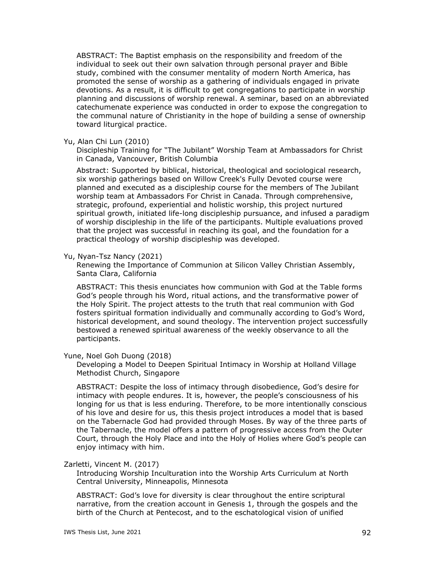ABSTRACT: The Baptist emphasis on the responsibility and freedom of the individual to seek out their own salvation through personal prayer and Bible study, combined with the consumer mentality of modern North America, has promoted the sense of worship as a gathering of individuals engaged in private devotions. As a result, it is difficult to get congregations to participate in worship planning and discussions of worship renewal. A seminar, based on an abbreviated catechumenate experience was conducted in order to expose the congregation to the communal nature of Christianity in the hope of building a sense of ownership toward liturgical practice.

### Yu, Alan Chi Lun (2010)

Discipleship Training for "The Jubilant" Worship Team at Ambassadors for Christ in Canada, Vancouver, British Columbia

Abstract: Supported by biblical, historical, theological and sociological research, six worship gatherings based on Willow Creek's Fully Devoted course were planned and executed as a discipleship course for the members of The Jubilant worship team at Ambassadors For Christ in Canada. Through comprehensive, strategic, profound, experiential and holistic worship, this project nurtured spiritual growth, initiated life-long discipleship pursuance, and infused a paradigm of worship discipleship in the life of the participants. Multiple evaluations proved that the project was successful in reaching its goal, and the foundation for a practical theology of worship discipleship was developed.

### Yu, Nyan-Tsz Nancy (2021)

Renewing the Importance of Communion at Silicon Valley Christian Assembly, Santa Clara, California

ABSTRACT: This thesis enunciates how communion with God at the Table forms God's people through his Word, ritual actions, and the transformative power of the Holy Spirit. The project attests to the truth that real communion with God fosters spiritual formation individually and communally according to God's Word, historical development, and sound theology. The intervention project successfully bestowed a renewed spiritual awareness of the weekly observance to all the participants.

### Yune, Noel Goh Duong (2018)

Developing a Model to Deepen Spiritual Intimacy in Worship at Holland Village Methodist Church, Singapore

ABSTRACT: Despite the loss of intimacy through disobedience, God's desire for intimacy with people endures. It is, however, the people's consciousness of his longing for us that is less enduring. Therefore, to be more intentionally conscious of his love and desire for us, this thesis project introduces a model that is based on the Tabernacle God had provided through Moses. By way of the three parts of the Tabernacle, the model offers a pattern of progressive access from the Outer Court, through the Holy Place and into the Holy of Holies where God's people can enjoy intimacy with him.

#### Zarletti, Vincent M. (2017)

Introducing Worship Inculturation into the Worship Arts Curriculum at North Central University, Minneapolis, Minnesota

ABSTRACT: God's love for diversity is clear throughout the entire scriptural narrative, from the creation account in Genesis 1, through the gospels and the birth of the Church at Pentecost, and to the eschatological vision of unified